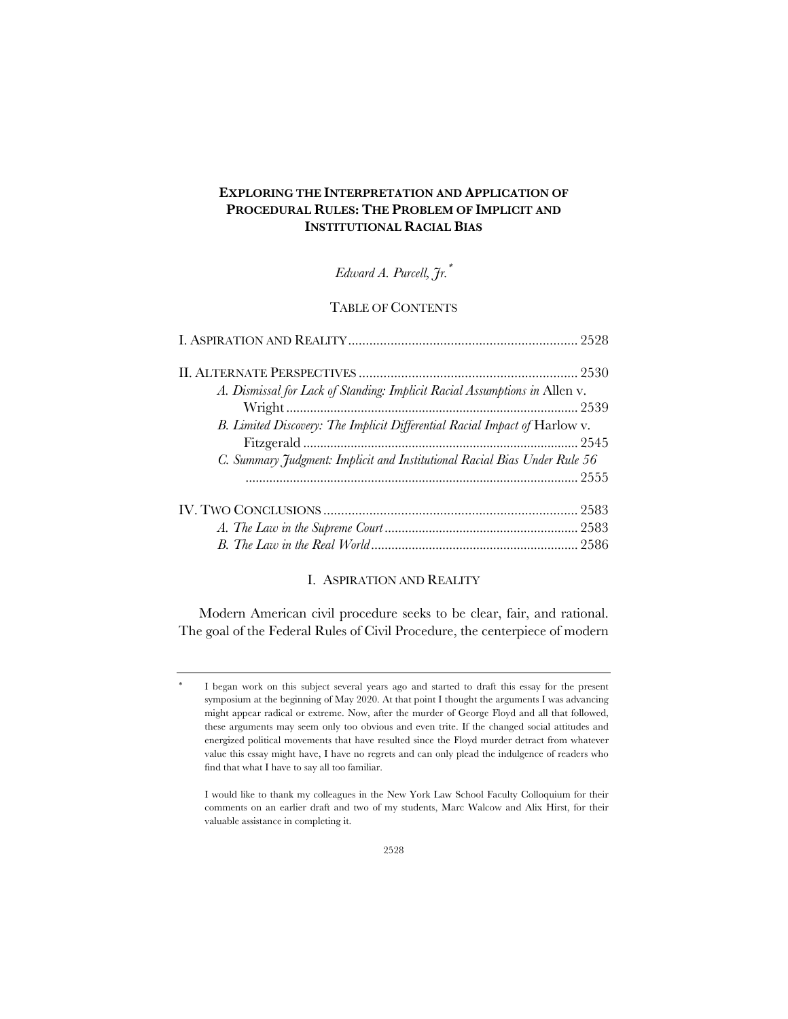# **EXPLORING THE INTERPRETATION AND APPLICATION OF PROCEDURAL RULES: THE PROBLEM OF IMPLICIT AND INSTITUTIONAL RACIAL BIAS**

*Edward A. Purcell, Jr.*\*

# TABLE OF CONTENTS

| A. Dismissal for Lack of Standing: Implicit Racial Assumptions in Allen v. |  |
|----------------------------------------------------------------------------|--|
|                                                                            |  |
| B. Limited Discovery: The Implicit Differential Racial Impact of Harlow v. |  |
|                                                                            |  |
| C. Summary Judgment: Implicit and Institutional Racial Bias Under Rule 56  |  |
|                                                                            |  |
|                                                                            |  |
|                                                                            |  |
|                                                                            |  |
|                                                                            |  |

# I. ASPIRATION AND REALITY

Modern American civil procedure seeks to be clear, fair, and rational. The goal of the Federal Rules of Civil Procedure, the centerpiece of modern

I began work on this subject several years ago and started to draft this essay for the present symposium at the beginning of May 2020. At that point I thought the arguments I was advancing might appear radical or extreme. Now, after the murder of George Floyd and all that followed, these arguments may seem only too obvious and even trite. If the changed social attitudes and energized political movements that have resulted since the Floyd murder detract from whatever value this essay might have, I have no regrets and can only plead the indulgence of readers who find that what I have to say all too familiar.

I would like to thank my colleagues in the New York Law School Faculty Colloquium for their comments on an earlier draft and two of my students, Marc Walcow and Alix Hirst, for their valuable assistance in completing it.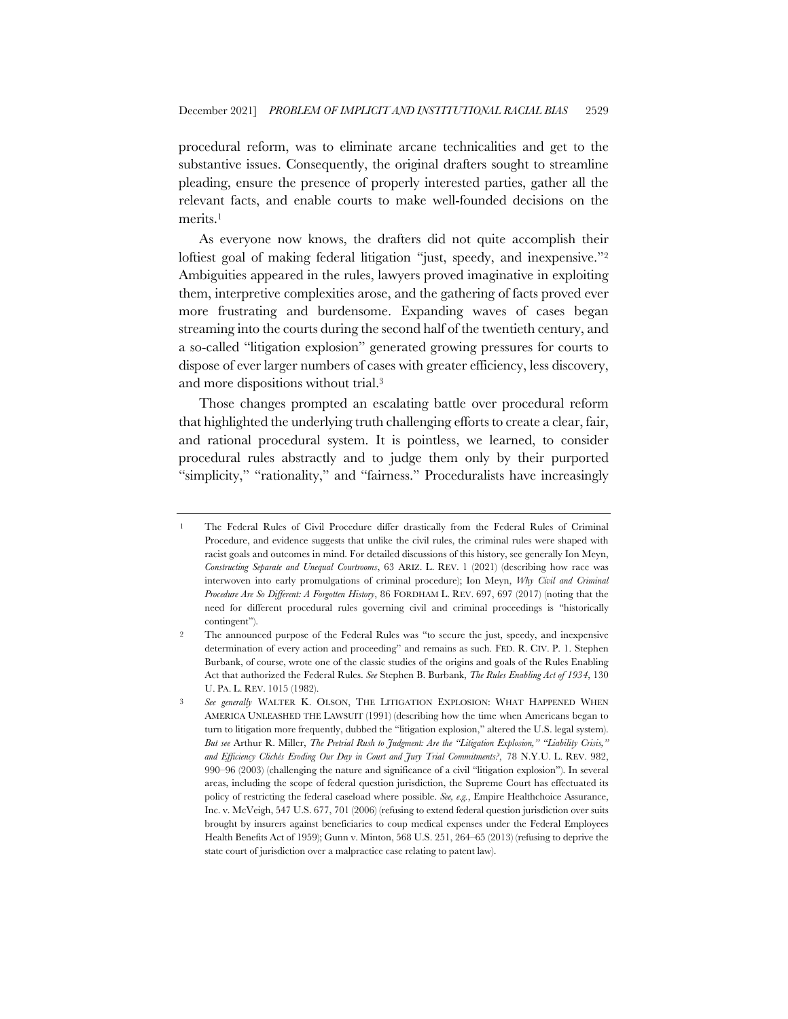procedural reform, was to eliminate arcane technicalities and get to the substantive issues. Consequently, the original drafters sought to streamline pleading, ensure the presence of properly interested parties, gather all the relevant facts, and enable courts to make well-founded decisions on the merits.1

As everyone now knows, the drafters did not quite accomplish their loftiest goal of making federal litigation "just, speedy, and inexpensive."<sup>2</sup> Ambiguities appeared in the rules, lawyers proved imaginative in exploiting them, interpretive complexities arose, and the gathering of facts proved ever more frustrating and burdensome. Expanding waves of cases began streaming into the courts during the second half of the twentieth century, and a so-called "litigation explosion" generated growing pressures for courts to dispose of ever larger numbers of cases with greater efficiency, less discovery, and more dispositions without trial.3

Those changes prompted an escalating battle over procedural reform that highlighted the underlying truth challenging efforts to create a clear, fair, and rational procedural system. It is pointless, we learned, to consider procedural rules abstractly and to judge them only by their purported "simplicity," "rationality," and "fairness." Proceduralists have increasingly

<sup>1</sup> The Federal Rules of Civil Procedure differ drastically from the Federal Rules of Criminal Procedure, and evidence suggests that unlike the civil rules, the criminal rules were shaped with racist goals and outcomes in mind. For detailed discussions of this history, see generally Ion Meyn, *Constructing Separate and Unequal Courtrooms*, 63 ARIZ. L. REV. 1 (2021) (describing how race was interwoven into early promulgations of criminal procedure); Ion Meyn, *Why Civil and Criminal Procedure Are So Different: A Forgotten History*, 86 FORDHAM L. REV. 697, 697 (2017) (noting that the need for different procedural rules governing civil and criminal proceedings is "historically contingent").

<sup>2</sup> The announced purpose of the Federal Rules was "to secure the just, speedy, and inexpensive determination of every action and proceeding" and remains as such. FED. R. CIV. P. 1. Stephen Burbank, of course, wrote one of the classic studies of the origins and goals of the Rules Enabling Act that authorized the Federal Rules. *See* Stephen B. Burbank, *The Rules Enabling Act of 1934*, 130 U. PA. L. REV. 1015 (1982).

See generally WALTER K. OLSON, THE LITIGATION EXPLOSION: WHAT HAPPENED WHEN AMERICA UNLEASHED THE LAWSUIT (1991) (describing how the time when Americans began to turn to litigation more frequently, dubbed the "litigation explosion," altered the U.S. legal system). *But see* Arthur R. Miller, *The Pretrial Rush to Judgment: Are the "Litigation Explosion," "Liability Crisis," and Efficiency Clichés Eroding Our Day in Court and Jury Trial Commitments?*, 78 N.Y.U. L. REV. 982, 990–96 (2003) (challenging the nature and significance of a civil "litigation explosion"). In several areas, including the scope of federal question jurisdiction, the Supreme Court has effectuated its policy of restricting the federal caseload where possible. *See, e.g.*, Empire Healthchoice Assurance, Inc. v. McVeigh, 547 U.S. 677, 701 (2006) (refusing to extend federal question jurisdiction over suits brought by insurers against beneficiaries to coup medical expenses under the Federal Employees Health Benefits Act of 1959); Gunn v. Minton, 568 U.S. 251, 264–65 (2013) (refusing to deprive the state court of jurisdiction over a malpractice case relating to patent law).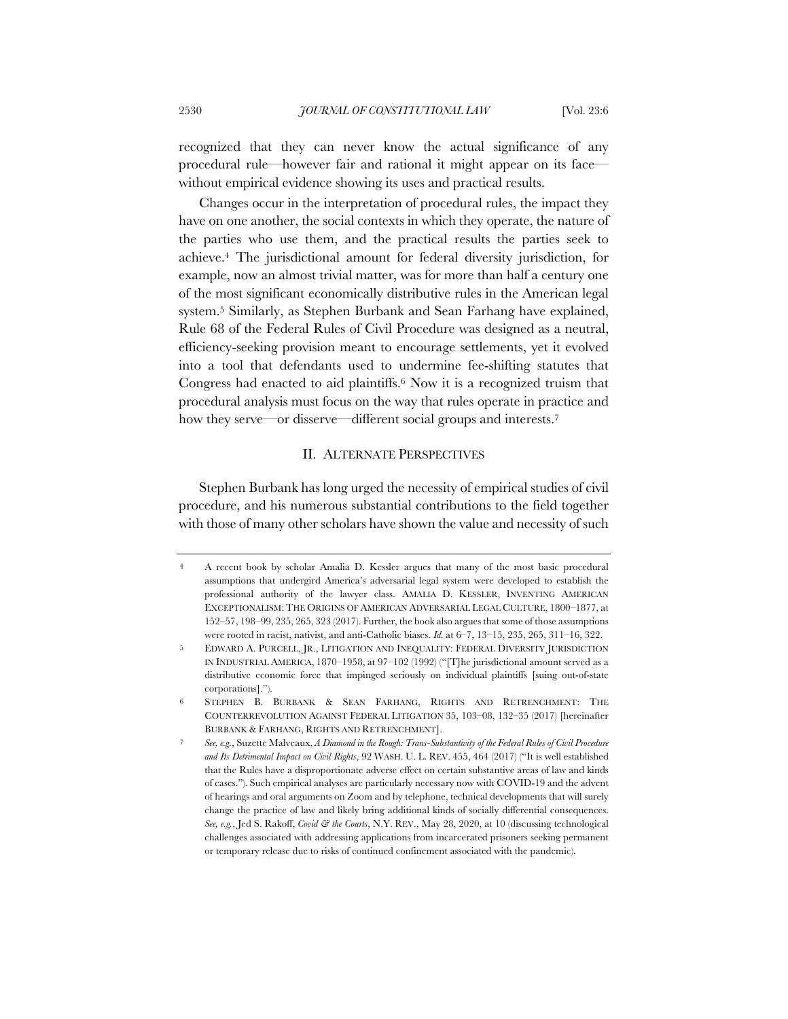recognized that they can never know the actual significance of any procedural rule—however fair and rational it might appear on its face without empirical evidence showing its uses and practical results.

Changes occur in the interpretation of procedural rules, the impact they have on one another, the social contexts in which they operate, the nature of the parties who use them, and the practical results the parties seek to achieve.4 The jurisdictional amount for federal diversity jurisdiction, for example, now an almost trivial matter, was for more than half a century one of the most significant economically distributive rules in the American legal system.5 Similarly, as Stephen Burbank and Sean Farhang have explained, Rule 68 of the Federal Rules of Civil Procedure was designed as a neutral, efficiency-seeking provision meant to encourage settlements, yet it evolved into a tool that defendants used to undermine fee-shifting statutes that Congress had enacted to aid plaintiffs.6 Now it is a recognized truism that procedural analysis must focus on the way that rules operate in practice and how they serve—or disserve—different social groups and interests.<sup>7</sup>

### II. ALTERNATE PERSPECTIVES

Stephen Burbank has long urged the necessity of empirical studies of civil procedure, and his numerous substantial contributions to the field together with those of many other scholars have shown the value and necessity of such

<sup>4</sup> A recent book by scholar Amalia D. Kessler argues that many of the most basic procedural assumptions that undergird America's adversarial legal system were developed to establish the professional authority of the lawyer class. AMALIA D. KESSLER, INVENTING AMERICAN EXCEPTIONALISM: THE ORIGINS OF AMERICAN ADVERSARIAL LEGAL CULTURE, 1800–1877, at 152–57, 198–99, 235, 265, 323 (2017). Further, the book also argues that some of those assumptions were rooted in racist, nativist, and anti-Catholic biases. *Id.* at 6–7, 13–15, 235, 265, 311–16, 322.

<sup>5</sup> EDWARD A. PURCELL, JR., LITIGATION AND INEQUALITY: FEDERAL DIVERSITY JURISDICTION IN INDUSTRIAL AMERICA, 1870–1958, at 97–102 (1992) ("[T]he jurisdictional amount served as a distributive economic force that impinged seriously on individual plaintiffs [suing out-of-state corporations].").

<sup>6</sup> STEPHEN B. BURBANK & SEAN FARHANG, RIGHTS AND RETRENCHMENT: THE COUNTERREVOLUTION AGAINST FEDERAL LITIGATION 35, 103–08, 132–35 (2017) [hereinafter BURBANK & FARHANG, RIGHTS AND RETRENCHMENT].

<sup>7</sup> *See, e.g.*, Suzette Malveaux, *A Diamond in the Rough: Trans-Substantivity of the Federal Rules of Civil Procedure and Its Detrimental Impact on Civil Rights*, 92 WASH. U. L. REV. 455, 464 (2017) ("It is well established that the Rules have a disproportionate adverse effect on certain substantive areas of law and kinds of cases."). Such empirical analyses are particularly necessary now with COVID-19 and the advent of hearings and oral arguments on Zoom and by telephone, technical developments that will surely change the practice of law and likely bring additional kinds of socially differential consequences. *See, e.g.*, Jed S. Rakoff, *Covid & the Courts*, N.Y. REV., May 28, 2020, at 10 (discussing technological challenges associated with addressing applications from incarcerated prisoners seeking permanent or temporary release due to risks of continued confinement associated with the pandemic).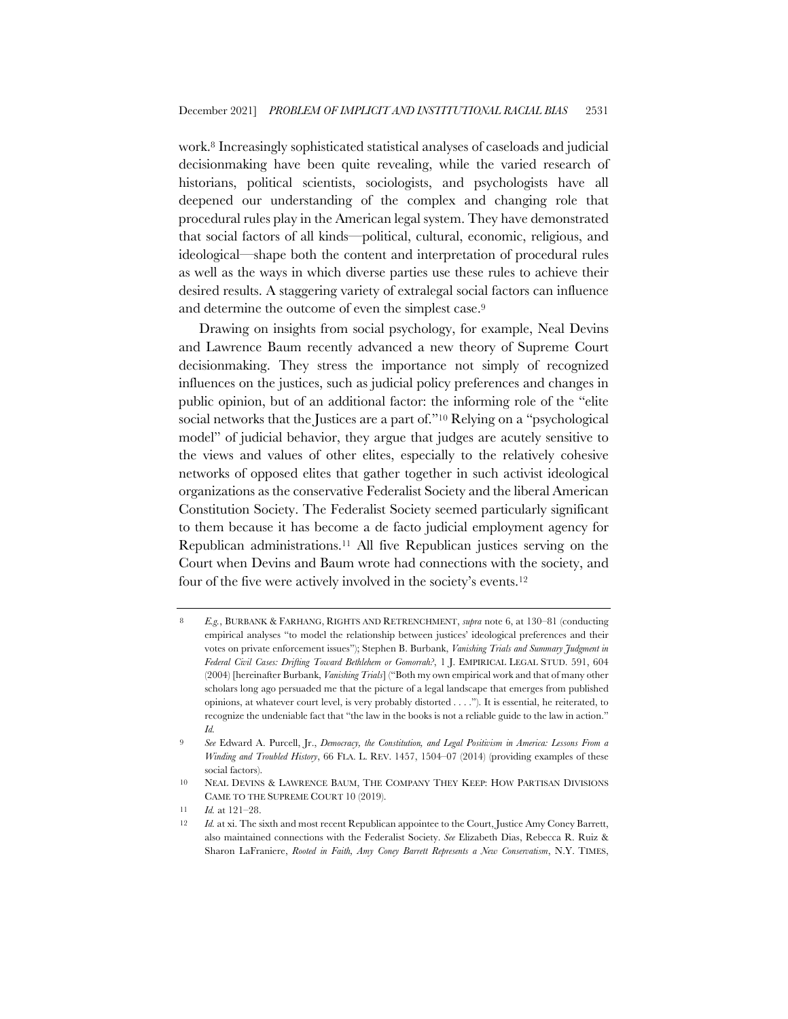work.8 Increasingly sophisticated statistical analyses of caseloads and judicial decisionmaking have been quite revealing, while the varied research of historians, political scientists, sociologists, and psychologists have all deepened our understanding of the complex and changing role that procedural rules play in the American legal system. They have demonstrated that social factors of all kinds—political, cultural, economic, religious, and ideological—shape both the content and interpretation of procedural rules as well as the ways in which diverse parties use these rules to achieve their desired results. A staggering variety of extralegal social factors can influence and determine the outcome of even the simplest case.9

Drawing on insights from social psychology, for example, Neal Devins and Lawrence Baum recently advanced a new theory of Supreme Court decisionmaking. They stress the importance not simply of recognized influences on the justices, such as judicial policy preferences and changes in public opinion, but of an additional factor: the informing role of the "elite social networks that the Justices are a part of."<sup>10</sup> Relying on a "psychological model" of judicial behavior, they argue that judges are acutely sensitive to the views and values of other elites, especially to the relatively cohesive networks of opposed elites that gather together in such activist ideological organizations as the conservative Federalist Society and the liberal American Constitution Society. The Federalist Society seemed particularly significant to them because it has become a de facto judicial employment agency for Republican administrations.11 All five Republican justices serving on the Court when Devins and Baum wrote had connections with the society, and four of the five were actively involved in the society's events.12

<sup>8</sup> *E.g.*, BURBANK & FARHANG, RIGHTS AND RETRENCHMENT, *supra* note 6, at 130–81 (conducting empirical analyses "to model the relationship between justices' ideological preferences and their votes on private enforcement issues"); Stephen B. Burbank, *Vanishing Trials and Summary Judgment in Federal Civil Cases: Drifting Toward Bethlehem or Gomorrah?*, 1 J. EMPIRICAL LEGAL STUD. 591, 604 (2004) [hereinafter Burbank, *Vanishing Trials*] ("Both my own empirical work and that of many other scholars long ago persuaded me that the picture of a legal landscape that emerges from published opinions, at whatever court level, is very probably distorted . . . ."). It is essential, he reiterated, to recognize the undeniable fact that "the law in the books is not a reliable guide to the law in action." *Id.*

<sup>9</sup> *See* Edward A. Purcell, Jr., *Democracy, the Constitution, and Legal Positivism in America: Lessons From a Winding and Troubled History*, 66 FLA. L. REV. 1457, 1504–07 (2014) (providing examples of these social factors).

<sup>10</sup> NEAL DEVINS & LAWRENCE BAUM, THE COMPANY THEY KEEP: HOW PARTISAN DIVISIONS CAME TO THE SUPREME COURT 10 (2019).

<sup>11</sup> *Id.* at 121–28.

<sup>12</sup> *Id.* at xi. The sixth and most recent Republican appointee to the Court, Justice Amy Coney Barrett, also maintained connections with the Federalist Society. *See* Elizabeth Dias, Rebecca R. Ruiz & Sharon LaFraniere, *Rooted in Faith, Amy Coney Barrett Represents a New Conservatism*, N.Y. TIMES,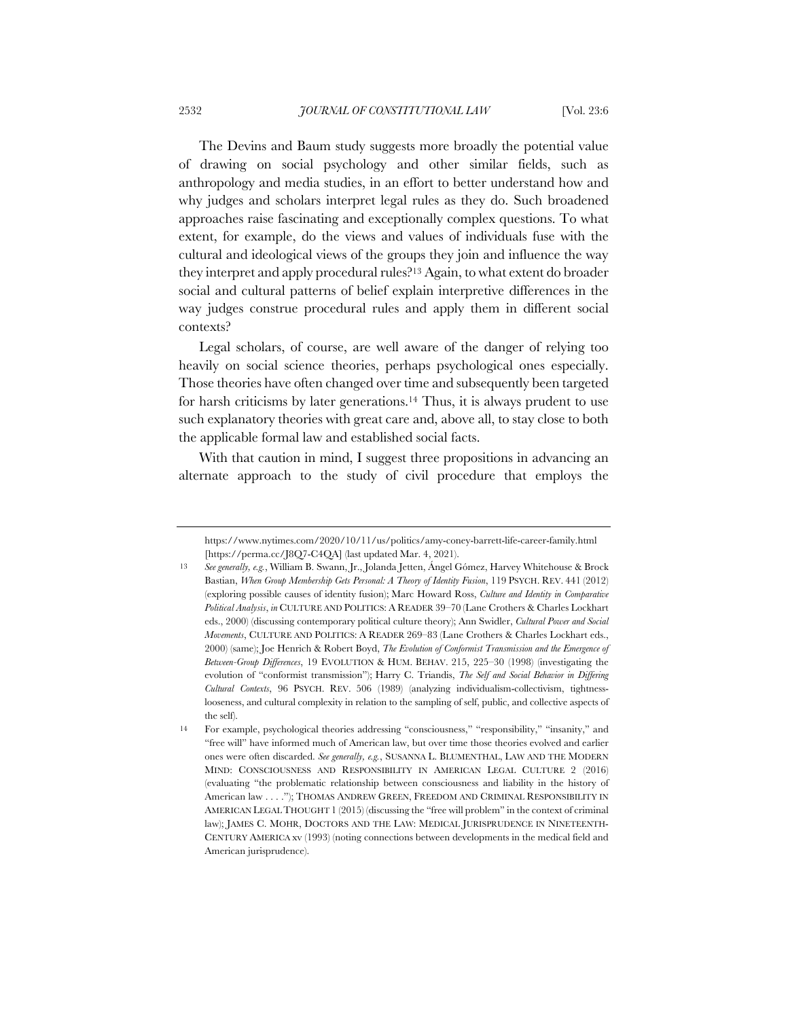The Devins and Baum study suggests more broadly the potential value of drawing on social psychology and other similar fields, such as anthropology and media studies, in an effort to better understand how and why judges and scholars interpret legal rules as they do. Such broadened approaches raise fascinating and exceptionally complex questions. To what extent, for example, do the views and values of individuals fuse with the cultural and ideological views of the groups they join and influence the way they interpret and apply procedural rules?13 Again, to what extent do broader social and cultural patterns of belief explain interpretive differences in the way judges construe procedural rules and apply them in different social contexts?

Legal scholars, of course, are well aware of the danger of relying too heavily on social science theories, perhaps psychological ones especially. Those theories have often changed over time and subsequently been targeted for harsh criticisms by later generations.14 Thus, it is always prudent to use such explanatory theories with great care and, above all, to stay close to both the applicable formal law and established social facts.

With that caution in mind, I suggest three propositions in advancing an alternate approach to the study of civil procedure that employs the

https://www.nytimes.com/2020/10/11/us/politics/amy-coney-barrett-life-career-family.html [https://perma.cc/J8Q7-C4QA] (last updated Mar. 4, 2021).

<sup>13</sup> *See generally, e.g.*, William B. Swann, Jr., Jolanda Jetten, Ángel Gómez, Harvey Whitehouse & Brock Bastian, *When Group Membership Gets Personal: A Theory of Identity Fusion*, 119 PSYCH. REV. 441 (2012) (exploring possible causes of identity fusion); Marc Howard Ross, *Culture and Identity in Comparative Political Analysis*, *in* CULTURE AND POLITICS: A READER 39–70 (Lane Crothers & Charles Lockhart eds., 2000) (discussing contemporary political culture theory); Ann Swidler, *Cultural Power and Social Movements*, CULTURE AND POLITICS: A READER 269–83 (Lane Crothers & Charles Lockhart eds., 2000) (same); Joe Henrich & Robert Boyd, *The Evolution of Conformist Transmission and the Emergence of Between-Group Differences*, 19 EVOLUTION & HUM. BEHAV. 215, 225–30 (1998) (investigating the evolution of "conformist transmission"); Harry C. Triandis, *The Self and Social Behavior in Differing Cultural Contexts*, 96 PSYCH. REV. 506 (1989) (analyzing individualism-collectivism, tightnesslooseness, and cultural complexity in relation to the sampling of self, public, and collective aspects of the self).

<sup>14</sup> For example, psychological theories addressing "consciousness," "responsibility," "insanity," and "free will" have informed much of American law, but over time those theories evolved and earlier ones were often discarded. *See generally, e.g.*, SUSANNA L. BLUMENTHAL, LAW AND THE MODERN MIND: CONSCIOUSNESS AND RESPONSIBILITY IN AMERICAN LEGAL CULTURE 2 (2016) (evaluating "the problematic relationship between consciousness and liability in the history of American law . . . ."); THOMAS ANDREW GREEN, FREEDOM AND CRIMINAL RESPONSIBILITY IN AMERICAN LEGAL THOUGHT 1 (2015) (discussing the "free will problem" in the context of criminal law); JAMES C. MOHR, DOCTORS AND THE LAW: MEDICAL JURISPRUDENCE IN NINETEENTH-CENTURY AMERICA xv (1993) (noting connections between developments in the medical field and American jurisprudence).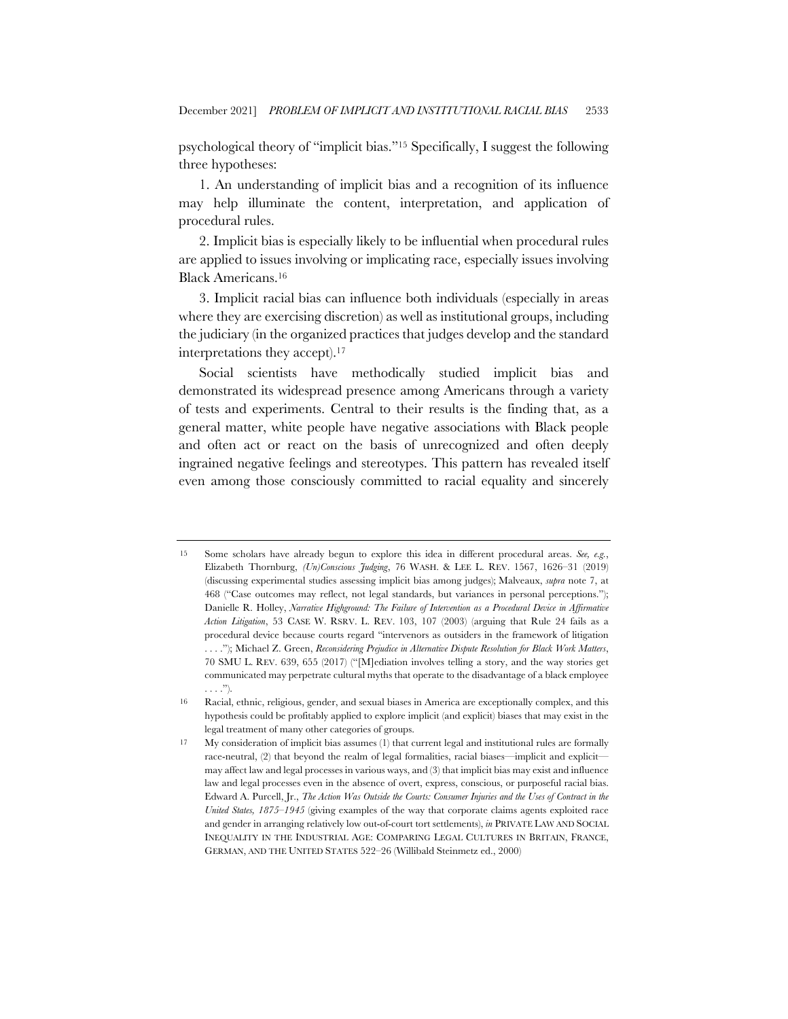psychological theory of "implicit bias."15 Specifically, I suggest the following three hypotheses:

1. An understanding of implicit bias and a recognition of its influence may help illuminate the content, interpretation, and application of procedural rules.

2. Implicit bias is especially likely to be influential when procedural rules are applied to issues involving or implicating race, especially issues involving Black Americans.16

3. Implicit racial bias can influence both individuals (especially in areas where they are exercising discretion) as well as institutional groups, including the judiciary (in the organized practices that judges develop and the standard interpretations they accept).17

Social scientists have methodically studied implicit bias and demonstrated its widespread presence among Americans through a variety of tests and experiments. Central to their results is the finding that, as a general matter, white people have negative associations with Black people and often act or react on the basis of unrecognized and often deeply ingrained negative feelings and stereotypes. This pattern has revealed itself even among those consciously committed to racial equality and sincerely

<sup>15</sup> Some scholars have already begun to explore this idea in different procedural areas. *See, e.g.*, Elizabeth Thornburg, *(Un)Conscious Judging*, 76 WASH. & LEE L. REV. 1567, 1626–31 (2019) (discussing experimental studies assessing implicit bias among judges); Malveaux, *supra* note 7, at 468 ("Case outcomes may reflect, not legal standards, but variances in personal perceptions."); Danielle R. Holley, *Narrative Highground: The Failure of Intervention as a Procedural Device in Affirmative Action Litigation*, 53 CASE W. RSRV. L. REV. 103, 107 (2003) (arguing that Rule 24 fails as a procedural device because courts regard "intervenors as outsiders in the framework of litigation . . . ."); Michael Z. Green, *Reconsidering Prejudice in Alternative Dispute Resolution for Black Work Matters*, 70 SMU L. REV. 639, 655 (2017) ("[M]ediation involves telling a story, and the way stories get communicated may perpetrate cultural myths that operate to the disadvantage of a black employee . . . .").

<sup>16</sup> Racial, ethnic, religious, gender, and sexual biases in America are exceptionally complex, and this hypothesis could be profitably applied to explore implicit (and explicit) biases that may exist in the legal treatment of many other categories of groups.

<sup>17</sup> My consideration of implicit bias assumes (1) that current legal and institutional rules are formally race-neutral, (2) that beyond the realm of legal formalities, racial biases—implicit and explicit may affect law and legal processes in various ways, and (3) that implicit bias may exist and influence law and legal processes even in the absence of overt, express, conscious, or purposeful racial bias. Edward A. Purcell, Jr., *The Action Was Outside the Courts: Consumer Injuries and the Uses of Contract in the United States, 1875–1945* (giving examples of the way that corporate claims agents exploited race and gender in arranging relatively low out-of-court tort settlements), *in* PRIVATE LAW AND SOCIAL INEQUALITY IN THE INDUSTRIAL AGE: COMPARING LEGAL CULTURES IN BRITAIN, FRANCE, GERMAN, AND THE UNITED STATES 522–26 (Willibald Steinmetz ed., 2000)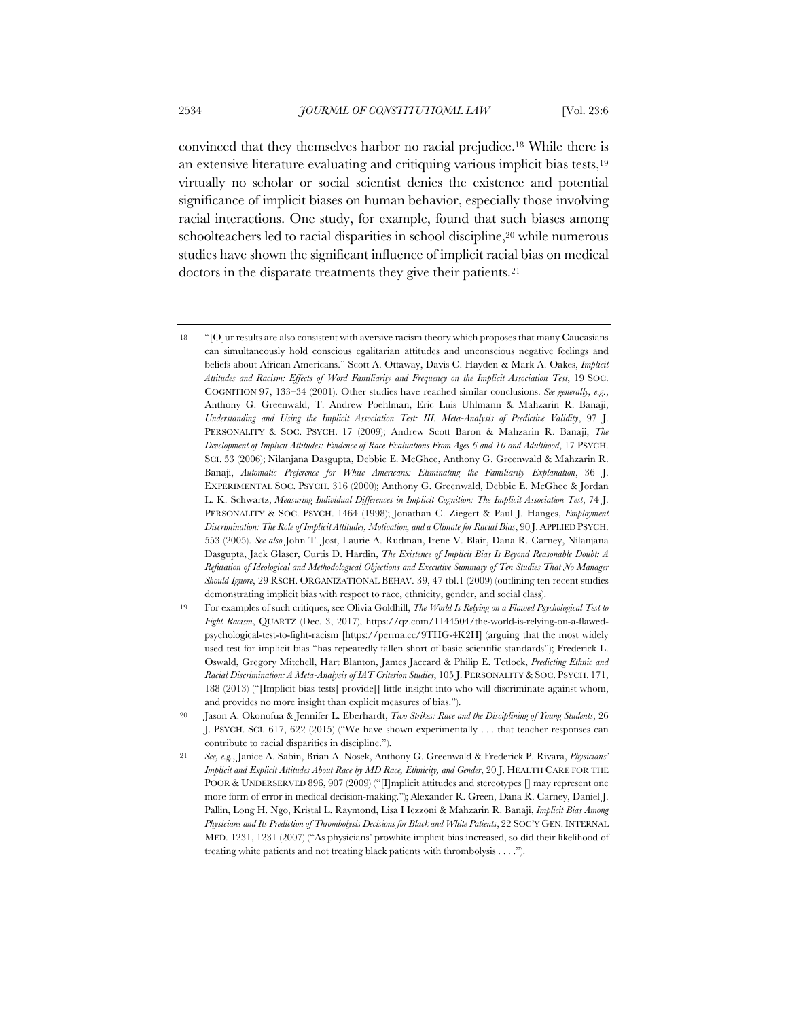convinced that they themselves harbor no racial prejudice.18 While there is an extensive literature evaluating and critiquing various implicit bias tests,19 virtually no scholar or social scientist denies the existence and potential significance of implicit biases on human behavior, especially those involving racial interactions. One study, for example, found that such biases among schoolteachers led to racial disparities in school discipline,<sup>20</sup> while numerous studies have shown the significant influence of implicit racial bias on medical doctors in the disparate treatments they give their patients.<sup>21</sup>

<sup>18</sup> "[O]ur results are also consistent with aversive racism theory which proposes that many Caucasians can simultaneously hold conscious egalitarian attitudes and unconscious negative feelings and beliefs about African Americans." Scott A. Ottaway, Davis C. Hayden & Mark A. Oakes, *Implicit Attitudes and Racism: Effects of Word Familiarity and Frequency on the Implicit Association Test*, 19 SOC. COGNITION 97, 133–34 (2001). Other studies have reached similar conclusions. *See generally, e.g.*, Anthony G. Greenwald, T. Andrew Poehlman, Eric Luis Uhlmann & Mahzarin R. Banaji, *Understanding and Using the Implicit Association Test: III. Meta-Analysis of Predictive Validity*, 97 J. PERSONALITY & SOC. PSYCH. 17 (2009); Andrew Scott Baron & Mahzarin R. Banaji, *The Development of Implicit Attitudes: Evidence of Race Evaluations From Ages 6 and 10 and Adulthood*, 17 PSYCH. SCI. 53 (2006); Nilanjana Dasgupta, Debbie E. McGhee, Anthony G. Greenwald & Mahzarin R. Banaji, *Automatic Preference for White Americans: Eliminating the Familiarity Explanation*, 36 J. EXPERIMENTAL SOC. PSYCH. 316 (2000); Anthony G. Greenwald, Debbie E. McGhee & Jordan L. K. Schwartz, *Measuring Individual Differences in Implicit Cognition: The Implicit Association Test*, 74 J. PERSONALITY & SOC. PSYCH. 1464 (1998); Jonathan C. Ziegert & Paul J. Hanges, *Employment Discrimination: The Role of Implicit Attitudes, Motivation, and a Climate for Racial Bias*, 90 J.APPLIED PSYCH. 553 (2005). *See also* John T. Jost, Laurie A. Rudman, Irene V. Blair, Dana R. Carney, Nilanjana Dasgupta, Jack Glaser, Curtis D. Hardin, *The Existence of Implicit Bias Is Beyond Reasonable Doubt: A Refutation of Ideological and Methodological Objections and Executive Summary of Ten Studies That No Manager Should Ignore*, 29 RSCH. ORGANIZATIONAL BEHAV. 39, 47 tbl.1 (2009) (outlining ten recent studies demonstrating implicit bias with respect to race, ethnicity, gender, and social class).

<sup>19</sup> For examples of such critiques, see Olivia Goldhill, *The World Is Relying on a Flawed Psychological Test to Fight Racism*, QUARTZ (Dec. 3, 2017), https://qz.com/1144504/the-world-is-relying-on-a-flawedpsychological-test-to-fight-racism [https://perma.cc/9THG-4K2H] (arguing that the most widely used test for implicit bias "has repeatedly fallen short of basic scientific standards"); Frederick L. Oswald, Gregory Mitchell, Hart Blanton, James Jaccard & Philip E. Tetlock, *Predicting Ethnic and Racial Discrimination: A Meta-Analysis of IAT Criterion Studies*, 105 J. PERSONALITY & SOC. PSYCH. 171, 188 (2013) ("[Implicit bias tests] provide[] little insight into who will discriminate against whom, and provides no more insight than explicit measures of bias.").

<sup>20</sup> Jason A. Okonofua & Jennifer L. Eberhardt, *Two Strikes: Race and the Disciplining of Young Students*, 26 J. PSYCH. SCI. 617, 622 (2015) ("We have shown experimentally . . . that teacher responses can contribute to racial disparities in discipline.").

<sup>21</sup> *See, e.g.*, Janice A. Sabin, Brian A. Nosek, Anthony G. Greenwald & Frederick P. Rivara, *Physicians' Implicit and Explicit Attitudes About Race by MD Race, Ethnicity, and Gender*, 20 J. HEALTH CARE FOR THE POOR & UNDERSERVED 896, 907 (2009) ("[I]mplicit attitudes and stereotypes [] may represent one more form of error in medical decision-making."); Alexander R. Green, Dana R. Carney, Daniel J. Pallin, Long H. Ngo, Kristal L. Raymond, Lisa I Iezzoni & Mahzarin R. Banaji, *Implicit Bias Among Physicians and Its Prediction of Thrombolysis Decisions for Black and White Patients*, 22 SOC'Y GEN.INTERNAL MED. 1231, 1231 (2007) ("As physicians' prowhite implicit bias increased, so did their likelihood of treating white patients and not treating black patients with thrombolysis . . . .").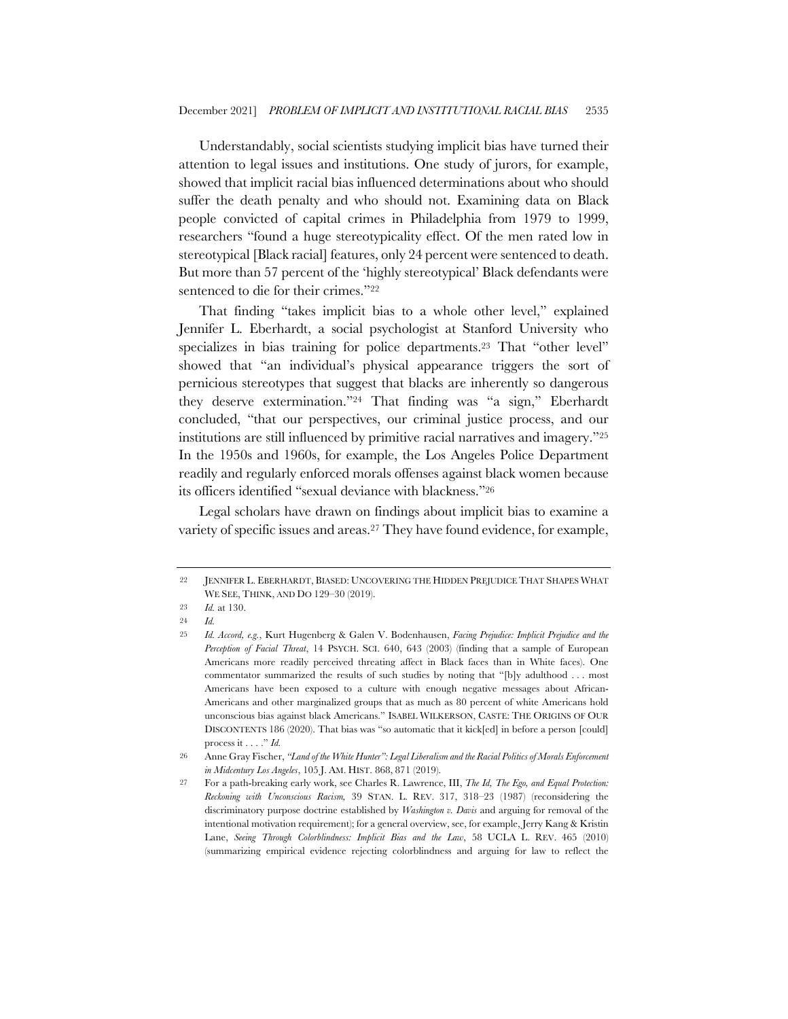Understandably, social scientists studying implicit bias have turned their attention to legal issues and institutions. One study of jurors, for example, showed that implicit racial bias influenced determinations about who should suffer the death penalty and who should not. Examining data on Black people convicted of capital crimes in Philadelphia from 1979 to 1999, researchers "found a huge stereotypicality effect. Of the men rated low in stereotypical [Black racial] features, only 24 percent were sentenced to death. But more than 57 percent of the 'highly stereotypical' Black defendants were sentenced to die for their crimes."22

That finding "takes implicit bias to a whole other level," explained Jennifer L. Eberhardt, a social psychologist at Stanford University who specializes in bias training for police departments.23 That "other level" showed that "an individual's physical appearance triggers the sort of pernicious stereotypes that suggest that blacks are inherently so dangerous they deserve extermination."24 That finding was "a sign," Eberhardt concluded, "that our perspectives, our criminal justice process, and our institutions are still influenced by primitive racial narratives and imagery."25 In the 1950s and 1960s, for example, the Los Angeles Police Department readily and regularly enforced morals offenses against black women because its officers identified "sexual deviance with blackness."26

Legal scholars have drawn on findings about implicit bias to examine a variety of specific issues and areas.<sup>27</sup> They have found evidence, for example,

<sup>22</sup> JENNIFER L. EBERHARDT, BIASED: UNCOVERING THE HIDDEN PREJUDICE THAT SHAPES WHAT WE SEE, THINK, AND DO 129–30 (2019).

<sup>23</sup> *Id.* at 130.

<sup>24</sup> *Id.*

<sup>25</sup> *Id. Accord, e.g.*, Kurt Hugenberg & Galen V. Bodenhausen, *Facing Prejudice: Implicit Prejudice and the Perception of Facial Threat*, 14 PSYCH. SCI. 640, 643 (2003) (finding that a sample of European Americans more readily perceived threating affect in Black faces than in White faces). One commentator summarized the results of such studies by noting that "[b]y adulthood . . . most Americans have been exposed to a culture with enough negative messages about African-Americans and other marginalized groups that as much as 80 percent of white Americans hold unconscious bias against black Americans." ISABEL WILKERSON, CASTE: THE ORIGINS OF OUR DISCONTENTS 186 (2020). That bias was "so automatic that it kick[ed] in before a person [could] process it . . . ." *Id.*

<sup>26</sup> Anne Gray Fischer, *"Land of the White Hunter": Legal Liberalism and the Racial Politics of Morals Enforcement in Midcentury Los Angeles*, 105 J. AM. HIST. 868, 871 (2019).

<sup>27</sup> For a path-breaking early work, see Charles R. Lawrence, III, *The Id, The Ego, and Equal Protection: Reckoning with Unconscious Racism,* 39 STAN. L. REV. 317, 318–23 (1987) (reconsidering the discriminatory purpose doctrine established by *Washington v. Davis* and arguing for removal of the intentional motivation requirement); for a general overview, see, for example, Jerry Kang & Kristin Lane, *Seeing Through Colorblindness: Implicit Bias and the Law*, 58 UCLA L. REV. 465 (2010) (summarizing empirical evidence rejecting colorblindness and arguing for law to reflect the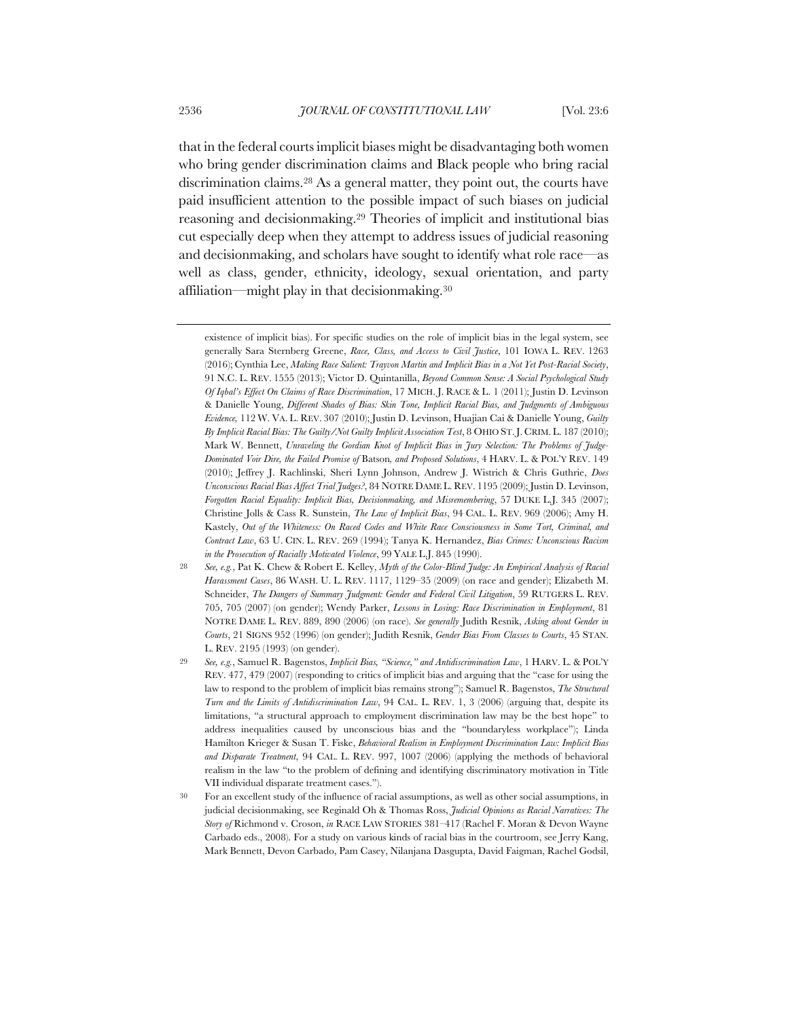that in the federal courts implicit biases might be disadvantaging both women who bring gender discrimination claims and Black people who bring racial discrimination claims.28 As a general matter, they point out, the courts have paid insufficient attention to the possible impact of such biases on judicial reasoning and decisionmaking.29 Theories of implicit and institutional bias cut especially deep when they attempt to address issues of judicial reasoning and decisionmaking, and scholars have sought to identify what role race—as well as class, gender, ethnicity, ideology, sexual orientation, and party affiliation—might play in that decisionmaking.30

existence of implicit bias). For specific studies on the role of implicit bias in the legal system, see generally Sara Sternberg Greene, *Race, Class, and Access to Civil Justice*, 101 IOWA L. REV. 1263 (2016); Cynthia Lee, *Making Race Salient: Trayvon Martin and Implicit Bias in a Not Yet Post-Racial Society*, 91 N.C. L. REV. 1555 (2013); Victor D. Quintanilla, *Beyond Common Sense: A Social Psychological Study Of Iqbal's Effect On Claims of Race Discrimination*, 17 MICH. J. RACE & L. 1 (2011); Justin D. Levinson & Danielle Young, *Different Shades of Bias: Skin Tone, Implicit Racial Bias, and Judgments of Ambiguous Evidence,* 112 W. VA. L. REV. 307 (2010); Justin D. Levinson, Huajian Cai & Danielle Young, *Guilty By Implicit Racial Bias: The Guilty/Not Guilty Implicit Association Test*, 8 OHIO ST.J. CRIM. L. 187 (2010); Mark W. Bennett, *Unraveling the Gordian Knot of Implicit Bias in Jury Selection: The Problems of Judge-Dominated Voir Dire, the Failed Promise of* Batson*, and Proposed Solutions*, 4 HARV. L. & POL'Y REV. 149 (2010); Jeffrey J. Rachlinski, Sheri Lynn Johnson, Andrew J. Wistrich & Chris Guthrie, *Does Unconscious Racial Bias Affect Trial Judges?*, 84 NOTRE DAME L. REV. 1195 (2009); Justin D. Levinson, *Forgotten Racial Equality: Implicit Bias, Decisionmaking, and Misremembering*, 57 DUKE L.J. 345 (2007); Christine Jolls & Cass R. Sunstein, *The Law of Implicit Bias*, 94 CAL. L. REV. 969 (2006); Amy H. Kastely, *Out of the Whiteness: On Raced Codes and White Race Consciousness in Some Tort, Criminal, and Contract Law*, 63 U. CIN. L. REV. 269 (1994); Tanya K. Hernandez, *Bias Crimes: Unconscious Racism in the Prosecution of Racially Motivated Violence*, 99 YALE L.J. 845 (1990).

<sup>28</sup> *See, e.g.*, Pat K. Chew & Robert E. Kelley, *Myth of the Color-Blind Judge: An Empirical Analysis of Racial Harassment Cases*, 86 WASH. U. L. REV. 1117, 1129–35 (2009) (on race and gender); Elizabeth M. Schneider, *The Dangers of Summary Judgment: Gender and Federal Civil Litigation*, 59 RUTGERS L. REV. 705, 705 (2007) (on gender); Wendy Parker, *Lessons in Losing: Race Discrimination in Employment*, 81 NOTRE DAME L. REV. 889, 890 (2006) (on race). *See generally* Judith Resnik, *Asking about Gender in Courts*, 21 SIGNS 952 (1996) (on gender); Judith Resnik, *Gender Bias From Classes to Courts*, 45 STAN. L. REV. 2195 (1993) (on gender).

<sup>29</sup> *See, e.g.*, Samuel R. Bagenstos, *Implicit Bias, "Science," and Antidiscrimination Law*, 1 HARV. L. & POL'Y REV. 477, 479 (2007) (responding to critics of implicit bias and arguing that the "case for using the law to respond to the problem of implicit bias remains strong"); Samuel R. Bagenstos, *The Structural Turn and the Limits of Antidiscrimination Law*, 94 CAL. L. REV. 1, 3 (2006) (arguing that, despite its limitations, "a structural approach to employment discrimination law may be the best hope" to address inequalities caused by unconscious bias and the "boundaryless workplace"); Linda Hamilton Krieger & Susan T. Fiske, *Behavioral Realism in Employment Discrimination Law: Implicit Bias and Disparate Treatment*, 94 CAL. L. REV. 997, 1007 (2006) (applying the methods of behavioral realism in the law "to the problem of defining and identifying discriminatory motivation in Title VII individual disparate treatment cases.").

<sup>30</sup> For an excellent study of the influence of racial assumptions, as well as other social assumptions, in judicial decisionmaking, see Reginald Oh & Thomas Ross, *Judicial Opinions as Racial Narratives: The Story of* Richmond v. Croson, *in* RACE LAW STORIES 381–417 (Rachel F. Moran & Devon Wayne Carbado eds., 2008). For a study on various kinds of racial bias in the courtroom, see Jerry Kang, Mark Bennett, Devon Carbado, Pam Casey, Nilanjana Dasgupta, David Faigman, Rachel Godsil,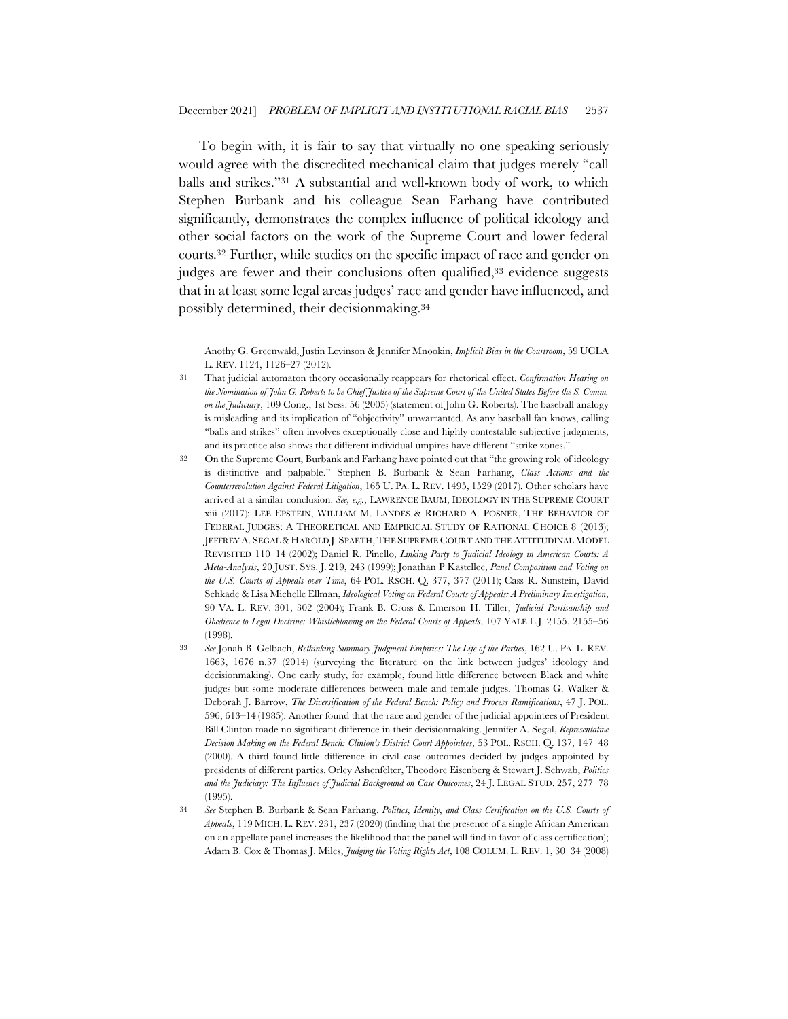To begin with, it is fair to say that virtually no one speaking seriously would agree with the discredited mechanical claim that judges merely "call balls and strikes."31 A substantial and well-known body of work, to which Stephen Burbank and his colleague Sean Farhang have contributed significantly, demonstrates the complex influence of political ideology and other social factors on the work of the Supreme Court and lower federal courts.32 Further, while studies on the specific impact of race and gender on judges are fewer and their conclusions often qualified,<sup>33</sup> evidence suggests that in at least some legal areas judges' race and gender have influenced, and possibly determined, their decisionmaking.34

Anothy G. Greenwald, Justin Levinson & Jennifer Mnookin, *Implicit Bias in the Courtroom*, 59 UCLA L. REV. 1124, 1126–27 (2012).

<sup>31</sup> That judicial automaton theory occasionally reappears for rhetorical effect. *Confirmation Hearing on the Nomination of John G. Roberts to be Chief Justice of the Supreme Court of the United States Before the S. Comm. on the Judiciary*, 109 Cong., 1st Sess. 56 (2005) (statement of John G. Roberts). The baseball analogy is misleading and its implication of "objectivity" unwarranted. As any baseball fan knows, calling "balls and strikes" often involves exceptionally close and highly contestable subjective judgments, and its practice also shows that different individual umpires have different "strike zones."

<sup>32</sup> On the Supreme Court, Burbank and Farhang have pointed out that "the growing role of ideology is distinctive and palpable." Stephen B. Burbank & Sean Farhang, *Class Actions and the Counterrevolution Against Federal Litigation*, 165 U. PA. L. REV. 1495, 1529 (2017). Other scholars have arrived at a similar conclusion. *See, e.g.*, LAWRENCE BAUM, IDEOLOGY IN THE SUPREME COURT xiii (2017); LEE EPSTEIN, WILLIAM M. LANDES & RICHARD A. POSNER, THE BEHAVIOR OF FEDERAL JUDGES: A THEORETICAL AND EMPIRICAL STUDY OF RATIONAL CHOICE 8 (2013); JEFFREY A. SEGAL & HAROLD J. SPAETH,THE SUPREME COURT AND THE ATTITUDINAL MODEL REVISITED 110–14 (2002); Daniel R. Pinello, *Linking Party to Judicial Ideology in American Courts: A Meta-Analysis*, 20 JUST. SYS. J. 219, 243 (1999); Jonathan P Kastellec, *Panel Composition and Voting on the U.S. Courts of Appeals over Time*, 64 POL. RSCH. Q. 377, 377 (2011); Cass R. Sunstein, David Schkade & Lisa Michelle Ellman, *Ideological Voting on Federal Courts of Appeals: A Preliminary Investigation*, 90 VA. L. REV. 301, 302 (2004); Frank B. Cross & Emerson H. Tiller, *Judicial Partisanship and Obedience to Legal Doctrine: Whistleblowing on the Federal Courts of Appeals*, 107 YALE L.J. 2155, 2155–56 (1998).

<sup>33</sup> *See* Jonah B. Gelbach, *Rethinking Summary Judgment Empirics: The Life of the Parties*, 162 U. PA. L. REV. 1663, 1676 n.37 (2014) (surveying the literature on the link between judges' ideology and decisionmaking). One early study, for example, found little difference between Black and white judges but some moderate differences between male and female judges. Thomas G. Walker & Deborah J. Barrow, *The Diversification of the Federal Bench: Policy and Process Ramifications*, 47 J. POL. 596, 613–14 (1985). Another found that the race and gender of the judicial appointees of President Bill Clinton made no significant difference in their decisionmaking. Jennifer A. Segal, *Representative Decision Making on the Federal Bench: Clinton's District Court Appointees*, 53 POL. RSCH. Q. 137, 147–48 (2000). A third found little difference in civil case outcomes decided by judges appointed by presidents of different parties. Orley Ashenfelter, Theodore Eisenberg & Stewart J. Schwab, *Politics and the Judiciary: The Influence of Judicial Background on Case Outcomes*, 24 J. LEGAL STUD. 257, 277–78 (1995).

<sup>34</sup> *See* Stephen B. Burbank & Sean Farhang, *Politics, Identity, and Class Certification on the U.S. Courts of Appeals*, 119 MICH. L. REV. 231, 237 (2020) (finding that the presence of a single African American on an appellate panel increases the likelihood that the panel will find in favor of class certification); Adam B. Cox & Thomas J. Miles, *Judging the Voting Rights Act*, 108 COLUM. L. REV. 1, 30–34 (2008)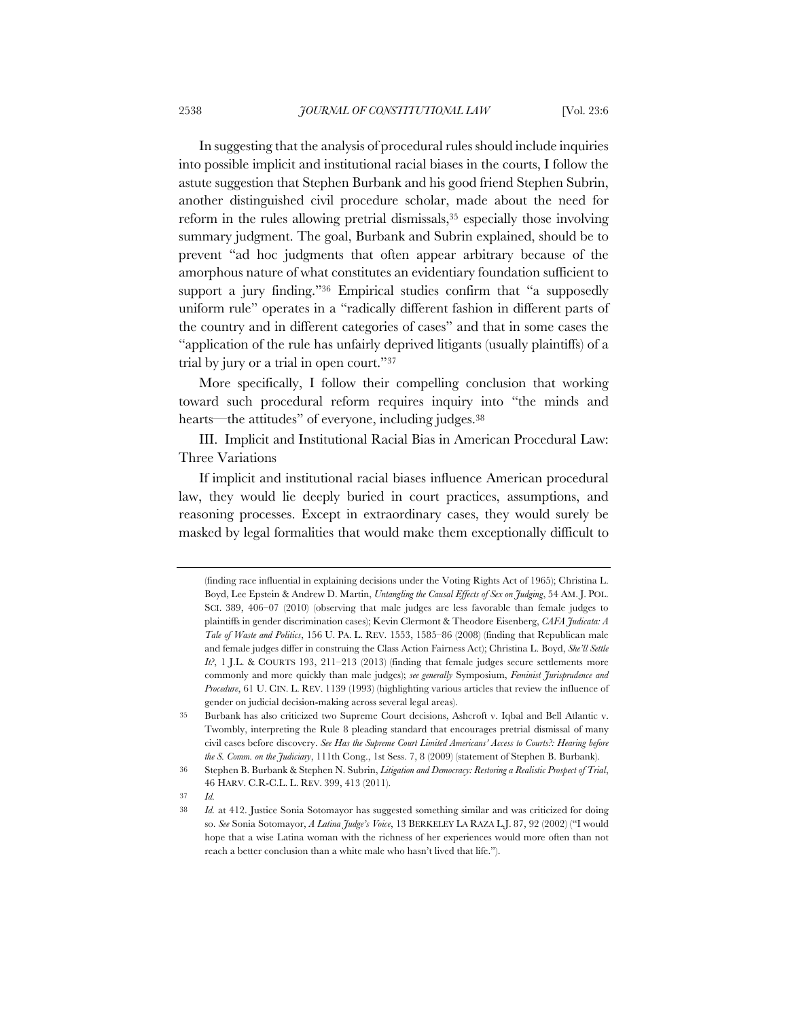In suggesting that the analysis of procedural rules should include inquiries into possible implicit and institutional racial biases in the courts, I follow the astute suggestion that Stephen Burbank and his good friend Stephen Subrin, another distinguished civil procedure scholar, made about the need for reform in the rules allowing pretrial dismissals,<sup>35</sup> especially those involving summary judgment. The goal, Burbank and Subrin explained, should be to prevent "ad hoc judgments that often appear arbitrary because of the amorphous nature of what constitutes an evidentiary foundation sufficient to support a jury finding."36 Empirical studies confirm that "a supposedly uniform rule" operates in a "radically different fashion in different parts of the country and in different categories of cases" and that in some cases the "application of the rule has unfairly deprived litigants (usually plaintiffs) of a trial by jury or a trial in open court."37

More specifically, I follow their compelling conclusion that working toward such procedural reform requires inquiry into "the minds and hearts—the attitudes" of everyone, including judges.<sup>38</sup>

III. Implicit and Institutional Racial Bias in American Procedural Law: Three Variations

If implicit and institutional racial biases influence American procedural law, they would lie deeply buried in court practices, assumptions, and reasoning processes. Except in extraordinary cases, they would surely be masked by legal formalities that would make them exceptionally difficult to

37 *Id.*

<sup>(</sup>finding race influential in explaining decisions under the Voting Rights Act of 1965); Christina L. Boyd, Lee Epstein & Andrew D. Martin, *Untangling the Causal Effects of Sex on Judging*, 54 AM. J. POL. SCI. 389, 406–07 (2010) (observing that male judges are less favorable than female judges to plaintiffs in gender discrimination cases); Kevin Clermont & Theodore Eisenberg, *CAFA Judicata: A Tale of Waste and Politics*, 156 U. PA. L. REV. 1553, 1585–86 (2008) (finding that Republican male and female judges differ in construing the Class Action Fairness Act); Christina L. Boyd, *She'll Settle It?*, 1 J.L. & COURTS 193, 211–213 (2013) (finding that female judges secure settlements more commonly and more quickly than male judges); *see generally* Symposium, *Feminist Jurisprudence and Procedure*, 61 U. CIN. L. REV. 1139 (1993) (highlighting various articles that review the influence of gender on judicial decision-making across several legal areas).

<sup>35</sup> Burbank has also criticized two Supreme Court decisions, Ashcroft v. Iqbal and Bell Atlantic v. Twombly, interpreting the Rule 8 pleading standard that encourages pretrial dismissal of many civil cases before discovery. *See Has the Supreme Court Limited Americans' Access to Courts?: Hearing before the S. Comm. on the Judiciary*, 111th Cong., 1st Sess. 7, 8 (2009) (statement of Stephen B. Burbank).

<sup>36</sup> Stephen B. Burbank & Stephen N. Subrin, *Litigation and Democracy: Restoring a Realistic Prospect of Trial*, 46 HARV. C.R-C.L. L. REV. 399, 413 (2011).

<sup>38</sup> *Id.* at 412. Justice Sonia Sotomayor has suggested something similar and was criticized for doing so. *See* Sonia Sotomayor, *A Latina Judge's Voice*, 13 BERKELEY LA RAZA L.J. 87, 92 (2002) ("I would hope that a wise Latina woman with the richness of her experiences would more often than not reach a better conclusion than a white male who hasn't lived that life.").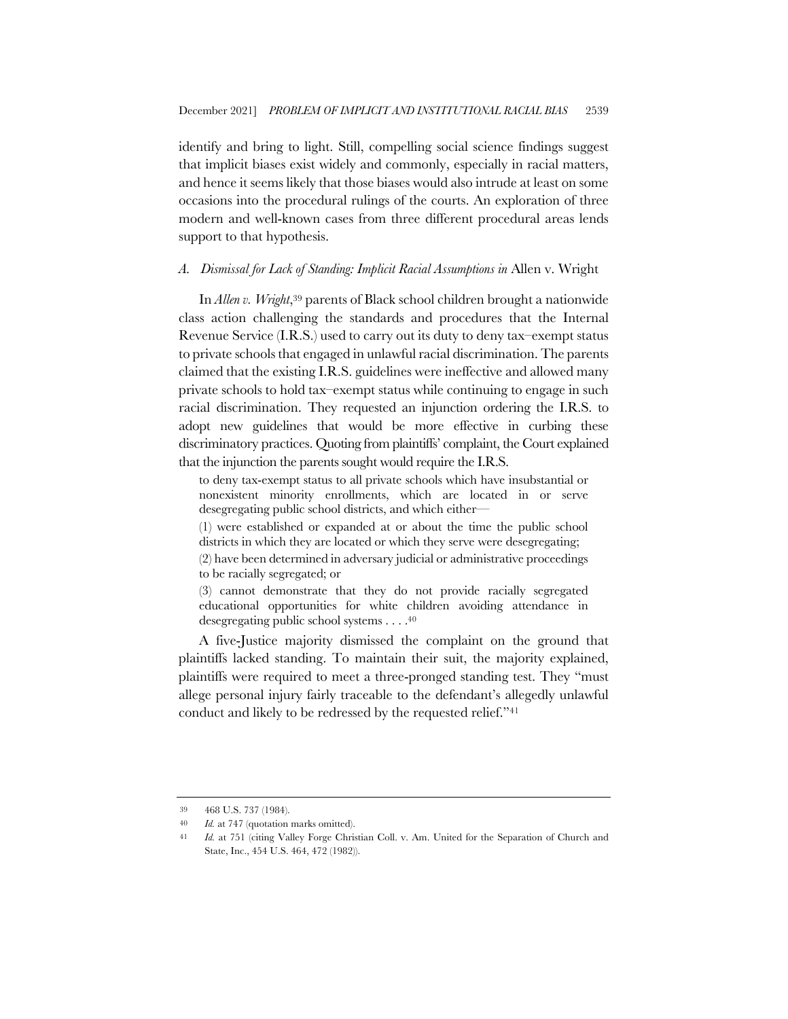identify and bring to light. Still, compelling social science findings suggest that implicit biases exist widely and commonly, especially in racial matters, and hence it seems likely that those biases would also intrude at least on some occasions into the procedural rulings of the courts. An exploration of three modern and well-known cases from three different procedural areas lends support to that hypothesis.

## *A. Dismissal for Lack of Standing: Implicit Racial Assumptions in* Allen v. Wright

In *Allen v. Wright*,39 parents of Black school children brought a nationwide class action challenging the standards and procedures that the Internal Revenue Service (I.R.S.) used to carry out its duty to deny tax–exempt status to private schools that engaged in unlawful racial discrimination. The parents claimed that the existing I.R.S. guidelines were ineffective and allowed many private schools to hold tax–exempt status while continuing to engage in such racial discrimination. They requested an injunction ordering the I.R.S. to adopt new guidelines that would be more effective in curbing these discriminatory practices. Quoting from plaintiffs' complaint, the Court explained that the injunction the parents sought would require the I.R.S.

to deny tax-exempt status to all private schools which have insubstantial or nonexistent minority enrollments, which are located in or serve desegregating public school districts, and which either—

(1) were established or expanded at or about the time the public school districts in which they are located or which they serve were desegregating;

(2) have been determined in adversary judicial or administrative proceedings to be racially segregated; or

(3) cannot demonstrate that they do not provide racially segregated educational opportunities for white children avoiding attendance in desegregating public school systems . . . .40

A five-Justice majority dismissed the complaint on the ground that plaintiffs lacked standing. To maintain their suit, the majority explained, plaintiffs were required to meet a three-pronged standing test. They "must allege personal injury fairly traceable to the defendant's allegedly unlawful conduct and likely to be redressed by the requested relief."41

<sup>39</sup> 468 U.S. 737 (1984).

<sup>40</sup> *Id.* at 747 (quotation marks omitted).

<sup>41</sup> *Id.* at 751 (citing Valley Forge Christian Coll. v. Am. United for the Separation of Church and State, Inc., 454 U.S. 464, 472 (1982)).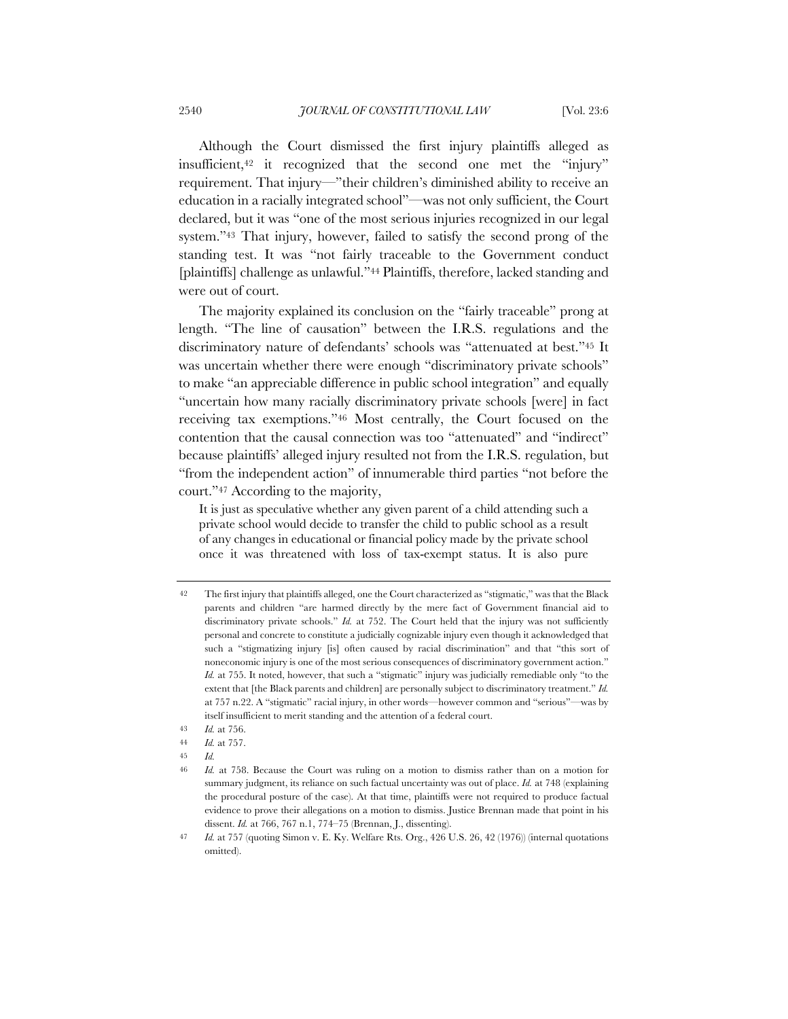Although the Court dismissed the first injury plaintiffs alleged as insufficient,42 it recognized that the second one met the "injury" requirement. That injury—"their children's diminished ability to receive an education in a racially integrated school"—was not only sufficient, the Court declared, but it was "one of the most serious injuries recognized in our legal system."43 That injury, however, failed to satisfy the second prong of the standing test. It was "not fairly traceable to the Government conduct [plaintiffs] challenge as unlawful."44 Plaintiffs, therefore, lacked standing and were out of court.

The majority explained its conclusion on the "fairly traceable" prong at length. "The line of causation" between the I.R.S. regulations and the discriminatory nature of defendants' schools was "attenuated at best."45 It was uncertain whether there were enough "discriminatory private schools" to make "an appreciable difference in public school integration" and equally "uncertain how many racially discriminatory private schools [were] in fact receiving tax exemptions."46 Most centrally, the Court focused on the contention that the causal connection was too "attenuated" and "indirect" because plaintiffs' alleged injury resulted not from the I.R.S. regulation, but "from the independent action" of innumerable third parties "not before the court."47 According to the majority,

It is just as speculative whether any given parent of a child attending such a private school would decide to transfer the child to public school as a result of any changes in educational or financial policy made by the private school once it was threatened with loss of tax-exempt status. It is also pure

<sup>42</sup> The first injury that plaintiffs alleged, one the Court characterized as "stigmatic," was that the Black parents and children "are harmed directly by the mere fact of Government financial aid to discriminatory private schools." *Id.* at 752. The Court held that the injury was not sufficiently personal and concrete to constitute a judicially cognizable injury even though it acknowledged that such a "stigmatizing injury [is] often caused by racial discrimination" and that "this sort of noneconomic injury is one of the most serious consequences of discriminatory government action." *Id.* at 755. It noted, however, that such a "stigmatic" injury was judicially remediable only "to the extent that [the Black parents and children] are personally subject to discriminatory treatment." *Id.* at 757 n.22. A "stigmatic" racial injury, in other words—however common and "serious"—was by itself insufficient to merit standing and the attention of a federal court.

<sup>43</sup> *Id.* at 756.

<sup>44</sup> *Id.* at 757.

<sup>45</sup> *Id.*

<sup>46</sup> *Id.* at 758. Because the Court was ruling on a motion to dismiss rather than on a motion for summary judgment, its reliance on such factual uncertainty was out of place. *Id.* at 748 (explaining the procedural posture of the case). At that time, plaintiffs were not required to produce factual evidence to prove their allegations on a motion to dismiss. Justice Brennan made that point in his dissent. *Id.* at 766, 767 n.1, 774–75 (Brennan, J., dissenting).

<sup>47</sup> *Id.* at 757 (quoting Simon v. E. Ky. Welfare Rts. Org., 426 U.S. 26, 42 (1976)) (internal quotations omitted).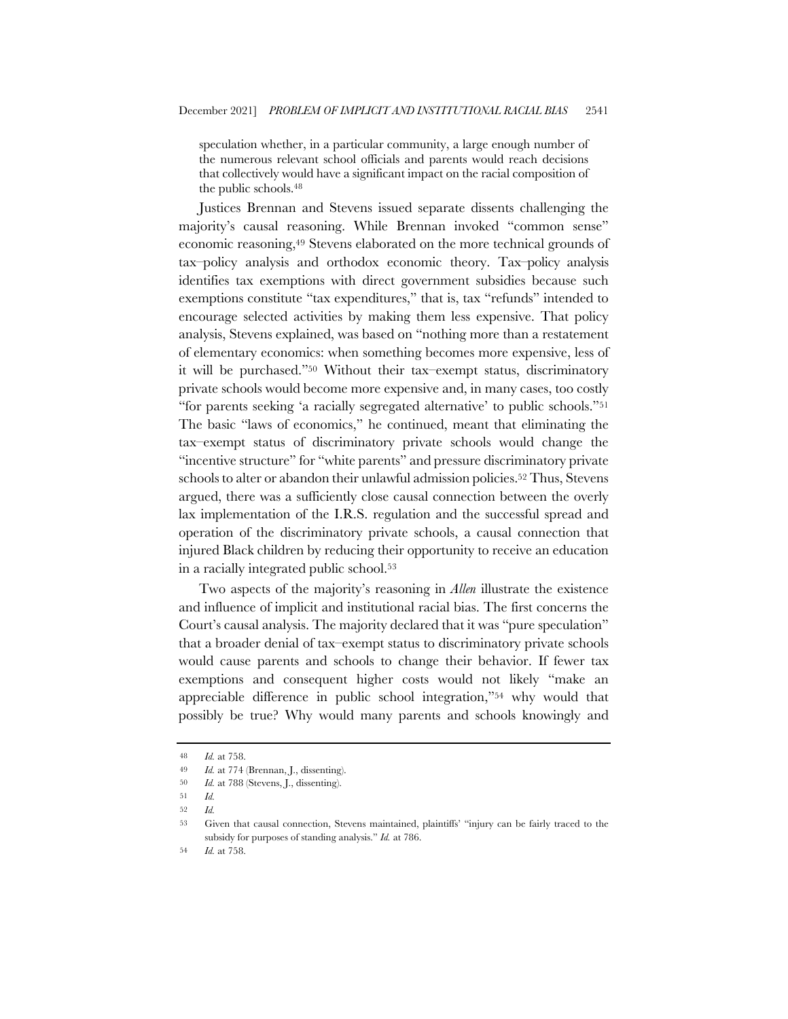speculation whether, in a particular community, a large enough number of the numerous relevant school officials and parents would reach decisions that collectively would have a significant impact on the racial composition of the public schools.48

Justices Brennan and Stevens issued separate dissents challenging the majority's causal reasoning. While Brennan invoked "common sense" economic reasoning,49 Stevens elaborated on the more technical grounds of tax–policy analysis and orthodox economic theory. Tax–policy analysis identifies tax exemptions with direct government subsidies because such exemptions constitute "tax expenditures," that is, tax "refunds" intended to encourage selected activities by making them less expensive. That policy analysis, Stevens explained, was based on "nothing more than a restatement of elementary economics: when something becomes more expensive, less of it will be purchased."50 Without their tax–exempt status, discriminatory private schools would become more expensive and, in many cases, too costly "for parents seeking 'a racially segregated alternative' to public schools."51 The basic "laws of economics," he continued, meant that eliminating the tax–exempt status of discriminatory private schools would change the "incentive structure" for "white parents" and pressure discriminatory private schools to alter or abandon their unlawful admission policies.<sup>52</sup> Thus, Stevens argued, there was a sufficiently close causal connection between the overly lax implementation of the I.R.S. regulation and the successful spread and operation of the discriminatory private schools, a causal connection that injured Black children by reducing their opportunity to receive an education in a racially integrated public school.53

Two aspects of the majority's reasoning in *Allen* illustrate the existence and influence of implicit and institutional racial bias. The first concerns the Court's causal analysis. The majority declared that it was "pure speculation" that a broader denial of tax–exempt status to discriminatory private schools would cause parents and schools to change their behavior. If fewer tax exemptions and consequent higher costs would not likely "make an appreciable difference in public school integration,"54 why would that possibly be true? Why would many parents and schools knowingly and

<sup>48</sup> *Id.* at 758.

<sup>49</sup> *Id.* at 774 (Brennan, J., dissenting).

<sup>50</sup> *Id.* at 788 (Stevens, J., dissenting).

<sup>51</sup> *Id.*

<sup>52</sup> *Id.*

<sup>53</sup> Given that causal connection, Stevens maintained, plaintiffs' "injury can be fairly traced to the subsidy for purposes of standing analysis." *Id.* at 786.

<sup>54</sup> *Id.* at 758.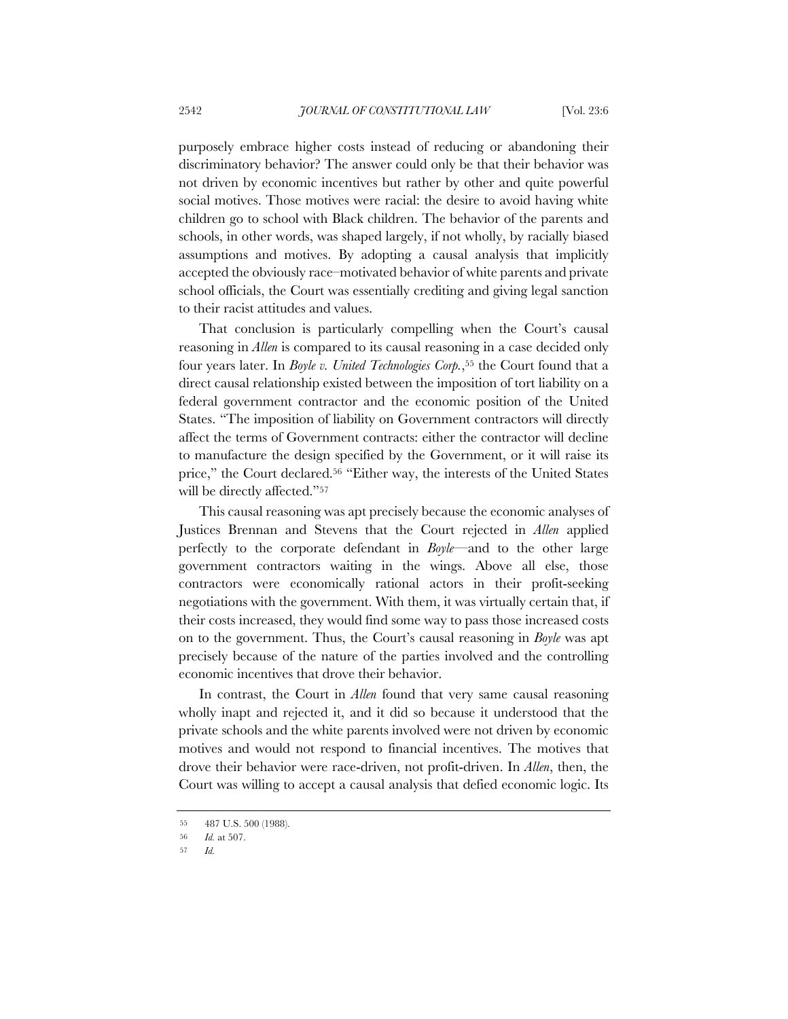purposely embrace higher costs instead of reducing or abandoning their discriminatory behavior? The answer could only be that their behavior was not driven by economic incentives but rather by other and quite powerful social motives. Those motives were racial: the desire to avoid having white children go to school with Black children. The behavior of the parents and schools, in other words, was shaped largely, if not wholly, by racially biased assumptions and motives. By adopting a causal analysis that implicitly accepted the obviously race–motivated behavior of white parents and private school officials, the Court was essentially crediting and giving legal sanction to their racist attitudes and values.

That conclusion is particularly compelling when the Court's causal reasoning in *Allen* is compared to its causal reasoning in a case decided only four years later. In *Boyle v. United Technologies Corp.*,55 the Court found that a direct causal relationship existed between the imposition of tort liability on a federal government contractor and the economic position of the United States. "The imposition of liability on Government contractors will directly affect the terms of Government contracts: either the contractor will decline to manufacture the design specified by the Government, or it will raise its price," the Court declared.56 "Either way, the interests of the United States will be directly affected."<sup>57</sup>

This causal reasoning was apt precisely because the economic analyses of Justices Brennan and Stevens that the Court rejected in *Allen* applied perfectly to the corporate defendant in *Boyle*—and to the other large government contractors waiting in the wings. Above all else, those contractors were economically rational actors in their profit-seeking negotiations with the government. With them, it was virtually certain that, if their costs increased, they would find some way to pass those increased costs on to the government. Thus, the Court's causal reasoning in *Boyle* was apt precisely because of the nature of the parties involved and the controlling economic incentives that drove their behavior.

In contrast, the Court in *Allen* found that very same causal reasoning wholly inapt and rejected it, and it did so because it understood that the private schools and the white parents involved were not driven by economic motives and would not respond to financial incentives. The motives that drove their behavior were race-driven, not profit-driven. In *Allen*, then, the Court was willing to accept a causal analysis that defied economic logic. Its

<sup>55</sup> 487 U.S. 500 (1988).

<sup>56</sup> *Id.* at 507.

<sup>57</sup> *Id.*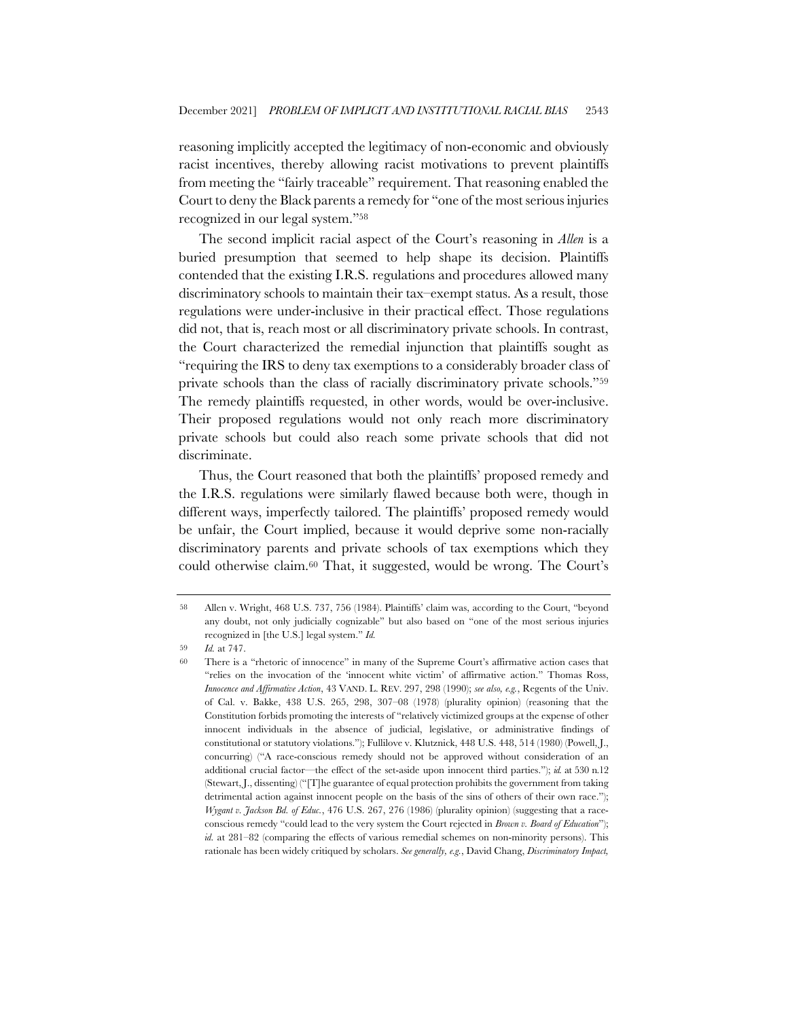reasoning implicitly accepted the legitimacy of non-economic and obviously racist incentives, thereby allowing racist motivations to prevent plaintiffs from meeting the "fairly traceable" requirement. That reasoning enabled the Court to deny the Black parents a remedy for "one of the most serious injuries recognized in our legal system."58

The second implicit racial aspect of the Court's reasoning in *Allen* is a buried presumption that seemed to help shape its decision. Plaintiffs contended that the existing I.R.S. regulations and procedures allowed many discriminatory schools to maintain their tax–exempt status. As a result, those regulations were under-inclusive in their practical effect. Those regulations did not, that is, reach most or all discriminatory private schools. In contrast, the Court characterized the remedial injunction that plaintiffs sought as "requiring the IRS to deny tax exemptions to a considerably broader class of private schools than the class of racially discriminatory private schools."59 The remedy plaintiffs requested, in other words, would be over-inclusive. Their proposed regulations would not only reach more discriminatory private schools but could also reach some private schools that did not discriminate.

Thus, the Court reasoned that both the plaintiffs' proposed remedy and the I.R.S. regulations were similarly flawed because both were, though in different ways, imperfectly tailored. The plaintiffs' proposed remedy would be unfair, the Court implied, because it would deprive some non-racially discriminatory parents and private schools of tax exemptions which they could otherwise claim.60 That, it suggested, would be wrong. The Court's

<sup>58</sup> Allen v. Wright, 468 U.S. 737, 756 (1984). Plaintiffs' claim was, according to the Court, "beyond any doubt, not only judicially cognizable" but also based on "one of the most serious injuries recognized in [the U.S.] legal system." *Id.*

<sup>59</sup> *Id.* at 747.

<sup>60</sup> There is a "rhetoric of innocence" in many of the Supreme Court's affirmative action cases that "relies on the invocation of the 'innocent white victim' of affirmative action." Thomas Ross, *Innocence and Affirmative Action*, 43 VAND. L. REV. 297, 298 (1990); *see also, e.g.*, Regents of the Univ. of Cal. v. Bakke, 438 U.S. 265, 298, 307–08 (1978) (plurality opinion) (reasoning that the Constitution forbids promoting the interests of "relatively victimized groups at the expense of other innocent individuals in the absence of judicial, legislative, or administrative findings of constitutional or statutory violations."); Fullilove v. Klutznick, 448 U.S. 448, 514 (1980) (Powell, J., concurring) ("A race-conscious remedy should not be approved without consideration of an additional crucial factor—the effect of the set-aside upon innocent third parties."); *id.* at 530 n.12 (Stewart, J., dissenting) ("[T]he guarantee of equal protection prohibits the government from taking detrimental action against innocent people on the basis of the sins of others of their own race."); *Wygant v. Jackson Bd. of Educ.*, 476 U.S. 267, 276 (1986) (plurality opinion) (suggesting that a raceconscious remedy "could lead to the very system the Court rejected in *Brown v. Board of Education*"); *id.* at 281–82 (comparing the effects of various remedial schemes on non-minority persons). This rationale has been widely critiqued by scholars. *See generally, e.g.*, David Chang, *Discriminatory Impact,*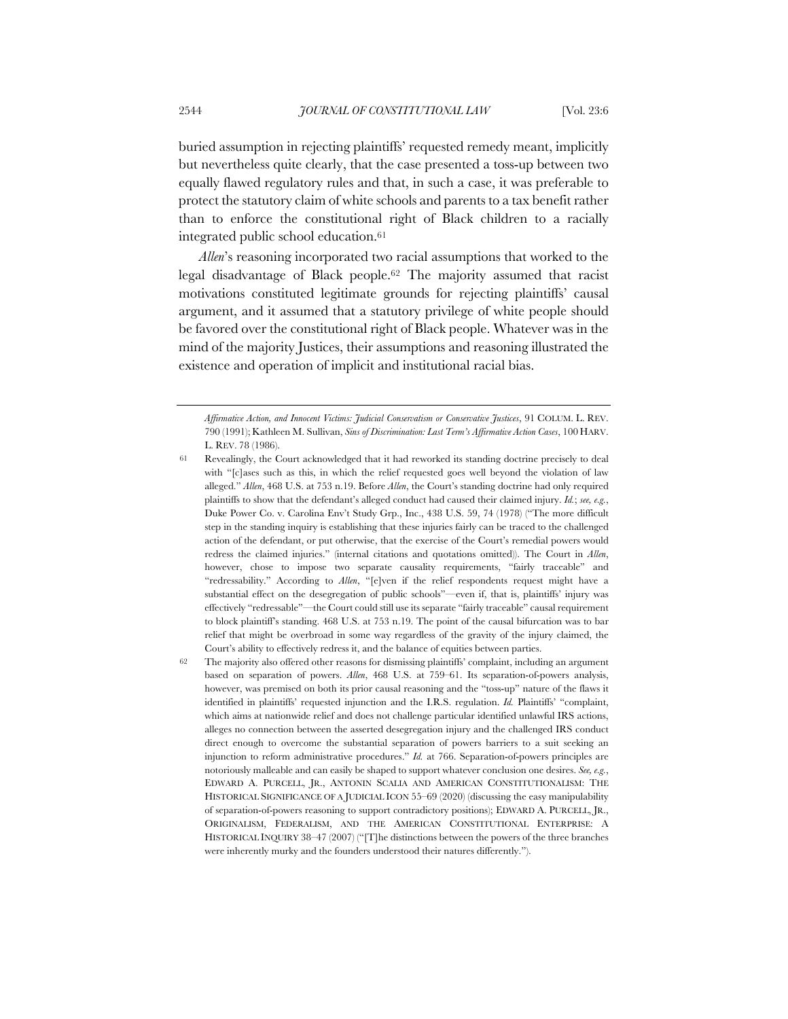buried assumption in rejecting plaintiffs' requested remedy meant, implicitly but nevertheless quite clearly, that the case presented a toss-up between two equally flawed regulatory rules and that, in such a case, it was preferable to protect the statutory claim of white schools and parents to a tax benefit rather than to enforce the constitutional right of Black children to a racially integrated public school education.61

*Allen*'s reasoning incorporated two racial assumptions that worked to the legal disadvantage of Black people.62 The majority assumed that racist motivations constituted legitimate grounds for rejecting plaintiffs' causal argument, and it assumed that a statutory privilege of white people should be favored over the constitutional right of Black people. Whatever was in the mind of the majority Justices, their assumptions and reasoning illustrated the existence and operation of implicit and institutional racial bias.

62 The majority also offered other reasons for dismissing plaintiffs' complaint, including an argument based on separation of powers. *Allen*, 468 U.S. at 759–61. Its separation-of-powers analysis, however, was premised on both its prior causal reasoning and the "toss-up" nature of the flaws it identified in plaintiffs' requested injunction and the I.R.S. regulation. *Id.* Plaintiffs' "complaint, which aims at nationwide relief and does not challenge particular identified unlawful IRS actions, alleges no connection between the asserted desegregation injury and the challenged IRS conduct direct enough to overcome the substantial separation of powers barriers to a suit seeking an injunction to reform administrative procedures." *Id.* at 766. Separation-of-powers principles are notoriously malleable and can easily be shaped to support whatever conclusion one desires. *See, e.g.*, EDWARD A. PURCELL, JR., ANTONIN SCALIA AND AMERICAN CONSTITUTIONALISM: THE HISTORICAL SIGNIFICANCE OF A JUDICIAL ICON 55–69 (2020) (discussing the easy manipulability of separation-of-powers reasoning to support contradictory positions); EDWARD A. PURCELL, JR., ORIGINALISM, FEDERALISM, AND THE AMERICAN CONSTITUTIONAL ENTERPRISE: A HISTORICAL INQUIRY 38–47 (2007) ("[T]he distinctions between the powers of the three branches were inherently murky and the founders understood their natures differently.").

*Affirmative Action, and Innocent Victims: Judicial Conservatism or Conservative Justices*, 91 COLUM. L. REV. 790 (1991); Kathleen M. Sullivan, *Sins of Discrimination: Last Term's Affirmative Action Cases*, 100 HARV. L. REV. 78 (1986).

<sup>61</sup> Revealingly, the Court acknowledged that it had reworked its standing doctrine precisely to deal with "[c]ases such as this, in which the relief requested goes well beyond the violation of law alleged." *Allen*, 468 U.S. at 753 n.19. Before *Allen*, the Court's standing doctrine had only required plaintiffs to show that the defendant's alleged conduct had caused their claimed injury. *Id.*; *see, e.g.*, Duke Power Co. v. Carolina Env't Study Grp., Inc., 438 U.S. 59, 74 (1978) ("The more difficult step in the standing inquiry is establishing that these injuries fairly can be traced to the challenged action of the defendant, or put otherwise, that the exercise of the Court's remedial powers would redress the claimed injuries." (internal citations and quotations omitted)). The Court in *Allen*, however, chose to impose two separate causality requirements, "fairly traceable" and "redressability." According to *Allen*, "[e]ven if the relief respondents request might have a substantial effect on the desegregation of public schools"—even if, that is, plaintiffs' injury was effectively "redressable"—the Court could still use its separate "fairly traceable" causal requirement to block plaintiff's standing. 468 U.S. at 753 n.19. The point of the causal bifurcation was to bar relief that might be overbroad in some way regardless of the gravity of the injury claimed, the Court's ability to effectively redress it, and the balance of equities between parties.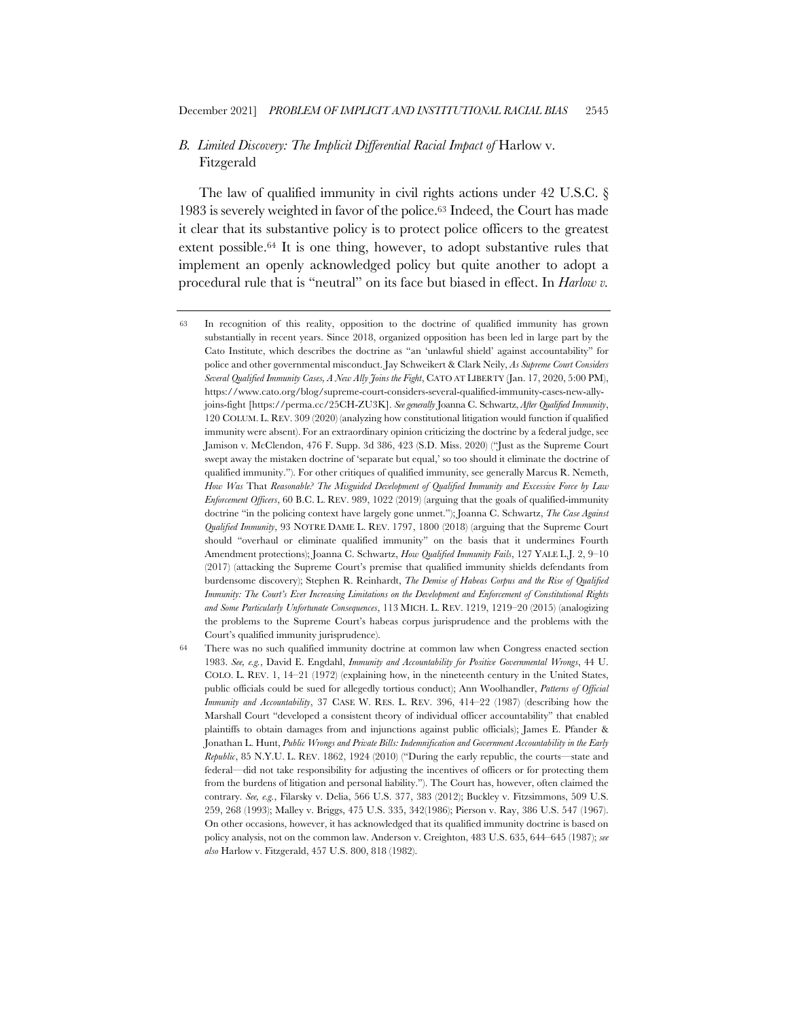# *B. Limited Discovery: The Implicit Differential Racial Impact of* Harlow v. Fitzgerald

The law of qualified immunity in civil rights actions under 42 U.S.C. § 1983 is severely weighted in favor of the police.63 Indeed, the Court has made it clear that its substantive policy is to protect police officers to the greatest extent possible.64 It is one thing, however, to adopt substantive rules that implement an openly acknowledged policy but quite another to adopt a procedural rule that is "neutral" on its face but biased in effect. In *Harlow v.* 

<sup>63</sup> In recognition of this reality, opposition to the doctrine of qualified immunity has grown substantially in recent years. Since 2018, organized opposition has been led in large part by the Cato Institute, which describes the doctrine as "an 'unlawful shield' against accountability" for police and other governmental misconduct. Jay Schweikert & Clark Neily, *As Supreme Court Considers Several Qualified Immunity Cases, A New Ally Joins the Fight*, CATO AT LIBERTY (Jan. 17, 2020, 5:00 PM), https://www.cato.org/blog/supreme-court-considers-several-qualified-immunity-cases-new-allyjoins-fight [https://perma.cc/25CH-ZU3K]. *See generally* Joanna C. Schwartz, *After Qualified Immunity*, 120 COLUM. L. REV. 309 (2020) (analyzing how constitutional litigation would function if qualified immunity were absent). For an extraordinary opinion criticizing the doctrine by a federal judge, see Jamison v. McClendon, 476 F. Supp. 3d 386, 423 (S.D. Miss. 2020) ("Just as the Supreme Court swept away the mistaken doctrine of 'separate but equal,' so too should it eliminate the doctrine of qualified immunity."). For other critiques of qualified immunity, see generally Marcus R. Nemeth, *How Was* That *Reasonable? The Misguided Development of Qualified Immunity and Excessive Force by Law Enforcement Officers*, 60 B.C. L. REV. 989, 1022 (2019) (arguing that the goals of qualified-immunity doctrine "in the policing context have largely gone unmet."); Joanna C. Schwartz, *The Case Against Qualified Immunity*, 93 NOTRE DAME L. REV. 1797, 1800 (2018) (arguing that the Supreme Court should "overhaul or eliminate qualified immunity" on the basis that it undermines Fourth Amendment protections); Joanna C. Schwartz, *How Qualified Immunity Fails*, 127 YALE L.J. 2, 9–10 (2017) (attacking the Supreme Court's premise that qualified immunity shields defendants from burdensome discovery); Stephen R. Reinhardt, *The Demise of Habeas Corpus and the Rise of Qualified Immunity: The Court's Ever Increasing Limitations on the Development and Enforcement of Constitutional Rights and Some Particularly Unfortunate Consequences*, 113 MICH. L. REV. 1219, 1219–20 (2015) (analogizing the problems to the Supreme Court's habeas corpus jurisprudence and the problems with the Court's qualified immunity jurisprudence).

<sup>64</sup> There was no such qualified immunity doctrine at common law when Congress enacted section 1983. *See, e.g.*, David E. Engdahl, *Immunity and Accountability for Positive Governmental Wrongs*, 44 U. COLO. L. REV. 1, 14–21 (1972) (explaining how, in the nineteenth century in the United States, public officials could be sued for allegedly tortious conduct); Ann Woolhandler, *Patterns of Official Immunity and Accountability*, 37 CASE W. RES. L. REV. 396, 414–22 (1987) (describing how the Marshall Court "developed a consistent theory of individual officer accountability" that enabled plaintiffs to obtain damages from and injunctions against public officials); James E. Pfander & Jonathan L. Hunt, *Public Wrongs and Private Bills: Indemnification and Government Accountability in the Early Republic*, 85 N.Y.U. L. REV. 1862, 1924 (2010) ("During the early republic, the courts—state and federal—did not take responsibility for adjusting the incentives of officers or for protecting them from the burdens of litigation and personal liability."). The Court has, however, often claimed the contrary. *See, e.g.*, Filarsky v. Delia, 566 U.S. 377, 383 (2012); Buckley v. Fitzsimmons, 509 U.S. 259, 268 (1993); Malley v. Briggs, 475 U.S. 335, 342(1986); Pierson v. Ray, 386 U.S. 547 (1967). On other occasions, however, it has acknowledged that its qualified immunity doctrine is based on policy analysis, not on the common law. Anderson v. Creighton, 483 U.S. 635, 644–645 (1987); *see also* Harlow v. Fitzgerald, 457 U.S. 800, 818 (1982).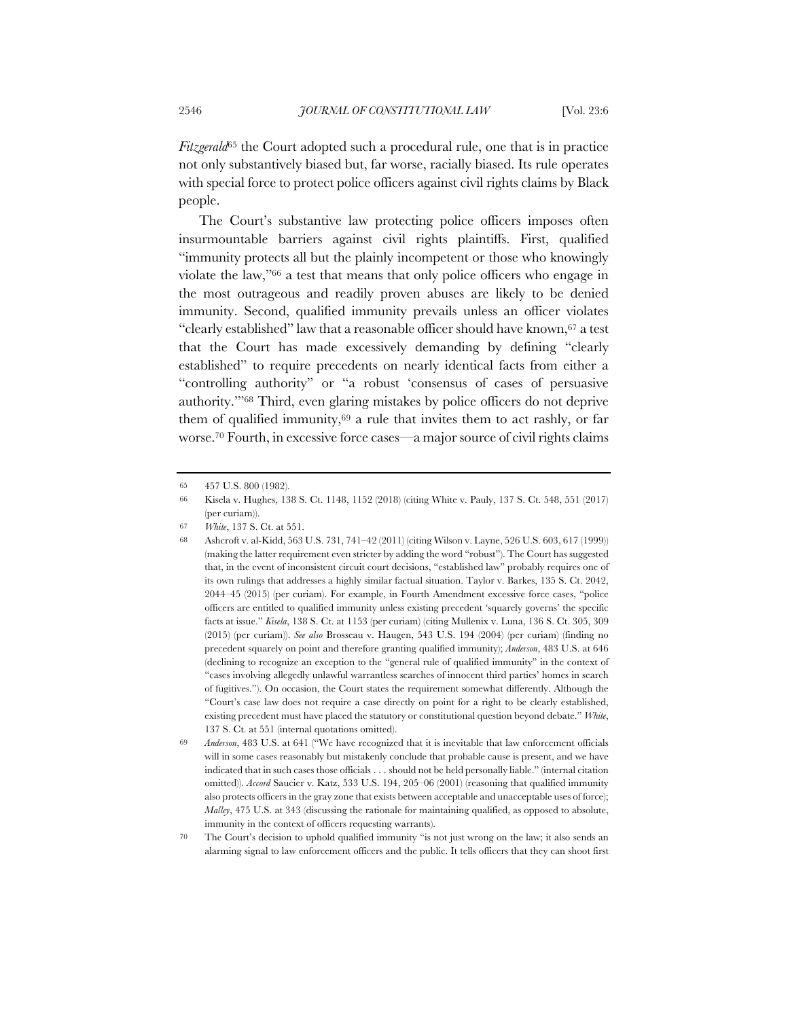*Fitzgerald*<sup>65</sup> the Court adopted such a procedural rule, one that is in practice not only substantively biased but, far worse, racially biased. Its rule operates with special force to protect police officers against civil rights claims by Black people.

The Court's substantive law protecting police officers imposes often insurmountable barriers against civil rights plaintiffs. First, qualified "immunity protects all but the plainly incompetent or those who knowingly violate the law,"66 a test that means that only police officers who engage in the most outrageous and readily proven abuses are likely to be denied immunity. Second, qualified immunity prevails unless an officer violates "clearly established" law that a reasonable officer should have known,67 a test that the Court has made excessively demanding by defining "clearly established" to require precedents on nearly identical facts from either a "controlling authority" or "a robust 'consensus of cases of persuasive authority.'"68 Third, even glaring mistakes by police officers do not deprive them of qualified immunity, $69$  a rule that invites them to act rashly, or far worse.70 Fourth, in excessive force cases—a major source of civil rights claims

67 *White*, 137 S. Ct. at 551.

<sup>65</sup> 457 U.S. 800 (1982).

<sup>66</sup> Kisela v. Hughes, 138 S. Ct. 1148, 1152 (2018) (citing White v. Pauly, 137 S. Ct. 548, 551 (2017) (per curiam)).

<sup>68</sup> Ashcroft v. al-Kidd, 563 U.S. 731, 741–42 (2011) (citing Wilson v. Layne, 526 U.S. 603, 617 (1999)) (making the latter requirement even stricter by adding the word "robust"). The Court has suggested that, in the event of inconsistent circuit court decisions, "established law" probably requires one of its own rulings that addresses a highly similar factual situation. Taylor v. Barkes, 135 S. Ct. 2042, 2044–45 (2015) (per curiam). For example, in Fourth Amendment excessive force cases, "police officers are entitled to qualified immunity unless existing precedent 'squarely governs' the specific facts at issue." *Kisela*, 138 S. Ct. at 1153 (per curiam) (citing Mullenix v. Luna, 136 S. Ct. 305, 309 (2015) (per curiam)). *See also* Brosseau v. Haugen, 543 U.S. 194 (2004) (per curiam) (finding no precedent squarely on point and therefore granting qualified immunity); *Anderson*, 483 U.S. at 646 (declining to recognize an exception to the "general rule of qualified immunity" in the context of "cases involving allegedly unlawful warrantless searches of innocent third parties' homes in search of fugitives."). On occasion, the Court states the requirement somewhat differently. Although the "Court's case law does not require a case directly on point for a right to be clearly established, existing precedent must have placed the statutory or constitutional question beyond debate." *White*, 137 S. Ct. at 551 (internal quotations omitted).

<sup>69</sup> *Anderson*, 483 U.S. at 641 ("We have recognized that it is inevitable that law enforcement officials will in some cases reasonably but mistakenly conclude that probable cause is present, and we have indicated that in such cases those officials . . . should not be held personally liable." (internal citation omitted)). *Accord* Saucier v. Katz, 533 U.S. 194, 205–06 (2001) (reasoning that qualified immunity also protects officers in the gray zone that exists between acceptable and unacceptable uses of force); *Malley*, 475 U.S. at 343 (discussing the rationale for maintaining qualified, as opposed to absolute, immunity in the context of officers requesting warrants).

<sup>70</sup> The Court's decision to uphold qualified immunity "is not just wrong on the law; it also sends an alarming signal to law enforcement officers and the public. It tells officers that they can shoot first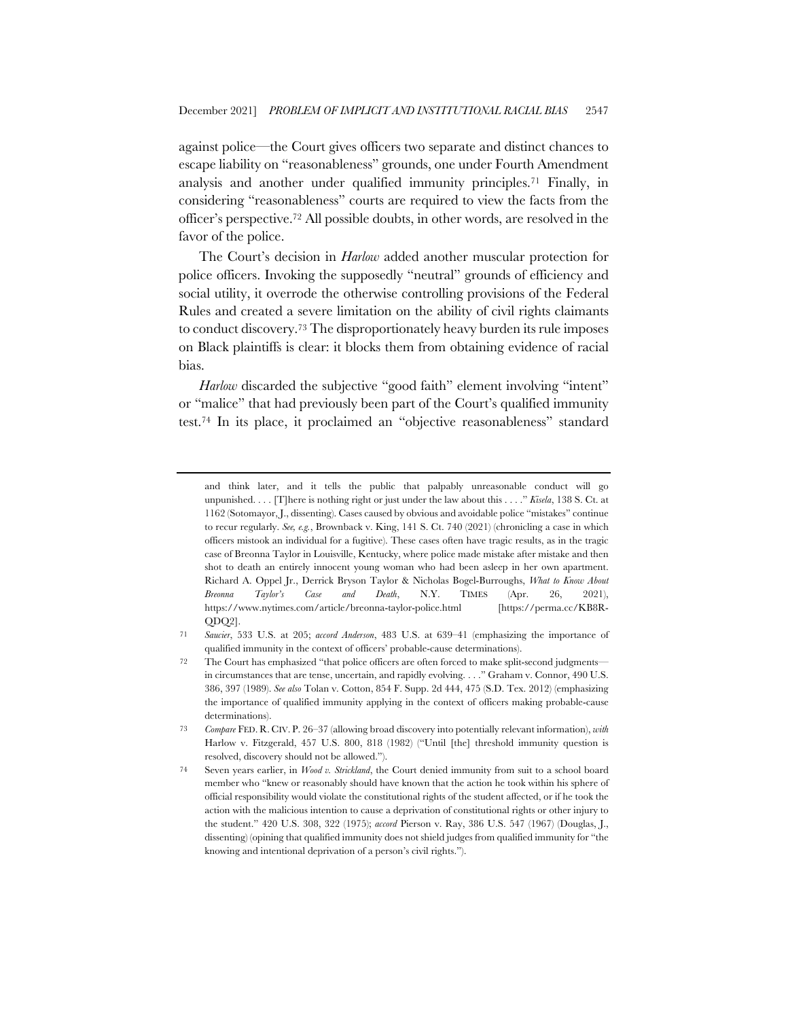against police—the Court gives officers two separate and distinct chances to escape liability on "reasonableness" grounds, one under Fourth Amendment analysis and another under qualified immunity principles.71 Finally, in considering "reasonableness" courts are required to view the facts from the officer's perspective.72 All possible doubts, in other words, are resolved in the favor of the police.

The Court's decision in *Harlow* added another muscular protection for police officers. Invoking the supposedly "neutral" grounds of efficiency and social utility, it overrode the otherwise controlling provisions of the Federal Rules and created a severe limitation on the ability of civil rights claimants to conduct discovery.73 The disproportionately heavy burden its rule imposes on Black plaintiffs is clear: it blocks them from obtaining evidence of racial bias.

*Harlow* discarded the subjective "good faith" element involving "intent" or "malice" that had previously been part of the Court's qualified immunity test.74 In its place, it proclaimed an "objective reasonableness" standard

and think later, and it tells the public that palpably unreasonable conduct will go unpunished. . . . [T]here is nothing right or just under the law about this . . . ." *Kisela*, 138 S. Ct. at 1162 (Sotomayor, J., dissenting). Cases caused by obvious and avoidable police "mistakes" continue to recur regularly. *See, e.g.*, Brownback v. King, 141 S. Ct. 740 (2021) (chronicling a case in which officers mistook an individual for a fugitive). These cases often have tragic results, as in the tragic case of Breonna Taylor in Louisville, Kentucky, where police made mistake after mistake and then shot to death an entirely innocent young woman who had been asleep in her own apartment. Richard A. Oppel Jr., Derrick Bryson Taylor & Nicholas Bogel-Burroughs, *What to Know About Breonna Taylor's Case and Death*, N.Y. TIMES (Apr. 26, 2021), https://www.nytimes.com/article/breonna-taylor-police.html [https://perma.cc/KB8R-QDQ2].

<sup>71</sup> *Saucier*, 533 U.S. at 205; *accord Anderson*, 483 U.S. at 639–41 (emphasizing the importance of qualified immunity in the context of officers' probable-cause determinations).

<sup>72</sup> The Court has emphasized "that police officers are often forced to make split-second judgments in circumstances that are tense, uncertain, and rapidly evolving. . . ." Graham v. Connor, 490 U.S. 386, 397 (1989). *See also* Tolan v. Cotton, 854 F. Supp. 2d 444, 475 (S.D. Tex. 2012) (emphasizing the importance of qualified immunity applying in the context of officers making probable-cause determinations).

<sup>73</sup> *Compare* FED. R. CIV. P. 26–37 (allowing broad discovery into potentially relevant information), *with* Harlow v. Fitzgerald, 457 U.S. 800, 818 (1982) ("Until [the] threshold immunity question is resolved, discovery should not be allowed.").

<sup>74</sup> Seven years earlier, in *Wood v. Strickland*, the Court denied immunity from suit to a school board member who "knew or reasonably should have known that the action he took within his sphere of official responsibility would violate the constitutional rights of the student affected, or if he took the action with the malicious intention to cause a deprivation of constitutional rights or other injury to the student." 420 U.S. 308, 322 (1975); *accord* Pierson v. Ray, 386 U.S. 547 (1967) (Douglas, J., dissenting) (opining that qualified immunity does not shield judges from qualified immunity for "the knowing and intentional deprivation of a person's civil rights.").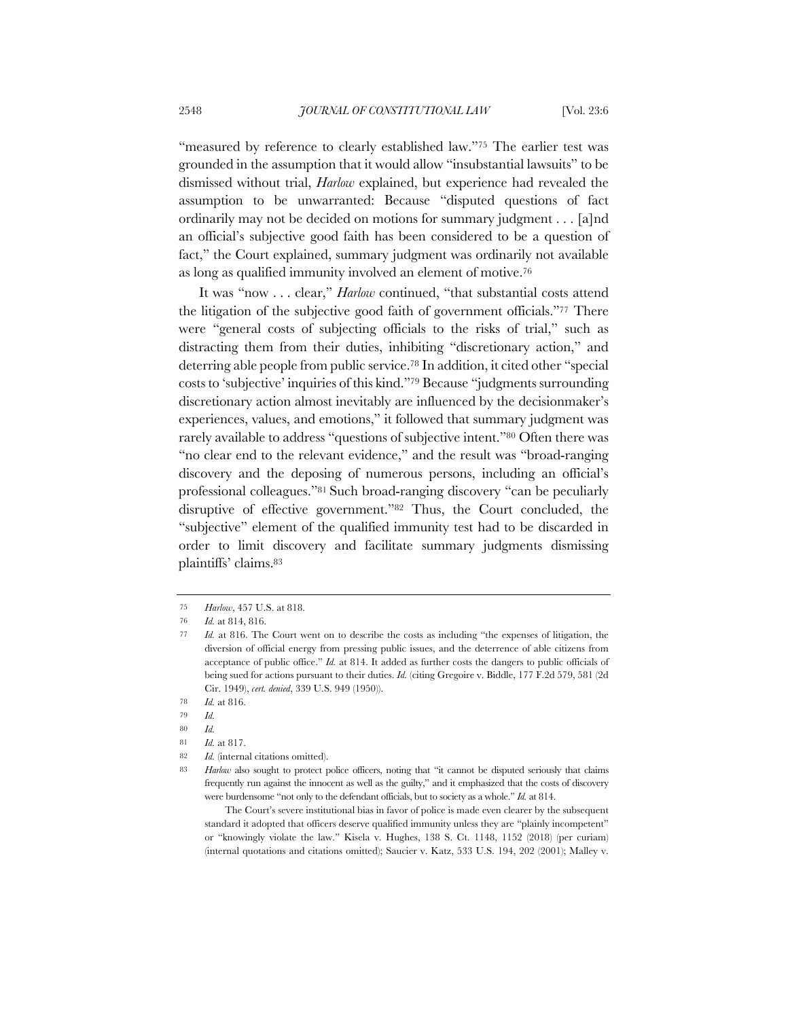"measured by reference to clearly established law."75 The earlier test was grounded in the assumption that it would allow "insubstantial lawsuits" to be dismissed without trial, *Harlow* explained, but experience had revealed the assumption to be unwarranted: Because "disputed questions of fact ordinarily may not be decided on motions for summary judgment . . . [a]nd an official's subjective good faith has been considered to be a question of fact," the Court explained, summary judgment was ordinarily not available as long as qualified immunity involved an element of motive.76

It was "now . . . clear," *Harlow* continued, "that substantial costs attend the litigation of the subjective good faith of government officials."77 There were "general costs of subjecting officials to the risks of trial," such as distracting them from their duties, inhibiting "discretionary action," and deterring able people from public service.78 In addition, it cited other "special costs to 'subjective' inquiries of this kind."79 Because "judgments surrounding discretionary action almost inevitably are influenced by the decisionmaker's experiences, values, and emotions," it followed that summary judgment was rarely available to address "questions of subjective intent."80 Often there was "no clear end to the relevant evidence," and the result was "broad-ranging discovery and the deposing of numerous persons, including an official's professional colleagues."81 Such broad-ranging discovery "can be peculiarly disruptive of effective government."82 Thus, the Court concluded, the "subjective" element of the qualified immunity test had to be discarded in order to limit discovery and facilitate summary judgments dismissing plaintiffs' claims.83

<sup>75</sup> *Harlow*, 457 U.S. at 818.

<sup>76</sup> *Id.* at 814, 816.

<sup>77</sup> *Id.* at 816. The Court went on to describe the costs as including "the expenses of litigation, the diversion of official energy from pressing public issues, and the deterrence of able citizens from acceptance of public office." *Id.* at 814. It added as further costs the dangers to public officials of being sued for actions pursuant to their duties. *Id.* (citing Gregoire v. Biddle, 177 F.2d 579, 581 (2d Cir. 1949), *cert. denied*, 339 U.S. 949 (1950)).

<sup>78</sup> *Id.* at 816.

<sup>79</sup> *Id.*

<sup>80</sup> *Id.*

<sup>81</sup> *Id.* at 817.

<sup>82</sup> *Id.* (internal citations omitted).

<sup>83</sup> *Harlow* also sought to protect police officers, noting that "it cannot be disputed seriously that claims frequently run against the innocent as well as the guilty," and it emphasized that the costs of discovery were burdensome "not only to the defendant officials, but to society as a whole." *Id.* at 814.

The Court's severe institutional bias in favor of police is made even clearer by the subsequent standard it adopted that officers deserve qualified immunity unless they are "plainly incompetent" or "knowingly violate the law." Kisela v. Hughes, 138 S. Ct. 1148, 1152 (2018) (per curiam) (internal quotations and citations omitted); Saucier v. Katz, 533 U.S. 194, 202 (2001); Malley v.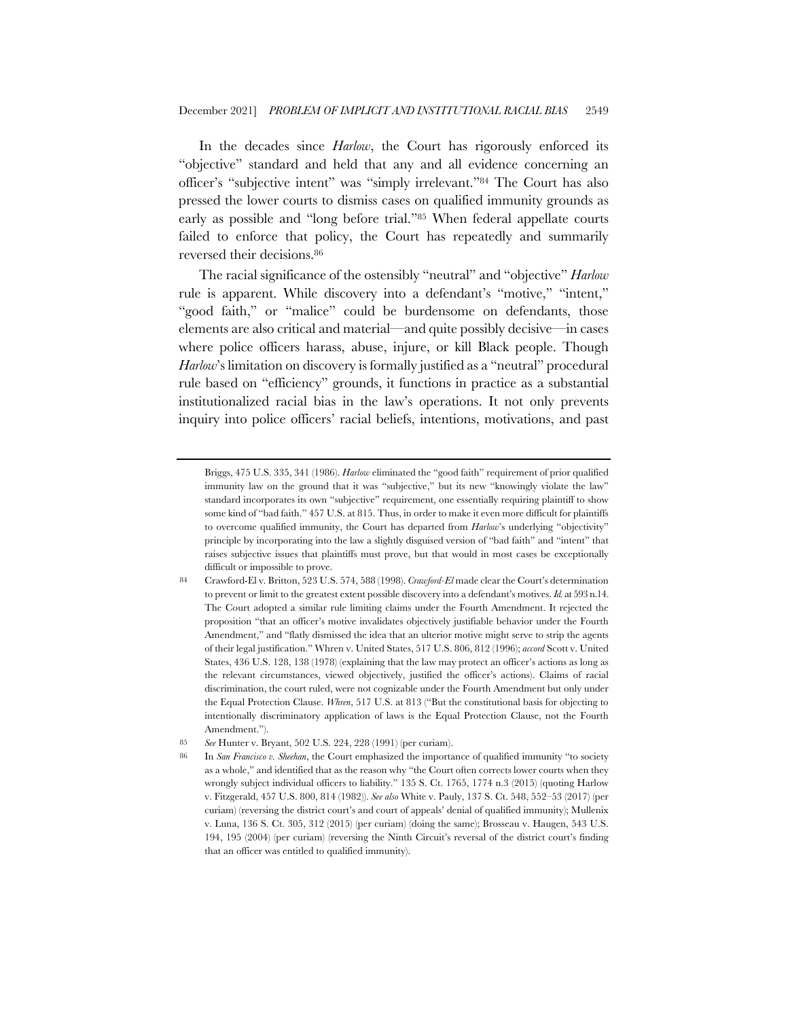In the decades since *Harlow*, the Court has rigorously enforced its "objective" standard and held that any and all evidence concerning an officer's "subjective intent" was "simply irrelevant."84 The Court has also pressed the lower courts to dismiss cases on qualified immunity grounds as early as possible and "long before trial."85 When federal appellate courts failed to enforce that policy, the Court has repeatedly and summarily reversed their decisions.86

The racial significance of the ostensibly "neutral" and "objective" *Harlow* rule is apparent. While discovery into a defendant's "motive," "intent," "good faith," or "malice" could be burdensome on defendants, those elements are also critical and material—and quite possibly decisive—in cases where police officers harass, abuse, injure, or kill Black people. Though *Harlow*'s limitation on discovery is formally justified as a "neutral" procedural rule based on "efficiency" grounds, it functions in practice as a substantial institutionalized racial bias in the law's operations. It not only prevents inquiry into police officers' racial beliefs, intentions, motivations, and past

Briggs, 475 U.S. 335, 341 (1986). *Harlow* eliminated the "good faith" requirement of prior qualified immunity law on the ground that it was "subjective," but its new "knowingly violate the law" standard incorporates its own "subjective" requirement, one essentially requiring plaintiff to show some kind of "bad faith." 457 U.S. at 815. Thus, in order to make it even more difficult for plaintiffs to overcome qualified immunity, the Court has departed from *Harlow*'s underlying "objectivity" principle by incorporating into the law a slightly disguised version of "bad faith" and "intent" that raises subjective issues that plaintiffs must prove, but that would in most cases be exceptionally difficult or impossible to prove.

<sup>84</sup> Crawford-El v. Britton, 523 U.S. 574, 588 (1998). *Crawford-El* made clear the Court's determination to prevent or limit to the greatest extent possible discovery into a defendant's motives. *Id.* at 593 n.14. The Court adopted a similar rule limiting claims under the Fourth Amendment. It rejected the proposition "that an officer's motive invalidates objectively justifiable behavior under the Fourth Amendment," and "flatly dismissed the idea that an ulterior motive might serve to strip the agents of their legal justification." Whren v. United States, 517 U.S. 806, 812 (1996); *accord* Scott v. United States, 436 U.S. 128, 138 (1978) (explaining that the law may protect an officer's actions as long as the relevant circumstances, viewed objectively, justified the officer's actions). Claims of racial discrimination, the court ruled, were not cognizable under the Fourth Amendment but only under the Equal Protection Clause. *Whren*, 517 U.S. at 813 ("But the constitutional basis for objecting to intentionally discriminatory application of laws is the Equal Protection Clause, not the Fourth Amendment.").

<sup>85</sup> *See* Hunter v. Bryant, 502 U.S. 224, 228 (1991) (per curiam).

<sup>86</sup> In *San Francisco v. Sheehan*, the Court emphasized the importance of qualified immunity "to society as a whole," and identified that as the reason why "the Court often corrects lower courts when they wrongly subject individual officers to liability." 135 S. Ct. 1765, 1774 n.3 (2015) (quoting Harlow v. Fitzgerald, 457 U.S. 800, 814 (1982)). *See also* White v. Pauly, 137 S. Ct. 548, 552–53 (2017) (per curiam) (reversing the district court's and court of appeals' denial of qualified immunity); Mullenix v. Luna, 136 S. Ct. 305, 312 (2015) (per curiam) (doing the same); Brosseau v. Haugen, 543 U.S. 194, 195 (2004) (per curiam) (reversing the Ninth Circuit's reversal of the district court's finding that an officer was entitled to qualified immunity).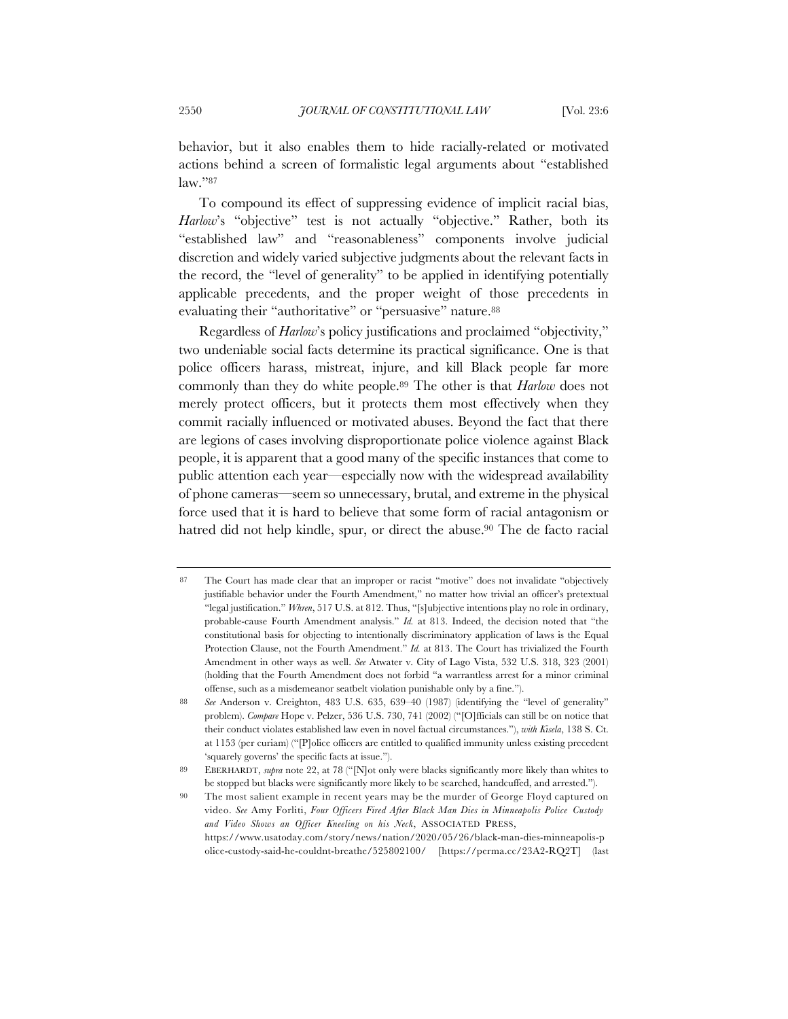behavior, but it also enables them to hide racially-related or motivated actions behind a screen of formalistic legal arguments about "established law."87

To compound its effect of suppressing evidence of implicit racial bias, *Harlow*'s "objective" test is not actually "objective." Rather, both its "established law" and "reasonableness" components involve judicial discretion and widely varied subjective judgments about the relevant facts in the record, the "level of generality" to be applied in identifying potentially applicable precedents, and the proper weight of those precedents in evaluating their "authoritative" or "persuasive" nature.88

Regardless of *Harlow*'s policy justifications and proclaimed "objectivity," two undeniable social facts determine its practical significance. One is that police officers harass, mistreat, injure, and kill Black people far more commonly than they do white people.89 The other is that *Harlow* does not merely protect officers, but it protects them most effectively when they commit racially influenced or motivated abuses. Beyond the fact that there are legions of cases involving disproportionate police violence against Black people, it is apparent that a good many of the specific instances that come to public attention each year—especially now with the widespread availability of phone cameras—seem so unnecessary, brutal, and extreme in the physical force used that it is hard to believe that some form of racial antagonism or hatred did not help kindle, spur, or direct the abuse.<sup>90</sup> The de facto racial

<sup>87</sup> The Court has made clear that an improper or racist "motive" does not invalidate "objectively justifiable behavior under the Fourth Amendment," no matter how trivial an officer's pretextual "legal justification." *Whren*, 517 U.S. at 812. Thus, "[s]ubjective intentions play no role in ordinary, probable-cause Fourth Amendment analysis." *Id.* at 813. Indeed, the decision noted that "the constitutional basis for objecting to intentionally discriminatory application of laws is the Equal Protection Clause, not the Fourth Amendment." *Id.* at 813. The Court has trivialized the Fourth Amendment in other ways as well. *See* Atwater v. City of Lago Vista, 532 U.S. 318, 323 (2001) (holding that the Fourth Amendment does not forbid "a warrantless arrest for a minor criminal offense, such as a misdemeanor seatbelt violation punishable only by a fine.").

<sup>88</sup> *See* Anderson v. Creighton, 483 U.S. 635, 639–40 (1987) (identifying the "level of generality" problem). *Compare* Hope v. Pelzer, 536 U.S. 730, 741 (2002) ("[O]fficials can still be on notice that their conduct violates established law even in novel factual circumstances."), *with Kisela*, 138 S. Ct. at 1153 (per curiam) ("[P]olice officers are entitled to qualified immunity unless existing precedent 'squarely governs' the specific facts at issue.").

<sup>89</sup> EBERHARDT, *supra* note 22, at 78 ("[N]ot only were blacks significantly more likely than whites to be stopped but blacks were significantly more likely to be searched, handcuffed, and arrested.").

<sup>90</sup> The most salient example in recent years may be the murder of George Floyd captured on video. *See* Amy Forliti, *Four Officers Fired After Black Man Dies in Minneapolis Police Custody and Video Shows an Officer Kneeling on his Neck*, ASSOCIATED PRESS, https://www.usatoday.com/story/news/nation/2020/05/26/black-man-dies-minneapolis-p olice-custody-said-he-couldnt-breathe/525802100/ [https://perma.cc/23A2-RQ2T] (last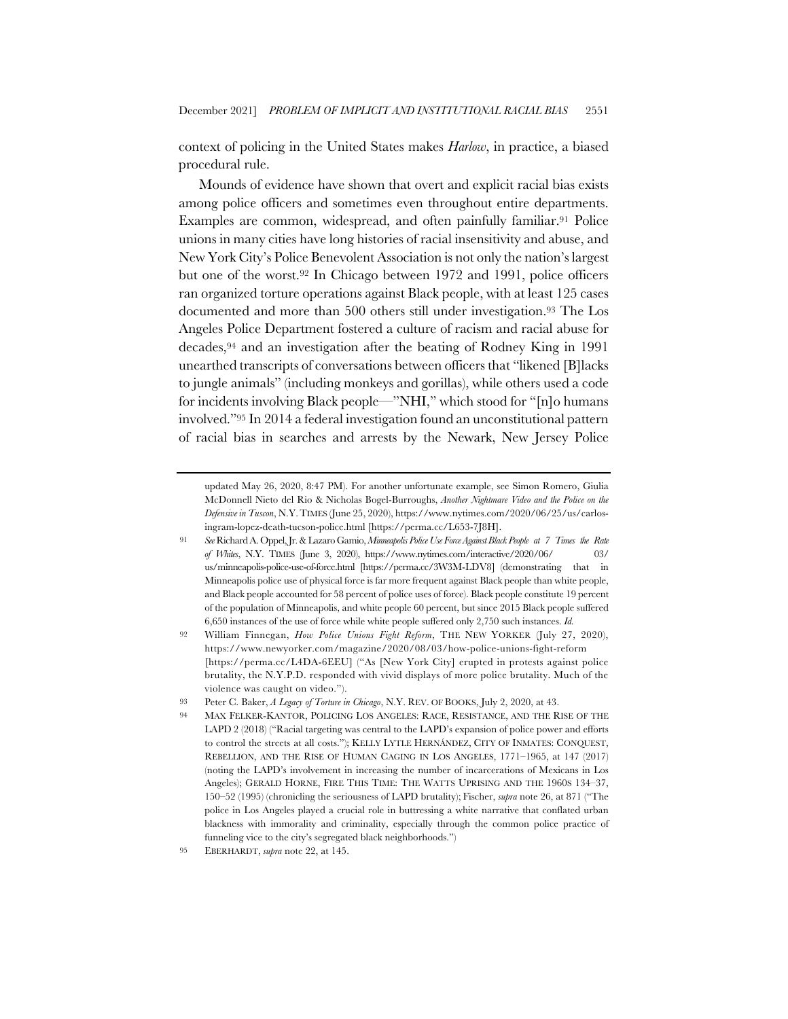context of policing in the United States makes *Harlow*, in practice, a biased procedural rule.

Mounds of evidence have shown that overt and explicit racial bias exists among police officers and sometimes even throughout entire departments. Examples are common, widespread, and often painfully familiar.91 Police unions in many cities have long histories of racial insensitivity and abuse, and New York City's Police Benevolent Association is not only the nation's largest but one of the worst.92 In Chicago between 1972 and 1991, police officers ran organized torture operations against Black people, with at least 125 cases documented and more than 500 others still under investigation.93 The Los Angeles Police Department fostered a culture of racism and racial abuse for decades,94 and an investigation after the beating of Rodney King in 1991 unearthed transcripts of conversations between officers that "likened [B]lacks to jungle animals" (including monkeys and gorillas), while others used a code for incidents involving Black people—"NHI," which stood for "[n]o humans involved."95 In 2014 a federal investigation found an unconstitutional pattern of racial bias in searches and arrests by the Newark, New Jersey Police

updated May 26, 2020, 8:47 PM). For another unfortunate example, see Simon Romero, Giulia McDonnell Nieto del Rio & Nicholas Bogel-Burroughs, *Another Nightmare Video and the Police on the Defensive in Tuscon*, N.Y.TIMES (June 25, 2020), https://www.nytimes.com/2020/06/25/us/carlosingram-lopez-death-tucson-police.html [https://perma.cc/L653-7J8H].

<sup>91</sup> *See* Richard A. Oppel, Jr. & Lazaro Gamio, *Minneapolis Police Use Force Against Black People at 7 Times the Rate of Whites*, N.Y. TIMES (June 3, 2020), https://www.nytimes.com/interactive/2020/06/ 03/ us/minneapolis-police-use-of-force.html [https://perma.cc/3W3M-LDV8] (demonstrating that in Minneapolis police use of physical force is far more frequent against Black people than white people, and Black people accounted for 58 percent of police uses of force). Black people constitute 19 percent of the population of Minneapolis, and white people 60 percent, but since 2015 Black people suffered 6,650 instances of the use of force while white people suffered only 2,750 such instances. *Id.*

<sup>92</sup> William Finnegan, *How Police Unions Fight Reform*, THE NEW YORKER (July 27, 2020), https://www.newyorker.com/magazine/2020/08/03/how-police-unions-fight-reform [https://perma.cc/L4DA-6EEU] ("As [New York City] erupted in protests against police brutality, the N.Y.P.D. responded with vivid displays of more police brutality. Much of the violence was caught on video.").

<sup>93</sup> Peter C. Baker, *A Legacy of Torture in Chicago*, N.Y. REV. OF BOOKS, July 2, 2020, at 43.

<sup>94</sup> MAX FELKER-KANTOR, POLICING LOS ANGELES: RACE, RESISTANCE, AND THE RISE OF THE LAPD 2 (2018) ("Racial targeting was central to the LAPD's expansion of police power and efforts to control the streets at all costs."); KELLY LYTLE HERNÁNDEZ, CITY OF INMATES: CONQUEST, REBELLION, AND THE RISE OF HUMAN CAGING IN LOS ANGELES, 1771–1965, at 147 (2017) (noting the LAPD's involvement in increasing the number of incarcerations of Mexicans in Los Angeles); GERALD HORNE, FIRE THIS TIME: THE WATTS UPRISING AND THE 1960S 134–37, 150–52 (1995) (chronicling the seriousness of LAPD brutality); Fischer, *supra* note 26, at 871 ("The police in Los Angeles played a crucial role in buttressing a white narrative that conflated urban blackness with immorality and criminality, especially through the common police practice of funneling vice to the city's segregated black neighborhoods.")

<sup>95</sup> EBERHARDT, *supra* note 22, at 145.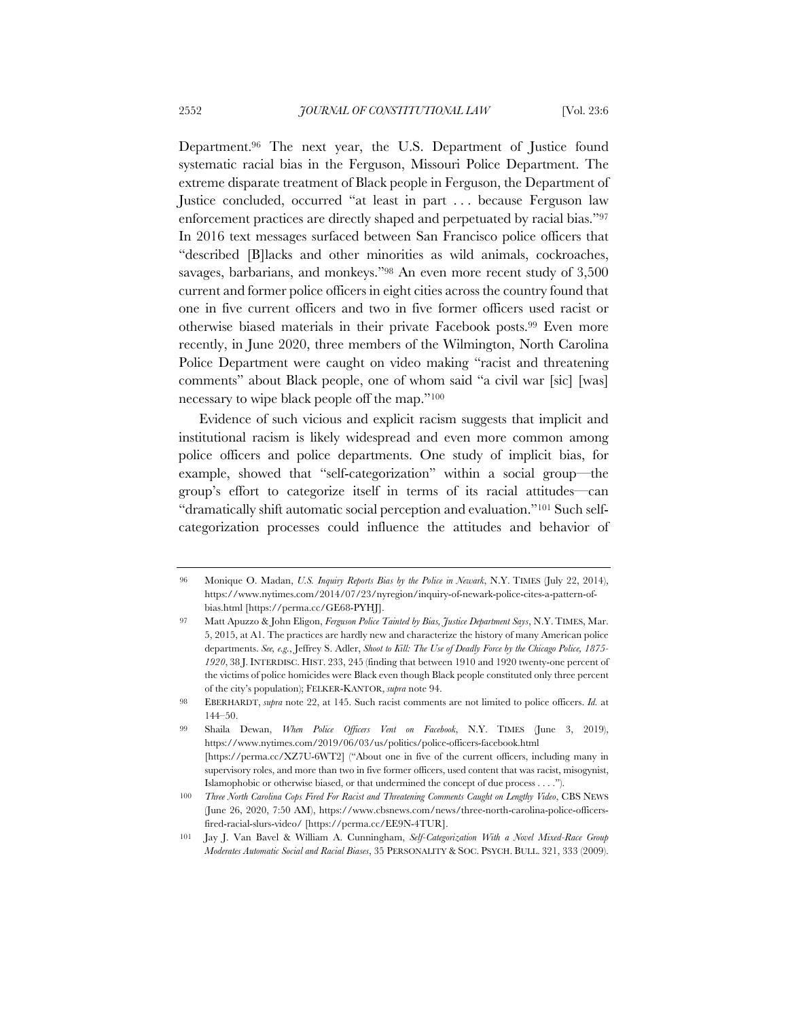Department.96 The next year, the U.S. Department of Justice found systematic racial bias in the Ferguson, Missouri Police Department. The extreme disparate treatment of Black people in Ferguson, the Department of Justice concluded, occurred "at least in part . . . because Ferguson law enforcement practices are directly shaped and perpetuated by racial bias."97 In 2016 text messages surfaced between San Francisco police officers that "described [B]lacks and other minorities as wild animals, cockroaches, savages, barbarians, and monkeys."98 An even more recent study of 3,500 current and former police officers in eight cities across the country found that one in five current officers and two in five former officers used racist or otherwise biased materials in their private Facebook posts.99 Even more recently, in June 2020, three members of the Wilmington, North Carolina Police Department were caught on video making "racist and threatening comments" about Black people, one of whom said "a civil war [sic] [was] necessary to wipe black people off the map."100

Evidence of such vicious and explicit racism suggests that implicit and institutional racism is likely widespread and even more common among police officers and police departments. One study of implicit bias, for example, showed that "self-categorization" within a social group—the group's effort to categorize itself in terms of its racial attitudes—can "dramatically shift automatic social perception and evaluation."101 Such selfcategorization processes could influence the attitudes and behavior of

<sup>96</sup> Monique O. Madan, *U.S. Inquiry Reports Bias by the Police in Newark*, N.Y. TIMES (July 22, 2014), https://www.nytimes.com/2014/07/23/nyregion/inquiry-of-newark-police-cites-a-pattern-ofbias.html [https://perma.cc/GE68-PYHJ].

<sup>97</sup> Matt Apuzzo & John Eligon, *Ferguson Police Tainted by Bias, Justice Department Says*, N.Y. TIMES, Mar. 5, 2015, at A1. The practices are hardly new and characterize the history of many American police departments. *See, e.g.*, Jeffrey S. Adler, *Shoot to Kill: The Use of Deadly Force by the Chicago Police, 1875- 1920*, 38 J. INTERDISC. HIST. 233, 245 (finding that between 1910 and 1920 twenty-one percent of the victims of police homicides were Black even though Black people constituted only three percent of the city's population); FELKER-KANTOR, *supra* note 94.

<sup>98</sup> EBERHARDT, *supra* note 22, at 145. Such racist comments are not limited to police officers. *Id.* at 144–50.

<sup>99</sup> Shaila Dewan, *When Police Officers Vent on Facebook*, N.Y. TIMES (June 3, 2019), https://www.nytimes.com/2019/06/03/us/politics/police-officers-facebook.html [https://perma.cc/XZ7U-6WT2] ("About one in five of the current officers, including many in supervisory roles, and more than two in five former officers, used content that was racist, misogynist, Islamophobic or otherwise biased, or that undermined the concept of due process . . . .").

<sup>100</sup> *Three North Carolina Cops Fired For Racist and Threatening Comments Caught on Lengthy Video*, CBS NEWS (June 26, 2020, 7:50 AM), https://www.cbsnews.com/news/three-north-carolina-police-officersfired-racial-slurs-video/ [https://perma.cc/EE9N-4TUR].

<sup>101</sup> Jay J. Van Bavel & William A. Cunningham, *Self-Categorization With a Novel Mixed-Race Group Moderates Automatic Social and Racial Biases*, 35 PERSONALITY & SOC. PSYCH. BULL. 321, 333 (2009).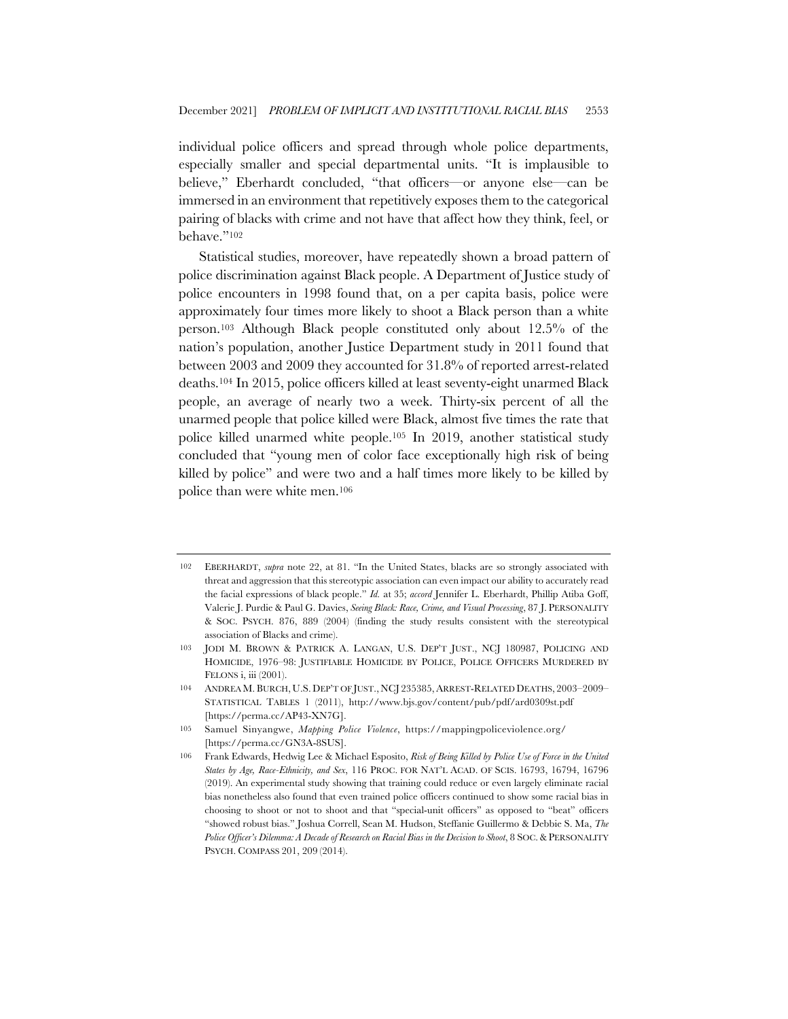individual police officers and spread through whole police departments, especially smaller and special departmental units. "It is implausible to believe," Eberhardt concluded, "that officers—or anyone else—can be immersed in an environment that repetitively exposes them to the categorical pairing of blacks with crime and not have that affect how they think, feel, or behave."102

Statistical studies, moreover, have repeatedly shown a broad pattern of police discrimination against Black people. A Department of Justice study of police encounters in 1998 found that, on a per capita basis, police were approximately four times more likely to shoot a Black person than a white person.103 Although Black people constituted only about 12.5% of the nation's population, another Justice Department study in 2011 found that between 2003 and 2009 they accounted for 31.8% of reported arrest-related deaths.104 In 2015, police officers killed at least seventy-eight unarmed Black people, an average of nearly two a week. Thirty-six percent of all the unarmed people that police killed were Black, almost five times the rate that police killed unarmed white people.105 In 2019, another statistical study concluded that "young men of color face exceptionally high risk of being killed by police" and were two and a half times more likely to be killed by police than were white men.106

<sup>102</sup> EBERHARDT, *supra* note 22, at 81. "In the United States, blacks are so strongly associated with threat and aggression that this stereotypic association can even impact our ability to accurately read the facial expressions of black people." *Id.* at 35; *accord* Jennifer L. Eberhardt, Phillip Atiba Goff, Valerie J. Purdie & Paul G. Davies, *Seeing Black: Race, Crime, and Visual Processing*, 87 J. PERSONALITY & SOC. PSYCH. 876, 889 (2004) (finding the study results consistent with the stereotypical association of Blacks and crime).

<sup>103</sup> JODI M. BROWN & PATRICK A. LANGAN, U.S. DEP'T JUST., NCJ 180987, POLICING AND HOMICIDE, 1976–98: JUSTIFIABLE HOMICIDE BY POLICE, POLICE OFFICERS MURDERED BY FELONS i, iii (2001).

<sup>104</sup> ANDREA M. BURCH, U.S. DEP'T OF JUST., NCJ 235385,ARREST-RELATED DEATHS, 2003–2009– STATISTICAL TABLES 1 (2011), http://www.bjs.gov/content/pub/pdf/ard0309st.pdf [https://perma.cc/AP43-XN7G].

<sup>105</sup> Samuel Sinyangwe, *Mapping Police Violence*, https://mappingpoliceviolence.org/ [https://perma.cc/GN3A-8SUS].

<sup>106</sup> Frank Edwards, Hedwig Lee & Michael Esposito, *Risk of Being Killed by Police Use of Force in the United States by Age, Race-Ethnicity, and Sex*, 116 PROC. FOR NAT'L ACAD. OF SCIS. 16793, 16794, 16796 (2019). An experimental study showing that training could reduce or even largely eliminate racial bias nonetheless also found that even trained police officers continued to show some racial bias in choosing to shoot or not to shoot and that "special-unit officers" as opposed to "beat" officers "showed robust bias." Joshua Correll, Sean M. Hudson, Steffanie Guillermo & Debbie S. Ma, *The Police Officer's Dilemma: A Decade of Research on Racial Bias in the Decision to Shoot*, 8 SOC. & PERSONALITY PSYCH. COMPASS 201, 209 (2014).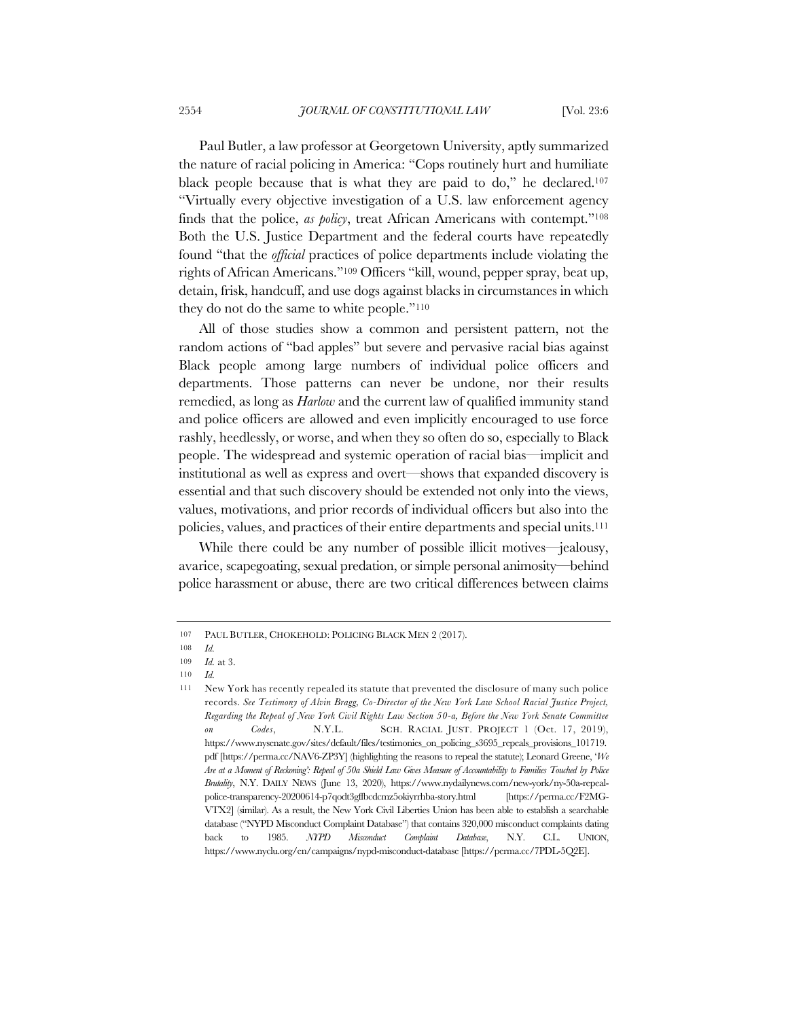Paul Butler, a law professor at Georgetown University, aptly summarized the nature of racial policing in America: "Cops routinely hurt and humiliate black people because that is what they are paid to do," he declared.107 "Virtually every objective investigation of a U.S. law enforcement agency finds that the police, *as policy*, treat African Americans with contempt."108 Both the U.S. Justice Department and the federal courts have repeatedly found "that the *official* practices of police departments include violating the rights of African Americans."109 Officers "kill, wound, pepper spray, beat up, detain, frisk, handcuff, and use dogs against blacks in circumstances in which they do not do the same to white people."110

All of those studies show a common and persistent pattern, not the random actions of "bad apples" but severe and pervasive racial bias against Black people among large numbers of individual police officers and departments. Those patterns can never be undone, nor their results remedied, as long as *Harlow* and the current law of qualified immunity stand and police officers are allowed and even implicitly encouraged to use force rashly, heedlessly, or worse, and when they so often do so, especially to Black people. The widespread and systemic operation of racial bias—implicit and institutional as well as express and overt—shows that expanded discovery is essential and that such discovery should be extended not only into the views, values, motivations, and prior records of individual officers but also into the policies, values, and practices of their entire departments and special units.111

While there could be any number of possible illicit motives—jealousy, avarice, scapegoating, sexual predation, or simple personal animosity—behind police harassment or abuse, there are two critical differences between claims

<sup>107</sup> PAUL BUTLER, CHOKEHOLD: POLICING BLACK MEN 2 (2017).

<sup>108</sup> *Id.*

<sup>109</sup> *Id.* at 3.

<sup>110</sup> *Id.*

<sup>111</sup> New York has recently repealed its statute that prevented the disclosure of many such police records. *See Testimony of Alvin Bragg, Co-Director of the New York Law School Racial Justice Project, Regarding the Repeal of New York Civil Rights Law Section 50-a, Before the New York Senate Committee on Codes*, N.Y.L. SCH. RACIAL JUST. PROJECT 1 (Oct. 17, 2019), https://www.nysenate.gov/sites/default/files/testimonies\_on\_policing\_s3695\_repeals\_provisions\_101719. pdf [https://perma.cc/NAV6-ZP3Y] (highlighting the reasons to repeal the statute); Leonard Greene, '*We Are at a Moment of Reckoning': Repeal of 50a Shield Law Gives Measure of Accountability to Families Touched by Police Brutality*, N.Y. DAILY NEWS (June 13, 2020), https://www.nydailynews.com/new-york/ny-50a-repealpolice-transparency-20200614-p7qodt3gffbcdcmz5okiyrrhba-story.html [https://perma.cc/F2MG-VTX2] (similar). As a result, the New York Civil Liberties Union has been able to establish a searchable database ("NYPD Misconduct Complaint Database") that contains 320,000 misconduct complaints dating back to 1985. *NYPD Misconduct Complaint Database*, N.Y. C.L. UNION, https://www.nyclu.org/en/campaigns/nypd-misconduct-database [https://perma.cc/7PDL-5Q2E].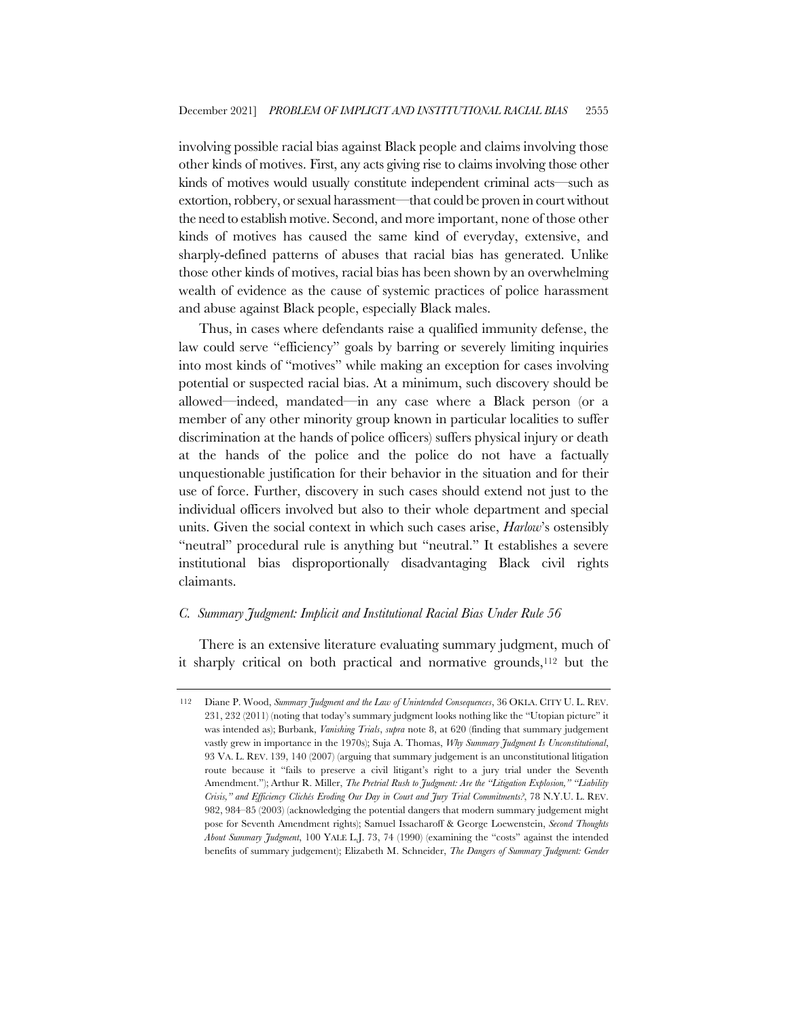involving possible racial bias against Black people and claims involving those other kinds of motives. First, any acts giving rise to claims involving those other kinds of motives would usually constitute independent criminal acts—such as extortion, robbery, or sexual harassment—that could be proven in court without the need to establish motive. Second, and more important, none of those other kinds of motives has caused the same kind of everyday, extensive, and sharply-defined patterns of abuses that racial bias has generated. Unlike those other kinds of motives, racial bias has been shown by an overwhelming wealth of evidence as the cause of systemic practices of police harassment and abuse against Black people, especially Black males.

Thus, in cases where defendants raise a qualified immunity defense, the law could serve "efficiency" goals by barring or severely limiting inquiries into most kinds of "motives" while making an exception for cases involving potential or suspected racial bias. At a minimum, such discovery should be allowed—indeed, mandated—in any case where a Black person (or a member of any other minority group known in particular localities to suffer discrimination at the hands of police officers) suffers physical injury or death at the hands of the police and the police do not have a factually unquestionable justification for their behavior in the situation and for their use of force. Further, discovery in such cases should extend not just to the individual officers involved but also to their whole department and special units. Given the social context in which such cases arise, *Harlow*'s ostensibly "neutral" procedural rule is anything but "neutral." It establishes a severe institutional bias disproportionally disadvantaging Black civil rights claimants.

#### *C. Summary Judgment: Implicit and Institutional Racial Bias Under Rule 56*

There is an extensive literature evaluating summary judgment, much of it sharply critical on both practical and normative grounds,112 but the

<sup>112</sup> Diane P. Wood, *Summary Judgment and the Law of Unintended Consequences*, 36 OKLA. CITY U. L. REV. 231, 232 (2011) (noting that today's summary judgment looks nothing like the "Utopian picture" it was intended as); Burbank, *Vanishing Trials*, *supra* note 8, at 620 (finding that summary judgement vastly grew in importance in the 1970s); Suja A. Thomas, *Why Summary Judgment Is Unconstitutional*, 93 VA. L. REV. 139, 140 (2007) (arguing that summary judgement is an unconstitutional litigation route because it "fails to preserve a civil litigant's right to a jury trial under the Seventh Amendment."); Arthur R. Miller, *The Pretrial Rush to Judgment: Are the "Litigation Explosion," "Liability Crisis," and Efficiency Clichés Eroding Our Day in Court and Jury Trial Commitments?*, 78 N.Y.U. L. REV. 982, 984–85 (2003) (acknowledging the potential dangers that modern summary judgement might pose for Seventh Amendment rights); Samuel Issacharoff & George Loewenstein, *Second Thoughts About Summary Judgment*, 100 YALE L.J. 73, 74 (1990) (examining the "costs" against the intended benefits of summary judgement); Elizabeth M. Schneider, *The Dangers of Summary Judgment: Gender*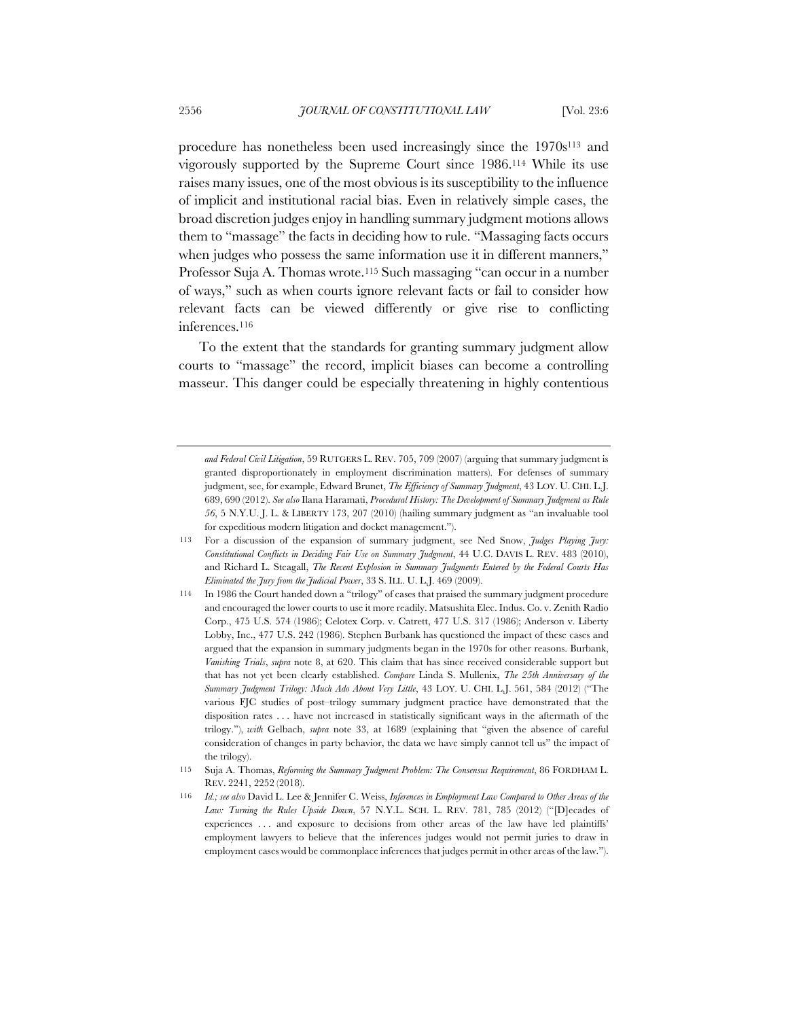procedure has nonetheless been used increasingly since the 1970s113 and vigorously supported by the Supreme Court since 1986.114 While its use raises many issues, one of the most obvious is its susceptibility to the influence of implicit and institutional racial bias. Even in relatively simple cases, the broad discretion judges enjoy in handling summary judgment motions allows them to "massage" the facts in deciding how to rule. "Massaging facts occurs when judges who possess the same information use it in different manners," Professor Suja A. Thomas wrote.115 Such massaging "can occur in a number of ways," such as when courts ignore relevant facts or fail to consider how relevant facts can be viewed differently or give rise to conflicting inferences.116

To the extent that the standards for granting summary judgment allow courts to "massage" the record, implicit biases can become a controlling masseur. This danger could be especially threatening in highly contentious

*and Federal Civil Litigation*, 59 RUTGERS L. REV. 705, 709 (2007) (arguing that summary judgment is granted disproportionately in employment discrimination matters). For defenses of summary judgment, see, for example, Edward Brunet, *The Efficiency of Summary Judgment*, 43 LOY. U. CHI. L.J. 689, 690 (2012). *See also* Ilana Haramati, *Procedural History: The Development of Summary Judgment as Rule 56*, 5 N.Y.U. J. L. & LIBERTY 173, 207 (2010) (hailing summary judgment as "an invaluable tool for expeditious modern litigation and docket management.").

<sup>113</sup> For a discussion of the expansion of summary judgment, see Ned Snow, *Judges Playing Jury: Constitutional Conflicts in Deciding Fair Use on Summary Judgment*, 44 U.C. DAVIS L. REV. 483 (2010), and Richard L. Steagall, *The Recent Explosion in Summary Judgments Entered by the Federal Courts Has Eliminated the Jury from the Judicial Power*, 33 S. ILL. U. L.J. 469 (2009).

<sup>114</sup> In 1986 the Court handed down a "trilogy" of cases that praised the summary judgment procedure and encouraged the lower courts to use it more readily. Matsushita Elec. Indus. Co. v. Zenith Radio Corp., 475 U.S. 574 (1986); Celotex Corp. v. Catrett, 477 U.S. 317 (1986); Anderson v. Liberty Lobby, Inc., 477 U.S. 242 (1986). Stephen Burbank has questioned the impact of these cases and argued that the expansion in summary judgments began in the 1970s for other reasons. Burbank, *Vanishing Trials*, *supra* note 8, at 620. This claim that has since received considerable support but that has not yet been clearly established. *Compare* Linda S. Mullenix, *The 25th Anniversary of the Summary Judgment Trilogy: Much Ado About Very Little*, 43 LOY. U. CHI. L.J. 561, 584 (2012) ("The various FJC studies of post–trilogy summary judgment practice have demonstrated that the disposition rates . . . have not increased in statistically significant ways in the aftermath of the trilogy."), *with* Gelbach, *supra* note 33, at 1689 (explaining that "given the absence of careful consideration of changes in party behavior, the data we have simply cannot tell us" the impact of the trilogy).

<sup>115</sup> Suja A. Thomas, *Reforming the Summary Judgment Problem: The Consensus Requirement*, 86 FORDHAM L. REV. 2241, 2252 (2018).

<sup>116</sup> *Id.; see also* David L. Lee & Jennifer C. Weiss, *Inferences in Employment Law Compared to Other Areas of the Law: Turning the Rules Upside Down*, 57 N.Y.L. SCH. L. REV. 781, 785 (2012) ("[D]ecades of experiences . . . and exposure to decisions from other areas of the law have led plaintiffs' employment lawyers to believe that the inferences judges would not permit juries to draw in employment cases would be commonplace inferences that judges permit in other areas of the law.").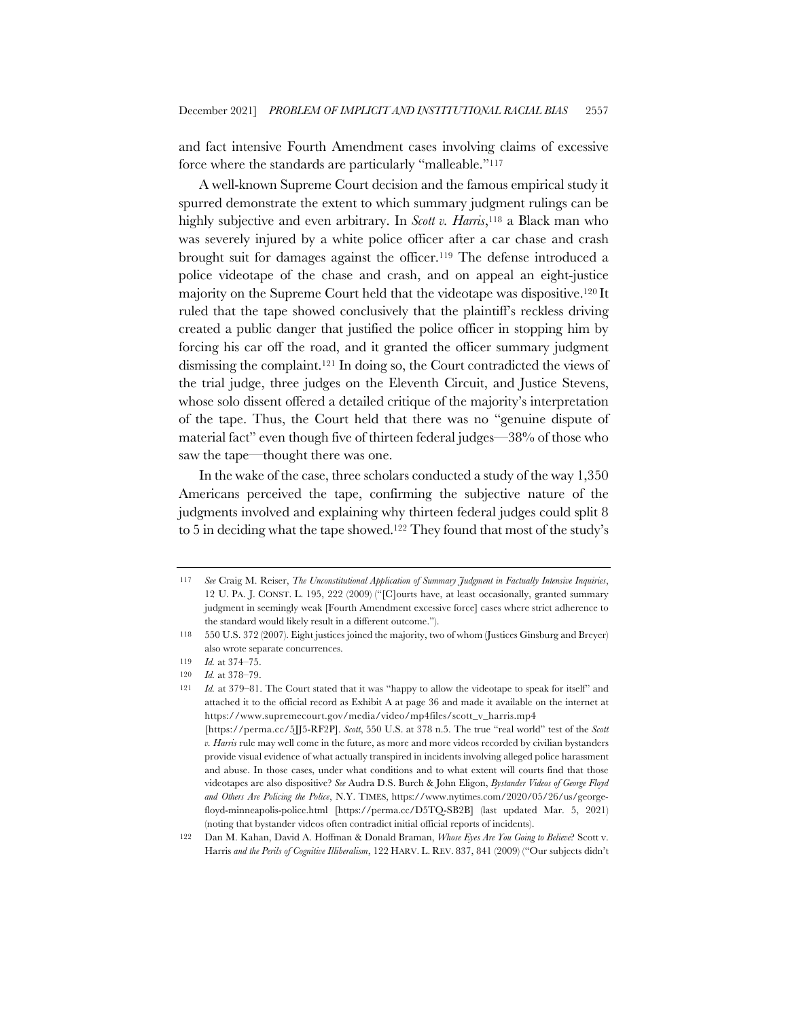and fact intensive Fourth Amendment cases involving claims of excessive force where the standards are particularly "malleable."117

A well-known Supreme Court decision and the famous empirical study it spurred demonstrate the extent to which summary judgment rulings can be highly subjective and even arbitrary. In *Scott v. Harris*,118 a Black man who was severely injured by a white police officer after a car chase and crash brought suit for damages against the officer.119 The defense introduced a police videotape of the chase and crash, and on appeal an eight-justice majority on the Supreme Court held that the videotape was dispositive.120 It ruled that the tape showed conclusively that the plaintiff's reckless driving created a public danger that justified the police officer in stopping him by forcing his car off the road, and it granted the officer summary judgment dismissing the complaint.121 In doing so, the Court contradicted the views of the trial judge, three judges on the Eleventh Circuit, and Justice Stevens, whose solo dissent offered a detailed critique of the majority's interpretation of the tape. Thus, the Court held that there was no "genuine dispute of material fact" even though five of thirteen federal judges—38% of those who saw the tape—thought there was one.

In the wake of the case, three scholars conducted a study of the way 1,350 Americans perceived the tape, confirming the subjective nature of the judgments involved and explaining why thirteen federal judges could split 8 to 5 in deciding what the tape showed.122 They found that most of the study's

<sup>117</sup> *See* Craig M. Reiser, *The Unconstitutional Application of Summary Judgment in Factually Intensive Inquiries*, 12 U. PA. J. CONST. L. 195, 222 (2009) ("[C]ourts have, at least occasionally, granted summary judgment in seemingly weak [Fourth Amendment excessive force] cases where strict adherence to the standard would likely result in a different outcome.").

<sup>118</sup> 550 U.S. 372 (2007). Eight justices joined the majority, two of whom (Justices Ginsburg and Breyer) also wrote separate concurrences.

<sup>119</sup> *Id.* at 374–75.

<sup>120</sup> *Id.* at 378–79.

<sup>121</sup> *Id.* at 379–81. The Court stated that it was "happy to allow the videotape to speak for itself" and attached it to the official record as Exhibit A at page 36 and made it available on the internet at https://www.supremecourt.gov/media/video/mp4files/scott\_v\_harris.mp4 [https://perma.cc/5JJ5-RF2P]. *Scott*, 550 U.S. at 378 n.5. The true "real world" test of the *Scott* 

*v. Harris* rule may well come in the future, as more and more videos recorded by civilian bystanders provide visual evidence of what actually transpired in incidents involving alleged police harassment and abuse. In those cases, under what conditions and to what extent will courts find that those videotapes are also dispositive? *See* Audra D.S. Burch & John Eligon, *Bystander Videos of George Floyd and Others Are Policing the Police*, N.Y. TIMES, https://www.nytimes.com/2020/05/26/us/georgefloyd-minneapolis-police.html [https://perma.cc/D5TQ-SB2B] (last updated Mar. 5, 2021) (noting that bystander videos often contradict initial official reports of incidents).

<sup>122</sup> Dan M. Kahan, David A. Hoffman & Donald Braman, *Whose Eyes Are You Going to Believe*? Scott v. Harris *and the Perils of Cognitive Illiberalism*, 122 HARV. L. REV. 837, 841 (2009) ("Our subjects didn't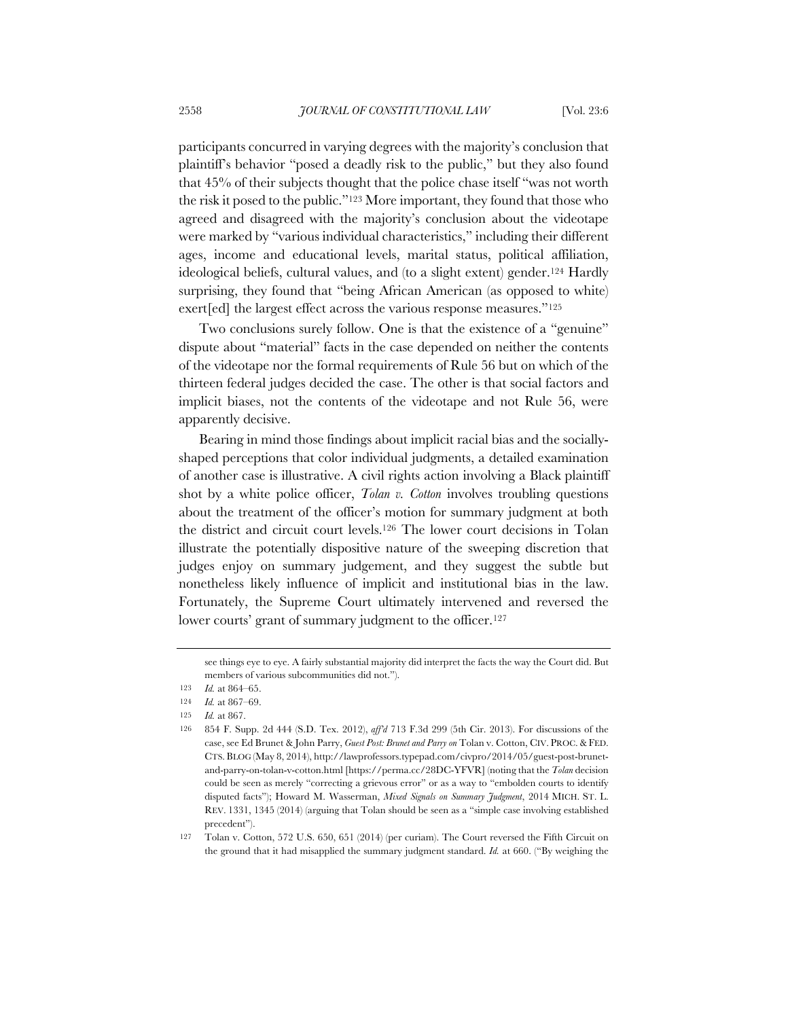participants concurred in varying degrees with the majority's conclusion that plaintiff's behavior "posed a deadly risk to the public," but they also found that 45% of their subjects thought that the police chase itself "was not worth the risk it posed to the public."123 More important, they found that those who agreed and disagreed with the majority's conclusion about the videotape were marked by "various individual characteristics," including their different ages, income and educational levels, marital status, political affiliation, ideological beliefs, cultural values, and (to a slight extent) gender.124 Hardly surprising, they found that "being African American (as opposed to white) exert[ed] the largest effect across the various response measures."125

Two conclusions surely follow. One is that the existence of a "genuine" dispute about "material" facts in the case depended on neither the contents of the videotape nor the formal requirements of Rule 56 but on which of the thirteen federal judges decided the case. The other is that social factors and implicit biases, not the contents of the videotape and not Rule 56, were apparently decisive.

Bearing in mind those findings about implicit racial bias and the sociallyshaped perceptions that color individual judgments, a detailed examination of another case is illustrative. A civil rights action involving a Black plaintiff shot by a white police officer, *Tolan v. Cotton* involves troubling questions about the treatment of the officer's motion for summary judgment at both the district and circuit court levels.126 The lower court decisions in Tolan illustrate the potentially dispositive nature of the sweeping discretion that judges enjoy on summary judgement, and they suggest the subtle but nonetheless likely influence of implicit and institutional bias in the law. Fortunately, the Supreme Court ultimately intervened and reversed the lower courts' grant of summary judgment to the officer.<sup>127</sup>

see things eye to eye. A fairly substantial majority did interpret the facts the way the Court did. But members of various subcommunities did not.").

<sup>123</sup> *Id.* at 864–65.

<sup>124</sup> *Id.* at 867–69.

<sup>125</sup> *Id.* at 867.

<sup>126</sup> 854 F. Supp. 2d 444 (S.D. Tex. 2012), *aff'd* 713 F.3d 299 (5th Cir. 2013). For discussions of the case, see Ed Brunet & John Parry, *Guest Post: Brunet and Parry on* Tolan v. Cotton, CIV. PROC. & FED. CTS. BLOG (May 8, 2014), http://lawprofessors.typepad.com/civpro/2014/05/guest-post-brunetand-parry-on-tolan-v-cotton.html [https://perma.cc/28DC-YFVR] (noting that the *Tolan* decision could be seen as merely "correcting a grievous error" or as a way to "embolden courts to identify disputed facts"); Howard M. Wasserman, *Mixed Signals on Summary Judgment*, 2014 MICH. ST. L. REV. 1331, 1345 (2014) (arguing that Tolan should be seen as a "simple case involving established precedent").

<sup>127</sup> Tolan v. Cotton, 572 U.S. 650, 651 (2014) (per curiam). The Court reversed the Fifth Circuit on the ground that it had misapplied the summary judgment standard. *Id.* at 660. ("By weighing the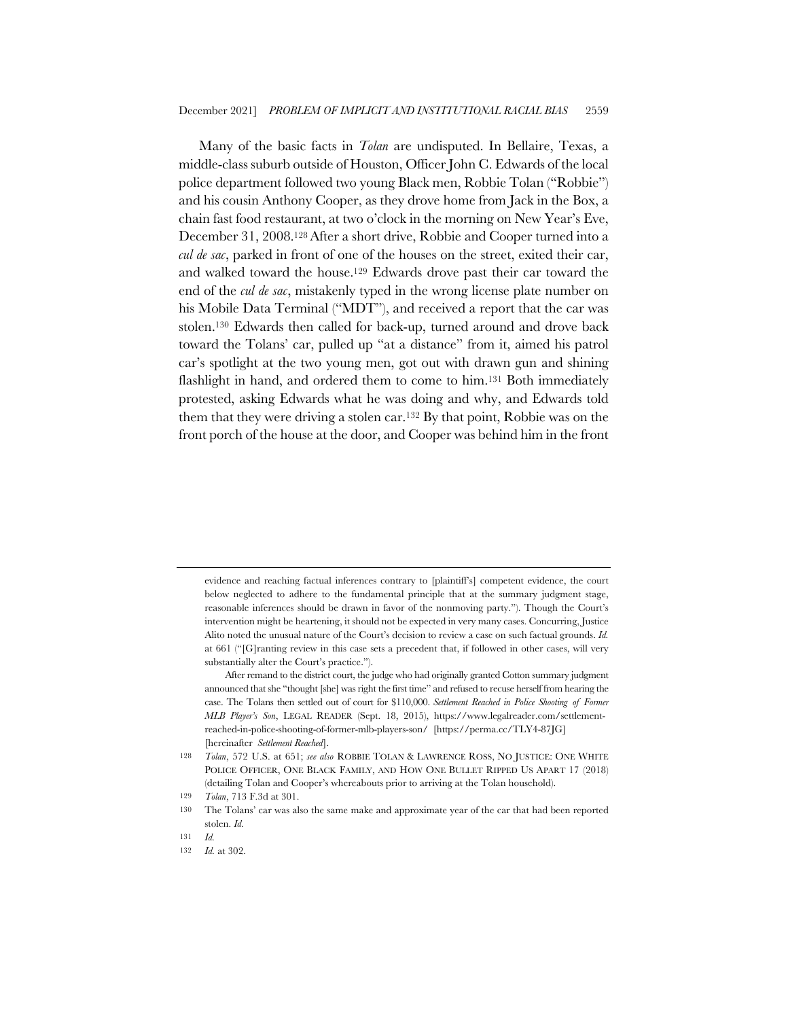Many of the basic facts in *Tolan* are undisputed. In Bellaire, Texas, a middle-class suburb outside of Houston, Officer John C. Edwards of the local police department followed two young Black men, Robbie Tolan ("Robbie") and his cousin Anthony Cooper, as they drove home from Jack in the Box, a chain fast food restaurant, at two o'clock in the morning on New Year's Eve, December 31, 2008.128After a short drive, Robbie and Cooper turned into a *cul de sac*, parked in front of one of the houses on the street, exited their car, and walked toward the house.129 Edwards drove past their car toward the end of the *cul de sac*, mistakenly typed in the wrong license plate number on his Mobile Data Terminal ("MDT"), and received a report that the car was stolen.130 Edwards then called for back-up, turned around and drove back toward the Tolans' car, pulled up "at a distance" from it, aimed his patrol car's spotlight at the two young men, got out with drawn gun and shining flashlight in hand, and ordered them to come to him.<sup>131</sup> Both immediately protested, asking Edwards what he was doing and why, and Edwards told them that they were driving a stolen car.132 By that point, Robbie was on the front porch of the house at the door, and Cooper was behind him in the front

evidence and reaching factual inferences contrary to [plaintiff's] competent evidence, the court below neglected to adhere to the fundamental principle that at the summary judgment stage, reasonable inferences should be drawn in favor of the nonmoving party."). Though the Court's intervention might be heartening, it should not be expected in very many cases. Concurring, Justice Alito noted the unusual nature of the Court's decision to review a case on such factual grounds. *Id.* at 661 ("[G]ranting review in this case sets a precedent that, if followed in other cases, will very substantially alter the Court's practice.").

After remand to the district court, the judge who had originally granted Cotton summary judgment announced that she "thought [she] was right the first time" and refused to recuse herself from hearing the case. The Tolans then settled out of court for \$110,000. *Settlement Reached in Police Shooting of Former MLB Player's Son*, LEGAL READER (Sept. 18, 2015), https://www.legalreader.com/settlementreached-in-police-shooting-of-former-mlb-players-son/ [https://perma.cc/TLY4-87JG] [hereinafter *Settlement Reached*].

<sup>128</sup> *Tolan*, 572 U.S. at 651; *see also* ROBBIE TOLAN & LAWRENCE ROSS, NO JUSTICE: ONE WHITE POLICE OFFICER, ONE BLACK FAMILY, AND HOW ONE BULLET RIPPED US APART 17 (2018) (detailing Tolan and Cooper's whereabouts prior to arriving at the Tolan household).

<sup>129</sup> *Tolan*, 713 F.3d at 301.

<sup>130</sup> The Tolans' car was also the same make and approximate year of the car that had been reported stolen. *Id.*

<sup>131</sup> *Id.*

<sup>132</sup> *Id.* at 302.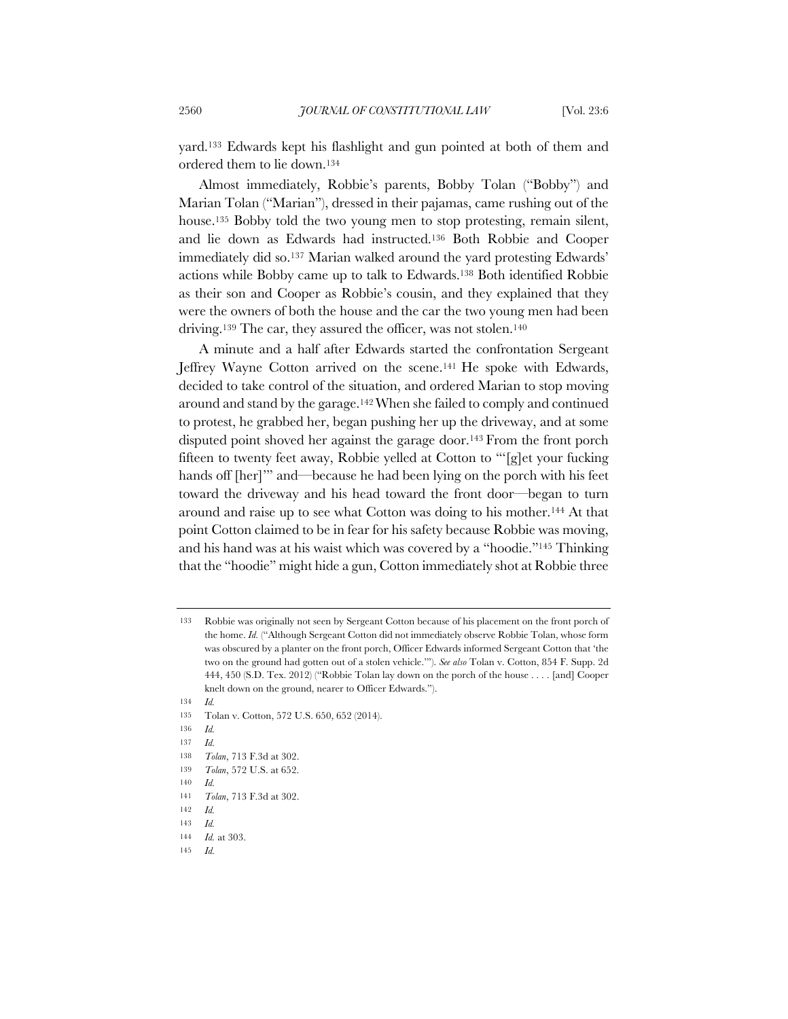yard.133 Edwards kept his flashlight and gun pointed at both of them and ordered them to lie down.134

Almost immediately, Robbie's parents, Bobby Tolan ("Bobby") and Marian Tolan ("Marian"), dressed in their pajamas, came rushing out of the house.135 Bobby told the two young men to stop protesting, remain silent, and lie down as Edwards had instructed.136 Both Robbie and Cooper immediately did so.137 Marian walked around the yard protesting Edwards' actions while Bobby came up to talk to Edwards.138 Both identified Robbie as their son and Cooper as Robbie's cousin, and they explained that they were the owners of both the house and the car the two young men had been driving.139 The car, they assured the officer, was not stolen.140

A minute and a half after Edwards started the confrontation Sergeant Jeffrey Wayne Cotton arrived on the scene.141 He spoke with Edwards, decided to take control of the situation, and ordered Marian to stop moving around and stand by the garage.142When she failed to comply and continued to protest, he grabbed her, began pushing her up the driveway, and at some disputed point shoved her against the garage door.143 From the front porch fifteen to twenty feet away, Robbie yelled at Cotton to "'[g]et your fucking hands off [her]'" and—because he had been lying on the porch with his feet toward the driveway and his head toward the front door—began to turn around and raise up to see what Cotton was doing to his mother.144 At that point Cotton claimed to be in fear for his safety because Robbie was moving, and his hand was at his waist which was covered by a "hoodie."145 Thinking that the "hoodie" might hide a gun, Cotton immediately shot at Robbie three

<sup>133</sup> Robbie was originally not seen by Sergeant Cotton because of his placement on the front porch of the home. *Id.* ("Although Sergeant Cotton did not immediately observe Robbie Tolan, whose form was obscured by a planter on the front porch, Officer Edwards informed Sergeant Cotton that 'the two on the ground had gotten out of a stolen vehicle.'"). *See also* Tolan v. Cotton, 854 F. Supp. 2d 444, 450 (S.D. Tex. 2012) ("Robbie Tolan lay down on the porch of the house . . . . [and] Cooper knelt down on the ground, nearer to Officer Edwards.").

<sup>134</sup> *Id.*

<sup>135</sup> Tolan v. Cotton, 572 U.S. 650, 652 (2014).

<sup>136</sup> *Id.*

<sup>137</sup> *Id.*

<sup>138</sup> *Tolan*, 713 F.3d at 302.

<sup>139</sup> *Tolan*, 572 U.S. at 652.

<sup>140</sup> *Id.*

<sup>141</sup> *Tolan*, 713 F.3d at 302.

<sup>142</sup> *Id.*

<sup>143</sup> *Id.*

<sup>144</sup> *Id.* at 303.

<sup>145</sup> *Id.*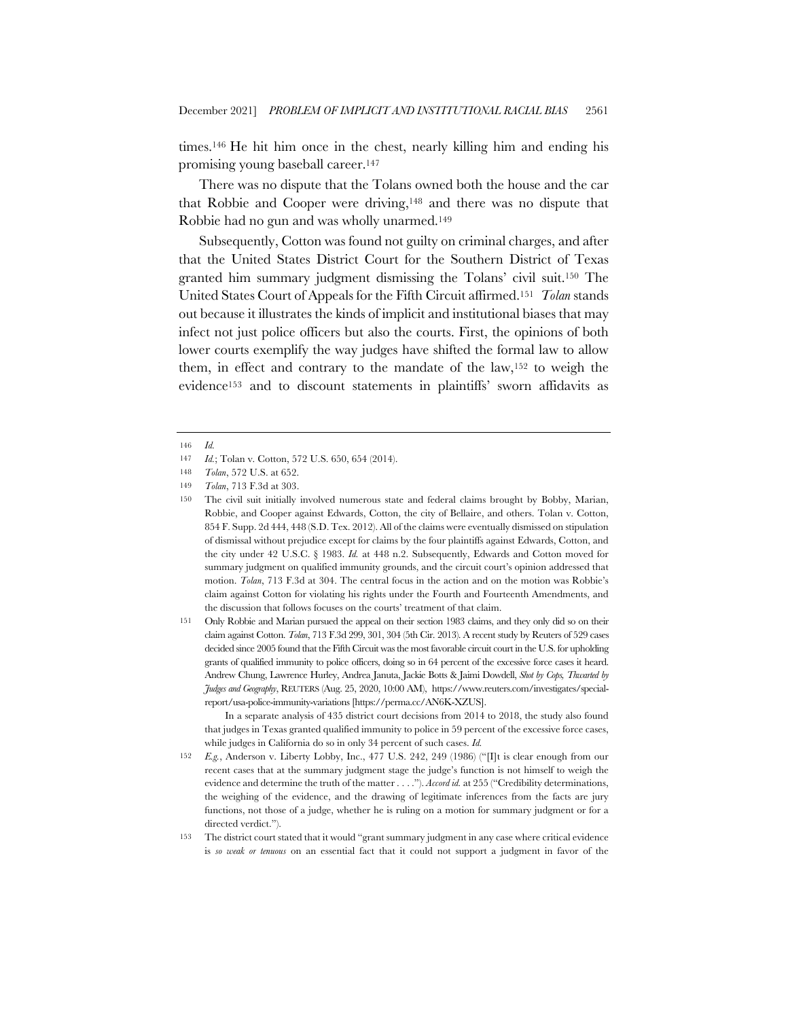times.146 He hit him once in the chest, nearly killing him and ending his promising young baseball career.147

There was no dispute that the Tolans owned both the house and the car that Robbie and Cooper were driving,148 and there was no dispute that Robbie had no gun and was wholly unarmed.149

Subsequently, Cotton was found not guilty on criminal charges, and after that the United States District Court for the Southern District of Texas granted him summary judgment dismissing the Tolans' civil suit.150 The United States Court of Appeals for the Fifth Circuit affirmed.151 *Tolan* stands out because it illustrates the kinds of implicit and institutional biases that may infect not just police officers but also the courts. First, the opinions of both lower courts exemplify the way judges have shifted the formal law to allow them, in effect and contrary to the mandate of the law,152 to weigh the evidence153 and to discount statements in plaintiffs' sworn affidavits as

151 Only Robbie and Marian pursued the appeal on their section 1983 claims, and they only did so on their claim against Cotton. *Tolan*, 713 F.3d 299, 301, 304 (5th Cir. 2013). A recent study by Reuters of 529 cases decided since 2005 found that the Fifth Circuit was the most favorable circuit court in the U.S. for upholding grants of qualified immunity to police officers, doing so in 64 percent of the excessive force cases it heard. Andrew Chung, Lawrence Hurley, Andrea Januta, Jackie Botts & Jaimi Dowdell, *Shot by Cops, Thwarted by Judges and Geography*, REUTERS (Aug. 25, 2020, 10:00 AM), https://www.reuters.com/investigates/specialreport/usa-police-immunity-variations [https://perma.cc/AN6K-XZUS].

In a separate analysis of 435 district court decisions from 2014 to 2018, the study also found that judges in Texas granted qualified immunity to police in 59 percent of the excessive force cases, while judges in California do so in only 34 percent of such cases. *Id.*

<sup>146</sup> *Id.*

<sup>147</sup> *Id.*; Tolan v. Cotton, 572 U.S. 650, 654 (2014).

<sup>148</sup> *Tolan*, 572 U.S. at 652.

<sup>149</sup> *Tolan*, 713 F.3d at 303.

<sup>150</sup> The civil suit initially involved numerous state and federal claims brought by Bobby, Marian, Robbie, and Cooper against Edwards, Cotton, the city of Bellaire, and others. Tolan v. Cotton, 854 F. Supp. 2d 444, 448 (S.D. Tex. 2012). All of the claims were eventually dismissed on stipulation of dismissal without prejudice except for claims by the four plaintiffs against Edwards, Cotton, and the city under 42 U.S.C. § 1983. *Id.* at 448 n.2. Subsequently, Edwards and Cotton moved for summary judgment on qualified immunity grounds, and the circuit court's opinion addressed that motion. *Tolan*, 713 F.3d at 304. The central focus in the action and on the motion was Robbie's claim against Cotton for violating his rights under the Fourth and Fourteenth Amendments, and the discussion that follows focuses on the courts' treatment of that claim.

<sup>152</sup> *E.g.*, Anderson v. Liberty Lobby, Inc., 477 U.S. 242, 249 (1986) ("[I]t is clear enough from our recent cases that at the summary judgment stage the judge's function is not himself to weigh the evidence and determine the truth of the matter . . . ."). *Accord id.* at 255 ("Credibility determinations, the weighing of the evidence, and the drawing of legitimate inferences from the facts are jury functions, not those of a judge, whether he is ruling on a motion for summary judgment or for a directed verdict.").

<sup>153</sup> The district court stated that it would "grant summary judgment in any case where critical evidence is *so weak or tenuous* on an essential fact that it could not support a judgment in favor of the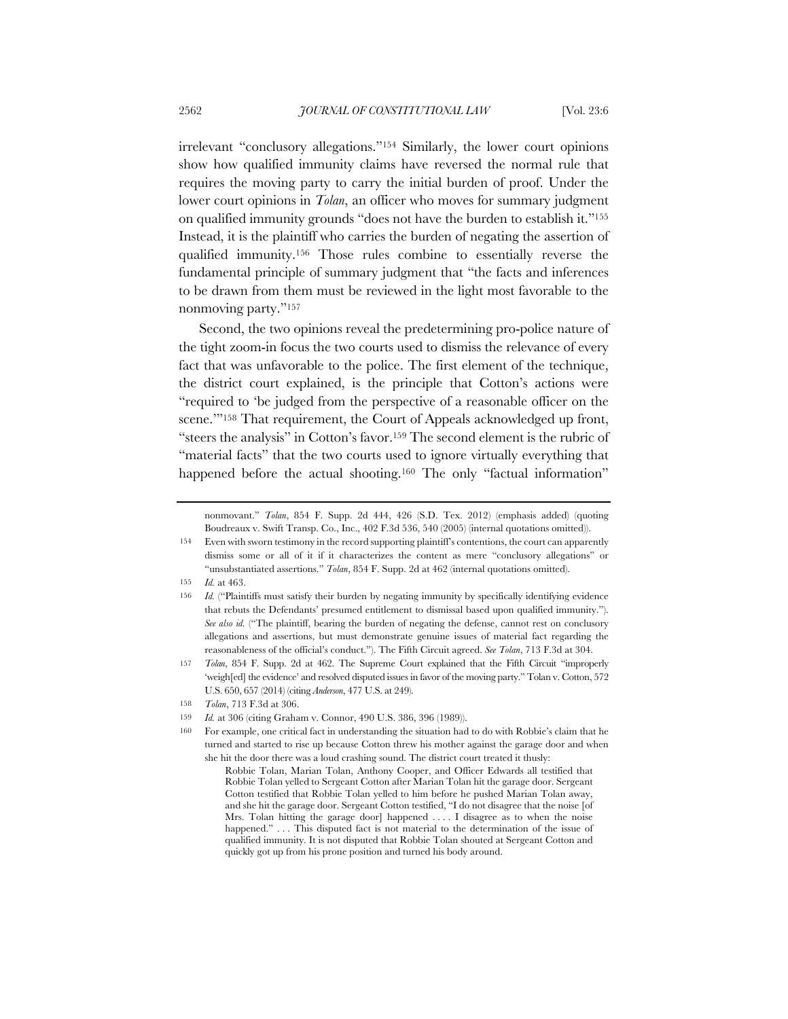irrelevant "conclusory allegations."154 Similarly, the lower court opinions show how qualified immunity claims have reversed the normal rule that requires the moving party to carry the initial burden of proof. Under the lower court opinions in *Tolan*, an officer who moves for summary judgment on qualified immunity grounds "does not have the burden to establish it."155 Instead, it is the plaintiff who carries the burden of negating the assertion of qualified immunity.156 Those rules combine to essentially reverse the fundamental principle of summary judgment that "the facts and inferences to be drawn from them must be reviewed in the light most favorable to the nonmoving party."157

Second, the two opinions reveal the predetermining pro-police nature of the tight zoom-in focus the two courts used to dismiss the relevance of every fact that was unfavorable to the police. The first element of the technique, the district court explained, is the principle that Cotton's actions were "required to 'be judged from the perspective of a reasonable officer on the scene."<sup>158</sup> That requirement, the Court of Appeals acknowledged up front, "steers the analysis" in Cotton's favor.159 The second element is the rubric of "material facts" that the two courts used to ignore virtually everything that happened before the actual shooting.<sup>160</sup> The only "factual information"

nonmovant." *Tolan*, 854 F. Supp. 2d 444, 426 (S.D. Tex. 2012) (emphasis added) (quoting Boudreaux v. Swift Transp. Co., Inc., 402 F.3d 536, 540 (2005) (internal quotations omitted)).

155 *Id.* at 463.

<sup>154</sup> Even with sworn testimony in the record supporting plaintiff's contentions, the court can apparently dismiss some or all of it if it characterizes the content as mere "conclusory allegations" or "unsubstantiated assertions." *Tolan*, 854 F. Supp. 2d at 462 (internal quotations omitted).

<sup>156</sup> *Id.* ("Plaintiffs must satisfy their burden by negating immunity by specifically identifying evidence that rebuts the Defendants' presumed entitlement to dismissal based upon qualified immunity."). *See also id.* ("The plaintiff, bearing the burden of negating the defense, cannot rest on conclusory allegations and assertions, but must demonstrate genuine issues of material fact regarding the reasonableness of the official's conduct."). The Fifth Circuit agreed. *See Tolan*, 713 F.3d at 304.

<sup>157</sup> *Tolan*, 854 F. Supp. 2d at 462. The Supreme Court explained that the Fifth Circuit "improperly 'weigh[ed] the evidence' and resolved disputed issues in favor of the moving party." Tolan v. Cotton, 572 U.S. 650, 657 (2014) (citing *Anderson*, 477 U.S. at 249).

<sup>158</sup> *Tolan*, 713 F.3d at 306.

<sup>159</sup> *Id.* at 306 (citing Graham v. Connor, 490 U.S. 386, 396 (1989)).

<sup>160</sup> For example, one critical fact in understanding the situation had to do with Robbie's claim that he turned and started to rise up because Cotton threw his mother against the garage door and when she hit the door there was a loud crashing sound. The district court treated it thusly:

Robbie Tolan, Marian Tolan, Anthony Cooper, and Officer Edwards all testified that Robbie Tolan yelled to Sergeant Cotton after Marian Tolan hit the garage door. Sergeant Cotton testified that Robbie Tolan yelled to him before he pushed Marian Tolan away, and she hit the garage door. Sergeant Cotton testified, "I do not disagree that the noise [of Mrs. Tolan hitting the garage door] happened . . . . I disagree as to when the noise happened." . . . This disputed fact is not material to the determination of the issue of qualified immunity. It is not disputed that Robbie Tolan shouted at Sergeant Cotton and quickly got up from his prone position and turned his body around.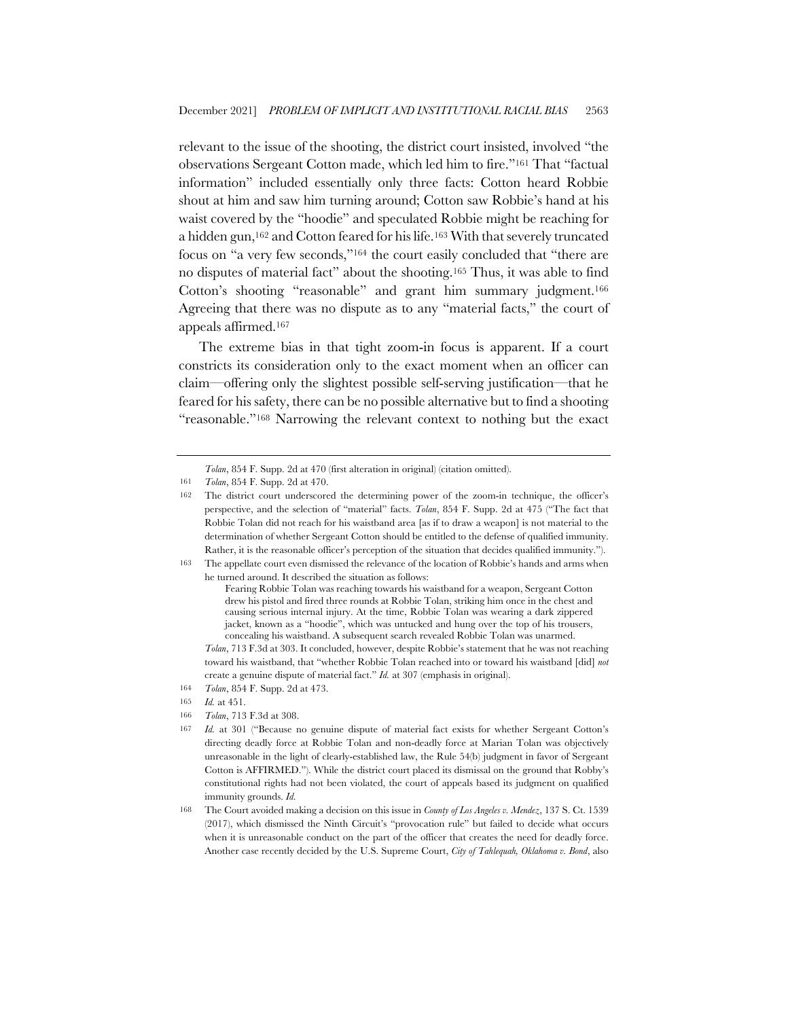relevant to the issue of the shooting, the district court insisted, involved "the observations Sergeant Cotton made, which led him to fire."161 That "factual information" included essentially only three facts: Cotton heard Robbie shout at him and saw him turning around; Cotton saw Robbie's hand at his waist covered by the "hoodie" and speculated Robbie might be reaching for a hidden gun,162 and Cotton feared for his life.163 With that severely truncated focus on "a very few seconds,"164 the court easily concluded that "there are no disputes of material fact" about the shooting.165 Thus, it was able to find Cotton's shooting "reasonable" and grant him summary judgment.166 Agreeing that there was no dispute as to any "material facts," the court of appeals affirmed.167

The extreme bias in that tight zoom-in focus is apparent. If a court constricts its consideration only to the exact moment when an officer can claim—offering only the slightest possible self-serving justification—that he feared for his safety, there can be no possible alternative but to find a shooting "reasonable."168 Narrowing the relevant context to nothing but the exact

163 The appellate court even dismissed the relevance of the location of Robbie's hands and arms when he turned around. It described the situation as follows:

166 *Tolan*, 713 F.3d at 308.

*Tolan*, 854 F. Supp. 2d at 470 (first alteration in original) (citation omitted).

<sup>161</sup> *Tolan*, 854 F. Supp. 2d at 470.

<sup>162</sup> The district court underscored the determining power of the zoom-in technique, the officer's perspective, and the selection of "material" facts. *Tolan*, 854 F. Supp. 2d at 475 ("The fact that Robbie Tolan did not reach for his waistband area [as if to draw a weapon] is not material to the determination of whether Sergeant Cotton should be entitled to the defense of qualified immunity. Rather, it is the reasonable officer's perception of the situation that decides qualified immunity.").

Fearing Robbie Tolan was reaching towards his waistband for a weapon, Sergeant Cotton drew his pistol and fired three rounds at Robbie Tolan, striking him once in the chest and causing serious internal injury. At the time, Robbie Tolan was wearing a dark zippered jacket, known as a "hoodie", which was untucked and hung over the top of his trousers, concealing his waistband. A subsequent search revealed Robbie Tolan was unarmed.

*Tolan*, 713 F.3d at 303. It concluded, however, despite Robbie's statement that he was not reaching toward his waistband, that "whether Robbie Tolan reached into or toward his waistband [did] *not* create a genuine dispute of material fact." *Id.* at 307 (emphasis in original).

<sup>164</sup> *Tolan*, 854 F. Supp. 2d at 473.

<sup>165</sup> *Id.* at 451.

<sup>167</sup> *Id.* at 301 ("Because no genuine dispute of material fact exists for whether Sergeant Cotton's directing deadly force at Robbie Tolan and non-deadly force at Marian Tolan was objectively unreasonable in the light of clearly-established law, the Rule 54(b) judgment in favor of Sergeant Cotton is AFFIRMED."). While the district court placed its dismissal on the ground that Robby's constitutional rights had not been violated, the court of appeals based its judgment on qualified immunity grounds. *Id.*

<sup>168</sup> The Court avoided making a decision on this issue in *County of Los Angeles v. Mendez*, 137 S. Ct. 1539 (2017), which dismissed the Ninth Circuit's "provocation rule" but failed to decide what occurs when it is unreasonable conduct on the part of the officer that creates the need for deadly force. Another case recently decided by the U.S. Supreme Court, *City of Tahlequah, Oklahoma v. Bond*, also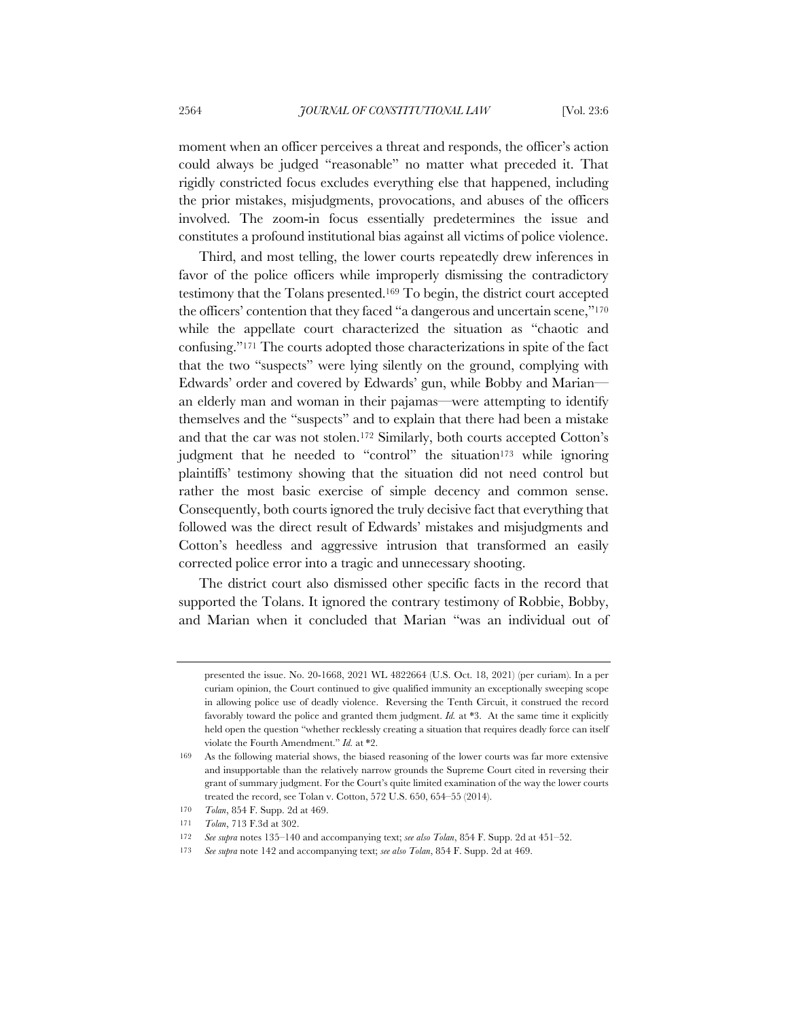moment when an officer perceives a threat and responds, the officer's action could always be judged "reasonable" no matter what preceded it. That rigidly constricted focus excludes everything else that happened, including the prior mistakes, misjudgments, provocations, and abuses of the officers involved. The zoom-in focus essentially predetermines the issue and constitutes a profound institutional bias against all victims of police violence.

Third, and most telling, the lower courts repeatedly drew inferences in favor of the police officers while improperly dismissing the contradictory testimony that the Tolans presented.169 To begin, the district court accepted the officers' contention that they faced "a dangerous and uncertain scene,"<sup>170</sup> while the appellate court characterized the situation as "chaotic and confusing."171 The courts adopted those characterizations in spite of the fact that the two "suspects" were lying silently on the ground, complying with Edwards' order and covered by Edwards' gun, while Bobby and Marian an elderly man and woman in their pajamas—were attempting to identify themselves and the "suspects" and to explain that there had been a mistake and that the car was not stolen.172 Similarly, both courts accepted Cotton's judgment that he needed to "control" the situation<sup>173</sup> while ignoring plaintiffs' testimony showing that the situation did not need control but rather the most basic exercise of simple decency and common sense. Consequently, both courts ignored the truly decisive fact that everything that followed was the direct result of Edwards' mistakes and misjudgments and Cotton's heedless and aggressive intrusion that transformed an easily corrected police error into a tragic and unnecessary shooting.

The district court also dismissed other specific facts in the record that supported the Tolans. It ignored the contrary testimony of Robbie, Bobby, and Marian when it concluded that Marian "was an individual out of

presented the issue. No. 20-1668, 2021 WL 4822664 (U.S. Oct. 18, 2021) (per curiam). In a per curiam opinion, the Court continued to give qualified immunity an exceptionally sweeping scope in allowing police use of deadly violence. Reversing the Tenth Circuit, it construed the record favorably toward the police and granted them judgment. *Id.* at \*3. At the same time it explicitly held open the question "whether recklessly creating a situation that requires deadly force can itself violate the Fourth Amendment." *Id.* at \*2.

<sup>169</sup> As the following material shows, the biased reasoning of the lower courts was far more extensive and insupportable than the relatively narrow grounds the Supreme Court cited in reversing their grant of summary judgment. For the Court's quite limited examination of the way the lower courts treated the record, see Tolan v. Cotton, 572 U.S. 650, 654–55 (2014).

<sup>170</sup> *Tolan*, 854 F. Supp. 2d at 469.

<sup>171</sup> *Tolan*, 713 F.3d at 302.

<sup>172</sup> *See supra* notes 135–140 and accompanying text; *see also Tolan*, 854 F. Supp. 2d at 451–52.

<sup>173</sup> *See supra* note 142 and accompanying text; *see also Tolan*, 854 F. Supp. 2d at 469.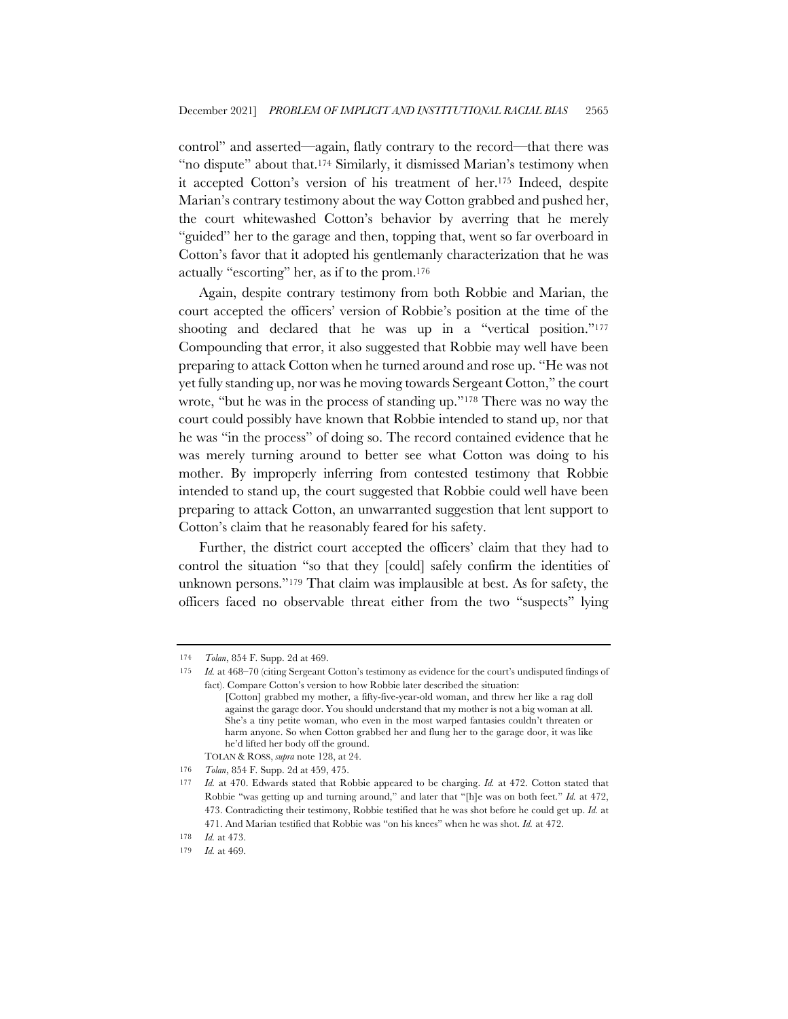control" and asserted—again, flatly contrary to the record—that there was "no dispute" about that.174 Similarly, it dismissed Marian's testimony when it accepted Cotton's version of his treatment of her.175 Indeed, despite Marian's contrary testimony about the way Cotton grabbed and pushed her, the court whitewashed Cotton's behavior by averring that he merely "guided" her to the garage and then, topping that, went so far overboard in Cotton's favor that it adopted his gentlemanly characterization that he was actually "escorting" her, as if to the prom.176

Again, despite contrary testimony from both Robbie and Marian, the court accepted the officers' version of Robbie's position at the time of the shooting and declared that he was up in a "vertical position."177 Compounding that error, it also suggested that Robbie may well have been preparing to attack Cotton when he turned around and rose up. "He was not yet fully standing up, nor was he moving towards Sergeant Cotton," the court wrote, "but he was in the process of standing up."178 There was no way the court could possibly have known that Robbie intended to stand up, nor that he was "in the process" of doing so. The record contained evidence that he was merely turning around to better see what Cotton was doing to his mother. By improperly inferring from contested testimony that Robbie intended to stand up, the court suggested that Robbie could well have been preparing to attack Cotton, an unwarranted suggestion that lent support to Cotton's claim that he reasonably feared for his safety.

Further, the district court accepted the officers' claim that they had to control the situation "so that they [could] safely confirm the identities of unknown persons."179 That claim was implausible at best. As for safety, the officers faced no observable threat either from the two "suspects" lying

<sup>174</sup> *Tolan*, 854 F. Supp. 2d at 469.

<sup>175</sup> *Id.* at 468–70 (citing Sergeant Cotton's testimony as evidence for the court's undisputed findings of fact). Compare Cotton's version to how Robbie later described the situation:

<sup>[</sup>Cotton] grabbed my mother, a fifty-five-year-old woman, and threw her like a rag doll against the garage door. You should understand that my mother is not a big woman at all. She's a tiny petite woman, who even in the most warped fantasies couldn't threaten or harm anyone. So when Cotton grabbed her and flung her to the garage door, it was like he'd lifted her body off the ground.

TOLAN & ROSS, *supra* note 128, at 24.

<sup>176</sup> *Tolan*, 854 F. Supp. 2d at 459, 475.

<sup>177</sup> *Id.* at 470. Edwards stated that Robbie appeared to be charging. *Id.* at 472. Cotton stated that Robbie "was getting up and turning around," and later that "[h]e was on both feet." *Id.* at 472, 473. Contradicting their testimony, Robbie testified that he was shot before he could get up. *Id.* at 471. And Marian testified that Robbie was "on his knees" when he was shot. *Id.* at 472.

<sup>178</sup> *Id.* at 473.

<sup>179</sup> *Id.* at 469.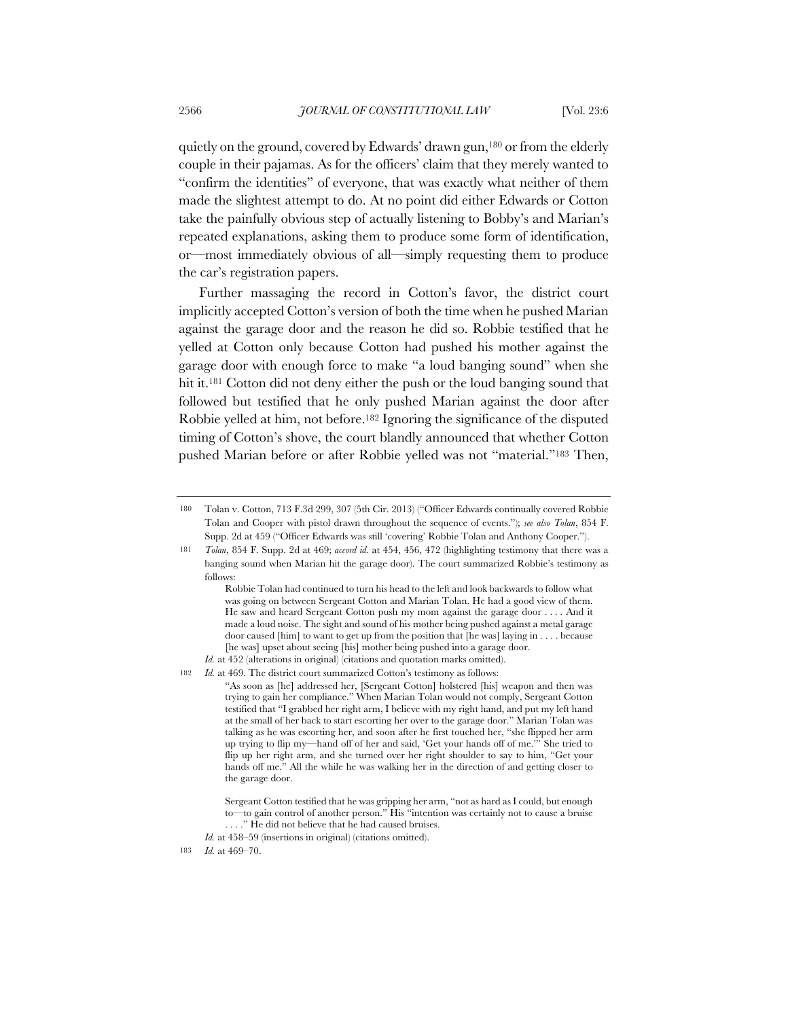quietly on the ground, covered by Edwards' drawn gun,180 or from the elderly couple in their pajamas. As for the officers' claim that they merely wanted to "confirm the identities" of everyone, that was exactly what neither of them made the slightest attempt to do. At no point did either Edwards or Cotton take the painfully obvious step of actually listening to Bobby's and Marian's repeated explanations, asking them to produce some form of identification, or—most immediately obvious of all—simply requesting them to produce the car's registration papers.

Further massaging the record in Cotton's favor, the district court implicitly accepted Cotton's version of both the time when he pushed Marian against the garage door and the reason he did so. Robbie testified that he yelled at Cotton only because Cotton had pushed his mother against the garage door with enough force to make "a loud banging sound" when she hit it.181 Cotton did not deny either the push or the loud banging sound that followed but testified that he only pushed Marian against the door after Robbie yelled at him, not before.182 Ignoring the significance of the disputed timing of Cotton's shove, the court blandly announced that whether Cotton pushed Marian before or after Robbie yelled was not "material."183 Then,

*Id.* at 452 (alterations in original) (citations and quotation marks omitted). 182 *Id.* at 469. The district court summarized Cotton's testimony as follows:

"As soon as [he] addressed her, [Sergeant Cotton] holstered [his] weapon and then was trying to gain her compliance." When Marian Tolan would not comply, Sergeant Cotton testified that "I grabbed her right arm, I believe with my right hand, and put my left hand at the small of her back to start escorting her over to the garage door." Marian Tolan was talking as he was escorting her, and soon after he first touched her, "she flipped her arm up trying to flip my—hand off of her and said, 'Get your hands off of me.'" She tried to flip up her right arm, and she turned over her right shoulder to say to him, "Get your

hands off me." All the while he was walking her in the direction of and getting closer to

the garage door.

<sup>180</sup> Tolan v. Cotton, 713 F.3d 299, 307 (5th Cir. 2013) ("Officer Edwards continually covered Robbie Tolan and Cooper with pistol drawn throughout the sequence of events."); *see also Tolan*, 854 F. Supp. 2d at 459 ("Officer Edwards was still 'covering' Robbie Tolan and Anthony Cooper.").

<sup>181</sup> *Tolan*, 854 F. Supp. 2d at 469; *accord id.* at 454, 456, 472 (highlighting testimony that there was a banging sound when Marian hit the garage door). The court summarized Robbie's testimony as follows:

Robbie Tolan had continued to turn his head to the left and look backwards to follow what was going on between Sergeant Cotton and Marian Tolan. He had a good view of them. He saw and heard Sergeant Cotton push my mom against the garage door . . . . And it made a loud noise. The sight and sound of his mother being pushed against a metal garage door caused [him] to want to get up from the position that [he was] laying in . . . . because [he was] upset about seeing [his] mother being pushed into a garage door.

Sergeant Cotton testified that he was gripping her arm, "not as hard as I could, but enough to—to gain control of another person." His "intention was certainly not to cause a bruise . . . ." He did not believe that he had caused bruises.

*Id.* at 458–59 (insertions in original) (citations omitted).

<sup>183</sup> *Id.* at 469–70.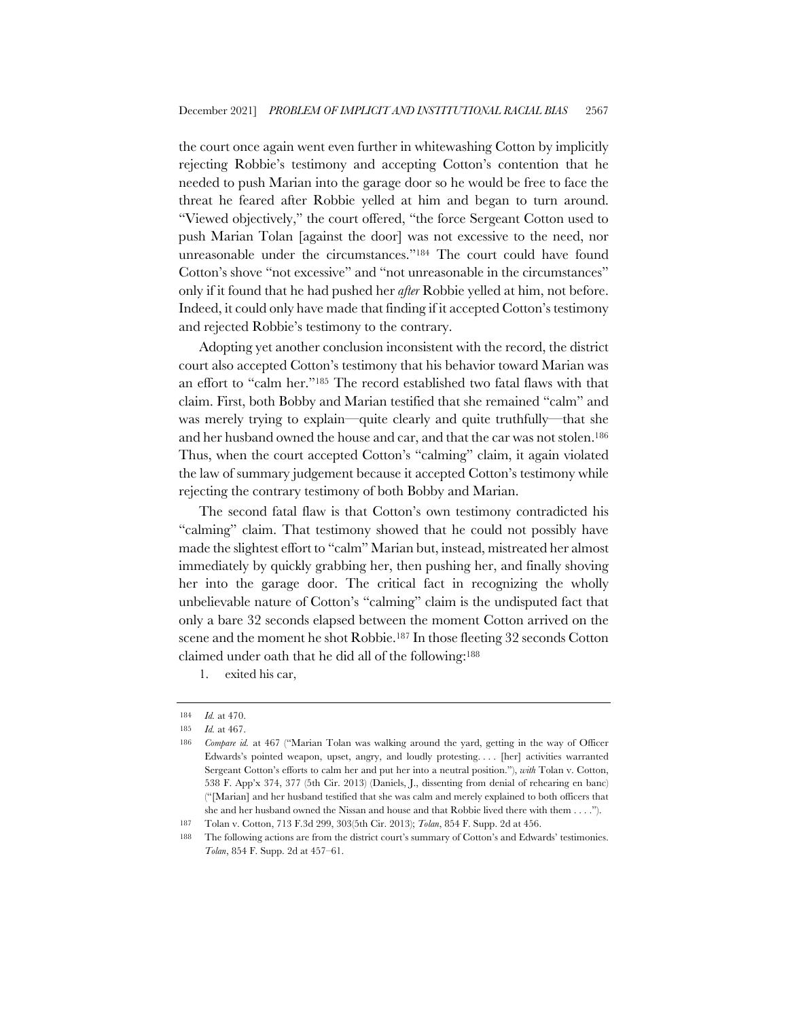the court once again went even further in whitewashing Cotton by implicitly rejecting Robbie's testimony and accepting Cotton's contention that he needed to push Marian into the garage door so he would be free to face the threat he feared after Robbie yelled at him and began to turn around. "Viewed objectively," the court offered, "the force Sergeant Cotton used to push Marian Tolan [against the door] was not excessive to the need, nor unreasonable under the circumstances."184 The court could have found Cotton's shove "not excessive" and "not unreasonable in the circumstances" only if it found that he had pushed her *after* Robbie yelled at him, not before. Indeed, it could only have made that finding if it accepted Cotton's testimony and rejected Robbie's testimony to the contrary.

Adopting yet another conclusion inconsistent with the record, the district court also accepted Cotton's testimony that his behavior toward Marian was an effort to "calm her."185 The record established two fatal flaws with that claim. First, both Bobby and Marian testified that she remained "calm" and was merely trying to explain—quite clearly and quite truthfully—that she and her husband owned the house and car, and that the car was not stolen.186 Thus, when the court accepted Cotton's "calming" claim, it again violated the law of summary judgement because it accepted Cotton's testimony while rejecting the contrary testimony of both Bobby and Marian.

The second fatal flaw is that Cotton's own testimony contradicted his "calming" claim. That testimony showed that he could not possibly have made the slightest effort to "calm" Marian but, instead, mistreated her almost immediately by quickly grabbing her, then pushing her, and finally shoving her into the garage door. The critical fact in recognizing the wholly unbelievable nature of Cotton's "calming" claim is the undisputed fact that only a bare 32 seconds elapsed between the moment Cotton arrived on the scene and the moment he shot Robbie.187 In those fleeting 32 seconds Cotton claimed under oath that he did all of the following:188

1. exited his car,

<sup>184</sup> *Id.* at 470.

<sup>185</sup> *Id.* at 467.

<sup>186</sup> *Compare id.* at 467 ("Marian Tolan was walking around the yard, getting in the way of Officer Edwards's pointed weapon, upset, angry, and loudly protesting. . . . [her] activities warranted Sergeant Cotton's efforts to calm her and put her into a neutral position."), *with* Tolan v. Cotton, 538 F. App'x 374, 377 (5th Cir. 2013) (Daniels, J., dissenting from denial of rehearing en banc) ("[Marian] and her husband testified that she was calm and merely explained to both officers that she and her husband owned the Nissan and house and that Robbie lived there with them . . . .").

<sup>187</sup> Tolan v. Cotton, 713 F.3d 299, 303(5th Cir. 2013); *Tolan*, 854 F. Supp. 2d at 456.

<sup>188</sup> The following actions are from the district court's summary of Cotton's and Edwards' testimonies. *Tolan*, 854 F. Supp. 2d at 457–61.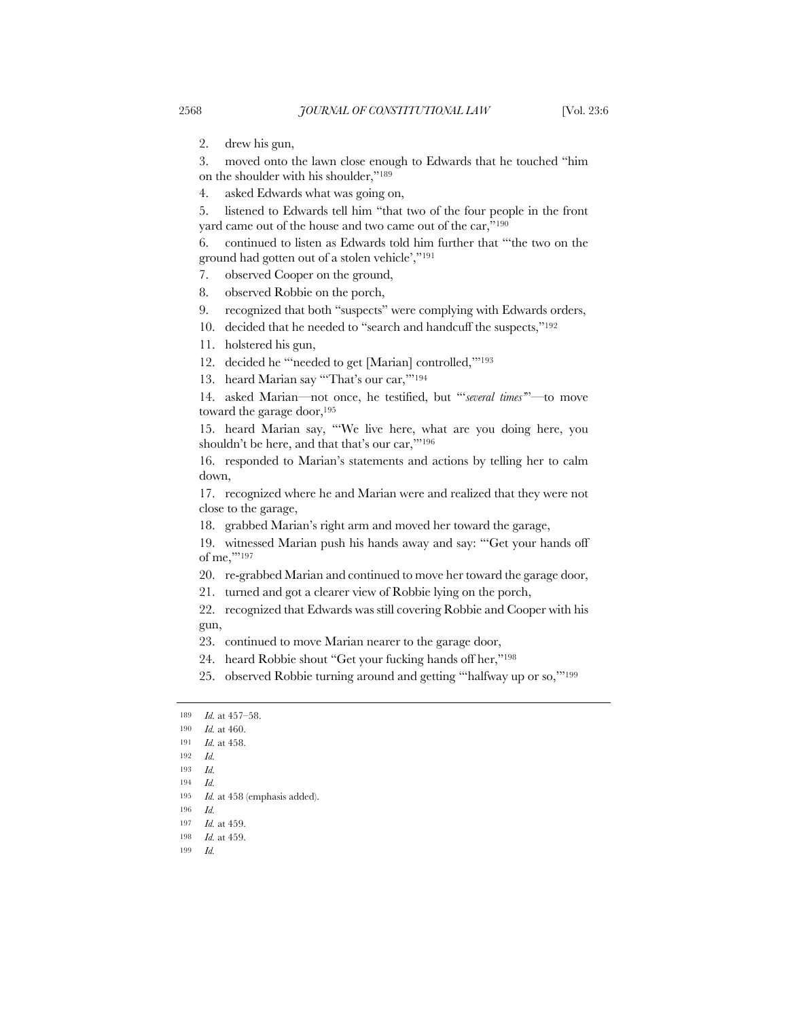2. drew his gun,

3. moved onto the lawn close enough to Edwards that he touched "him on the shoulder with his shoulder,"189

4. asked Edwards what was going on,

5. listened to Edwards tell him "that two of the four people in the front yard came out of the house and two came out of the car,"190

6. continued to listen as Edwards told him further that "'the two on the ground had gotten out of a stolen vehicle',"191

- 7. observed Cooper on the ground,
- 8. observed Robbie on the porch,
- 9. recognized that both "suspects" were complying with Edwards orders,

10. decided that he needed to "search and handcuff the suspects,"192

11. holstered his gun,

12. decided he "'needed to get [Marian] controlled,'"193

13. heard Marian say "'That's our car,'"194

14. asked Marian—not once, he testified, but "'*several times'*"—to move toward the garage door,<sup>195</sup>

15. heard Marian say, "'We live here, what are you doing here, you shouldn't be here, and that that's our car,'"196

16. responded to Marian's statements and actions by telling her to calm down,

17. recognized where he and Marian were and realized that they were not close to the garage,

18. grabbed Marian's right arm and moved her toward the garage,

19. witnessed Marian push his hands away and say: "'Get your hands off of me,'"197

20. re-grabbed Marian and continued to move her toward the garage door,

21. turned and got a clearer view of Robbie lying on the porch,

22. recognized that Edwards was still covering Robbie and Cooper with his gun,

23. continued to move Marian nearer to the garage door,

24. heard Robbie shout "Get your fucking hands off her,"198

25. observed Robbie turning around and getting "'halfway up or so,'"199

194 *Id.*

<sup>189</sup> *Id.* at 457–58.

<sup>190</sup> *Id.* at 460.

<sup>191</sup> *Id.* at 458.

<sup>192</sup> *Id.*

<sup>193</sup> *Id.*

<sup>195</sup> *Id.* at 458 (emphasis added).

<sup>196</sup> *Id.*

<sup>197</sup> *Id.* at 459.

<sup>198</sup> *Id.* at 459.

<sup>199</sup> *Id.*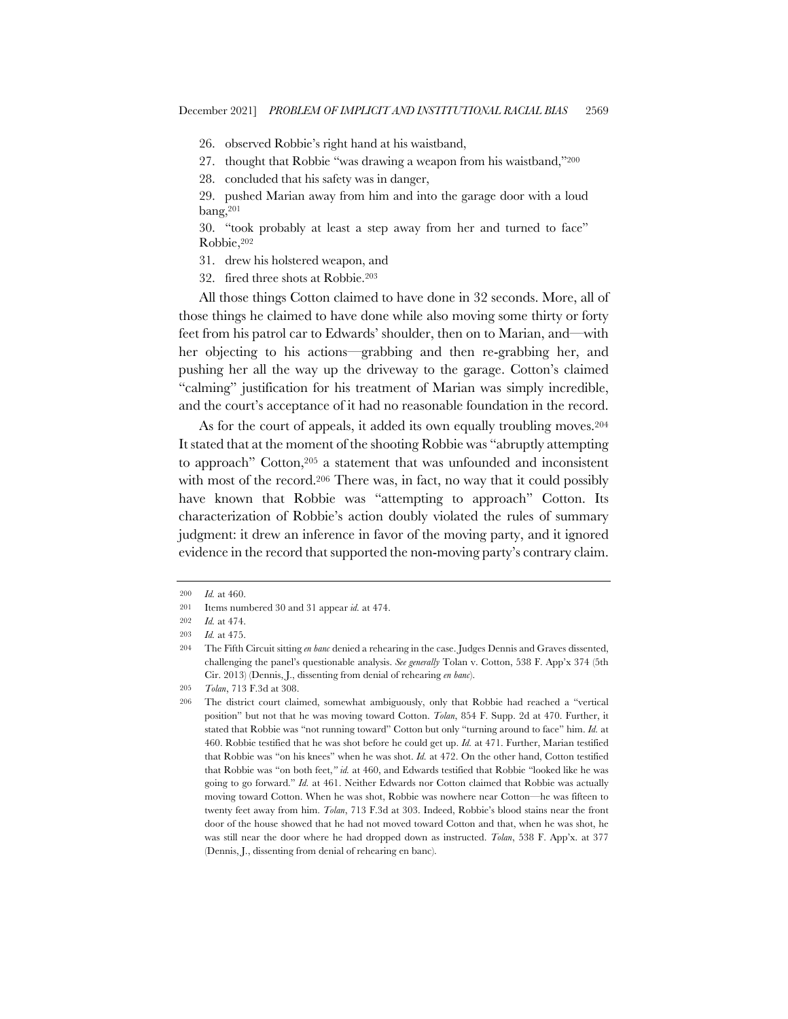- 26. observed Robbie's right hand at his waistband,
- 27. thought that Robbie "was drawing a weapon from his waistband,"200
- 28. concluded that his safety was in danger,

29. pushed Marian away from him and into the garage door with a loud bang,201

30. "took probably at least a step away from her and turned to face" Robbie,202

- 31. drew his holstered weapon, and
- 32. fired three shots at Robbie.203

All those things Cotton claimed to have done in 32 seconds. More, all of those things he claimed to have done while also moving some thirty or forty feet from his patrol car to Edwards' shoulder, then on to Marian, and—with her objecting to his actions—grabbing and then re-grabbing her, and pushing her all the way up the driveway to the garage. Cotton's claimed "calming" justification for his treatment of Marian was simply incredible, and the court's acceptance of it had no reasonable foundation in the record.

As for the court of appeals, it added its own equally troubling moves.<sup>204</sup> It stated that at the moment of the shooting Robbie was "abruptly attempting to approach" Cotton,205 a statement that was unfounded and inconsistent with most of the record.<sup>206</sup> There was, in fact, no way that it could possibly have known that Robbie was "attempting to approach" Cotton. Its characterization of Robbie's action doubly violated the rules of summary judgment: it drew an inference in favor of the moving party, and it ignored evidence in the record that supported the non-moving party's contrary claim.

<sup>200</sup> *Id.* at 460.

<sup>201</sup> Items numbered 30 and 31 appear *id.* at 474.

<sup>202</sup> *Id.* at 474.

<sup>203</sup> *Id.* at 475.

<sup>204</sup> The Fifth Circuit sitting *en banc* denied a rehearing in the case. Judges Dennis and Graves dissented, challenging the panel's questionable analysis. *See generally* Tolan v. Cotton, 538 F. App'x 374 (5th Cir. 2013) (Dennis, J., dissenting from denial of rehearing *en banc*).

<sup>205</sup> *Tolan*, 713 F.3d at 308.

<sup>206</sup> The district court claimed, somewhat ambiguously, only that Robbie had reached a "vertical position" but not that he was moving toward Cotton. *Tolan*, 854 F. Supp. 2d at 470. Further, it stated that Robbie was "not running toward" Cotton but only "turning around to face" him. *Id.* at 460. Robbie testified that he was shot before he could get up. *Id.* at 471. Further, Marian testified that Robbie was "on his knees" when he was shot. *Id.* at 472. On the other hand, Cotton testified that Robbie was "on both feet,*" id.* at 460, and Edwards testified that Robbie "looked like he was going to go forward." *Id.* at 461. Neither Edwards nor Cotton claimed that Robbie was actually moving toward Cotton. When he was shot, Robbie was nowhere near Cotton—he was fifteen to twenty feet away from him. *Tolan*, 713 F.3d at 303. Indeed, Robbie's blood stains near the front door of the house showed that he had not moved toward Cotton and that, when he was shot, he was still near the door where he had dropped down as instructed. *Tolan*, 538 F. App'x. at 377 (Dennis, J., dissenting from denial of rehearing en banc).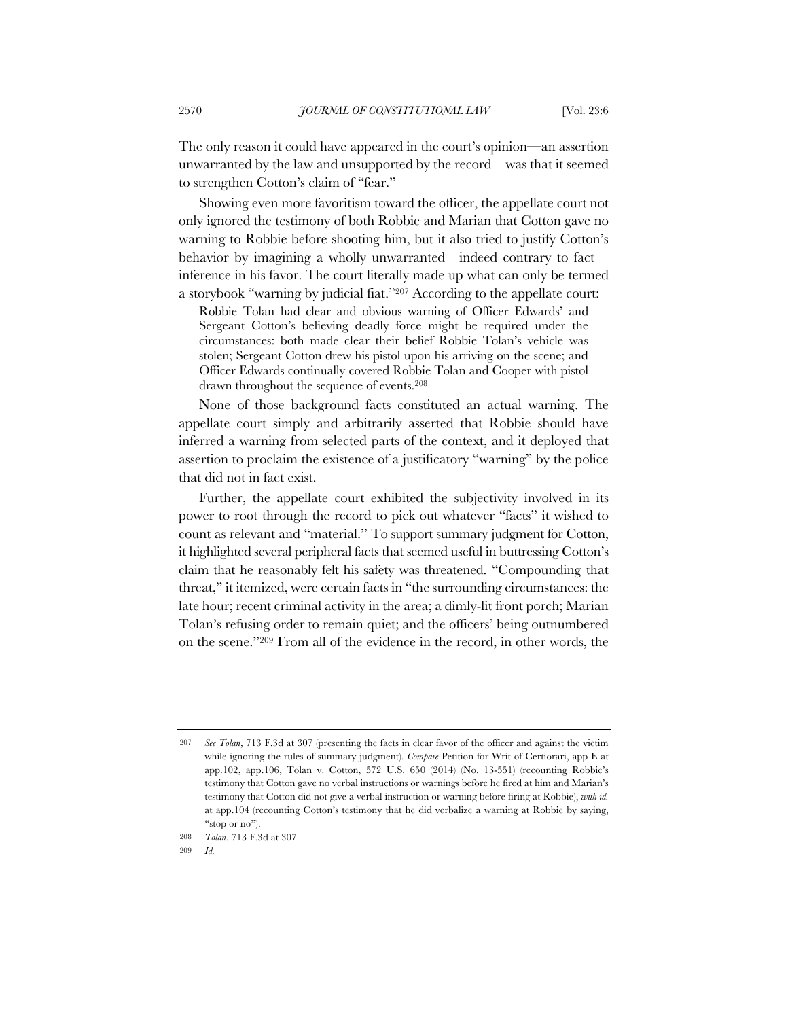The only reason it could have appeared in the court's opinion—an assertion unwarranted by the law and unsupported by the record—was that it seemed to strengthen Cotton's claim of "fear."

Showing even more favoritism toward the officer, the appellate court not only ignored the testimony of both Robbie and Marian that Cotton gave no warning to Robbie before shooting him, but it also tried to justify Cotton's behavior by imagining a wholly unwarranted—indeed contrary to fact inference in his favor. The court literally made up what can only be termed a storybook "warning by judicial fiat."207 According to the appellate court:

Robbie Tolan had clear and obvious warning of Officer Edwards' and Sergeant Cotton's believing deadly force might be required under the circumstances: both made clear their belief Robbie Tolan's vehicle was stolen; Sergeant Cotton drew his pistol upon his arriving on the scene; and Officer Edwards continually covered Robbie Tolan and Cooper with pistol drawn throughout the sequence of events.208

None of those background facts constituted an actual warning. The appellate court simply and arbitrarily asserted that Robbie should have inferred a warning from selected parts of the context, and it deployed that assertion to proclaim the existence of a justificatory "warning" by the police that did not in fact exist.

Further, the appellate court exhibited the subjectivity involved in its power to root through the record to pick out whatever "facts" it wished to count as relevant and "material." To support summary judgment for Cotton, it highlighted several peripheral facts that seemed useful in buttressing Cotton's claim that he reasonably felt his safety was threatened. "Compounding that threat," it itemized, were certain facts in "the surrounding circumstances: the late hour; recent criminal activity in the area; a dimly-lit front porch; Marian Tolan's refusing order to remain quiet; and the officers' being outnumbered on the scene."209 From all of the evidence in the record, in other words, the

<sup>207</sup> *See Tolan*, 713 F.3d at 307 (presenting the facts in clear favor of the officer and against the victim while ignoring the rules of summary judgment). *Compare* Petition for Writ of Certiorari, app E at app.102, app.106, Tolan v. Cotton, 572 U.S. 650 (2014) (No. 13-551) (recounting Robbie's testimony that Cotton gave no verbal instructions or warnings before he fired at him and Marian's testimony that Cotton did not give a verbal instruction or warning before firing at Robbie), *with id.* at app.104 (recounting Cotton's testimony that he did verbalize a warning at Robbie by saying, "stop or no").

<sup>208</sup> *Tolan*, 713 F.3d at 307.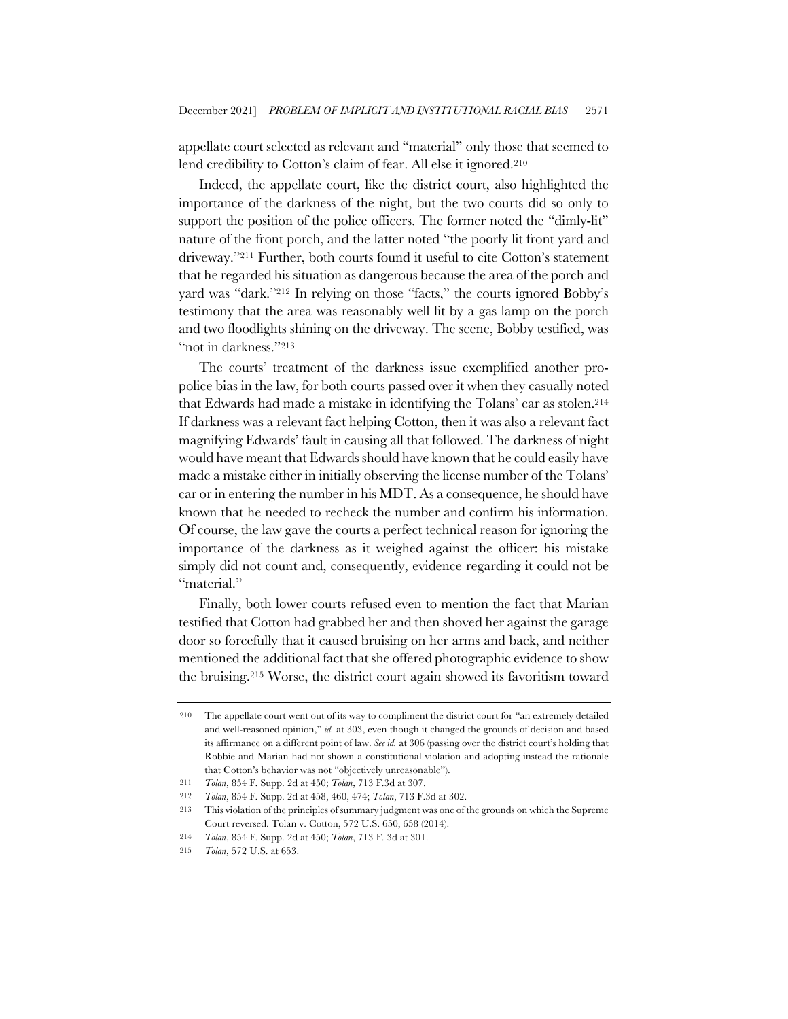appellate court selected as relevant and "material" only those that seemed to lend credibility to Cotton's claim of fear. All else it ignored.210

Indeed, the appellate court, like the district court, also highlighted the importance of the darkness of the night, but the two courts did so only to support the position of the police officers. The former noted the "dimly-lit" nature of the front porch, and the latter noted "the poorly lit front yard and driveway."211 Further, both courts found it useful to cite Cotton's statement that he regarded his situation as dangerous because the area of the porch and yard was "dark."212 In relying on those "facts," the courts ignored Bobby's testimony that the area was reasonably well lit by a gas lamp on the porch and two floodlights shining on the driveway. The scene, Bobby testified, was "not in darkness."213

The courts' treatment of the darkness issue exemplified another propolice bias in the law, for both courts passed over it when they casually noted that Edwards had made a mistake in identifying the Tolans' car as stolen.214 If darkness was a relevant fact helping Cotton, then it was also a relevant fact magnifying Edwards' fault in causing all that followed. The darkness of night would have meant that Edwards should have known that he could easily have made a mistake either in initially observing the license number of the Tolans' car or in entering the number in his MDT. As a consequence, he should have known that he needed to recheck the number and confirm his information. Of course, the law gave the courts a perfect technical reason for ignoring the importance of the darkness as it weighed against the officer: his mistake simply did not count and, consequently, evidence regarding it could not be "material."

Finally, both lower courts refused even to mention the fact that Marian testified that Cotton had grabbed her and then shoved her against the garage door so forcefully that it caused bruising on her arms and back, and neither mentioned the additional fact that she offered photographic evidence to show the bruising.215 Worse, the district court again showed its favoritism toward

<sup>210</sup> The appellate court went out of its way to compliment the district court for "an extremely detailed and well-reasoned opinion," *id.* at 303, even though it changed the grounds of decision and based its affirmance on a different point of law. *See id.* at 306 (passing over the district court's holding that Robbie and Marian had not shown a constitutional violation and adopting instead the rationale that Cotton's behavior was not "objectively unreasonable").

<sup>211</sup> *Tolan*, 854 F. Supp. 2d at 450; *Tolan*, 713 F.3d at 307.

<sup>212</sup> *Tolan*, 854 F. Supp. 2d at 458, 460, 474; *Tolan*, 713 F.3d at 302.

<sup>213</sup> This violation of the principles of summary judgment was one of the grounds on which the Supreme Court reversed. Tolan v. Cotton, 572 U.S. 650, 658 (2014).

<sup>214</sup> *Tolan*, 854 F. Supp. 2d at 450; *Tolan*, 713 F. 3d at 301.

<sup>215</sup> *Tolan*, 572 U.S. at 653.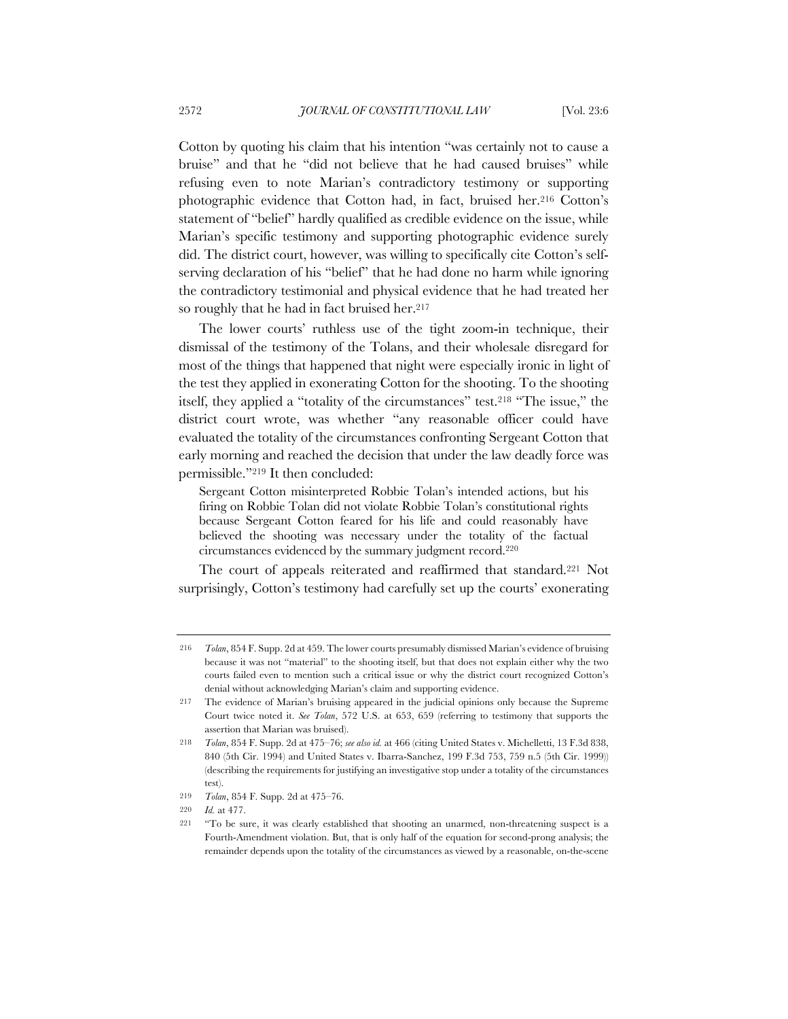Cotton by quoting his claim that his intention "was certainly not to cause a bruise" and that he "did not believe that he had caused bruises" while refusing even to note Marian's contradictory testimony or supporting photographic evidence that Cotton had, in fact, bruised her.216 Cotton's statement of "belief" hardly qualified as credible evidence on the issue, while Marian's specific testimony and supporting photographic evidence surely did. The district court, however, was willing to specifically cite Cotton's selfserving declaration of his "belief" that he had done no harm while ignoring the contradictory testimonial and physical evidence that he had treated her so roughly that he had in fact bruised her.<sup>217</sup>

The lower courts' ruthless use of the tight zoom-in technique, their dismissal of the testimony of the Tolans, and their wholesale disregard for most of the things that happened that night were especially ironic in light of the test they applied in exonerating Cotton for the shooting. To the shooting itself, they applied a "totality of the circumstances" test.218 "The issue," the district court wrote, was whether "any reasonable officer could have evaluated the totality of the circumstances confronting Sergeant Cotton that early morning and reached the decision that under the law deadly force was permissible."219 It then concluded:

Sergeant Cotton misinterpreted Robbie Tolan's intended actions, but his firing on Robbie Tolan did not violate Robbie Tolan's constitutional rights because Sergeant Cotton feared for his life and could reasonably have believed the shooting was necessary under the totality of the factual circumstances evidenced by the summary judgment record.220

The court of appeals reiterated and reaffirmed that standard.221 Not surprisingly, Cotton's testimony had carefully set up the courts' exonerating

<sup>216</sup> *Tolan*, 854 F. Supp. 2d at 459. The lower courts presumably dismissed Marian's evidence of bruising because it was not "material" to the shooting itself, but that does not explain either why the two courts failed even to mention such a critical issue or why the district court recognized Cotton's denial without acknowledging Marian's claim and supporting evidence.

<sup>217</sup> The evidence of Marian's bruising appeared in the judicial opinions only because the Supreme Court twice noted it. *See Tolan*, 572 U.S. at 653, 659 (referring to testimony that supports the assertion that Marian was bruised).

<sup>218</sup> *Tolan*, 854 F. Supp. 2d at 475–76; *see also id.* at 466 (citing United States v. Michelletti, 13 F.3d 838, 840 (5th Cir. 1994) and United States v. Ibarra-Sanchez, 199 F.3d 753, 759 n.5 (5th Cir. 1999)) (describing the requirements for justifying an investigative stop under a totality of the circumstances test).

<sup>219</sup> *Tolan*, 854 F. Supp. 2d at 475–76.

<sup>220</sup> *Id.* at 477.

<sup>221</sup> "To be sure, it was clearly established that shooting an unarmed, non-threatening suspect is a Fourth-Amendment violation. But, that is only half of the equation for second-prong analysis; the remainder depends upon the totality of the circumstances as viewed by a reasonable, on-the-scene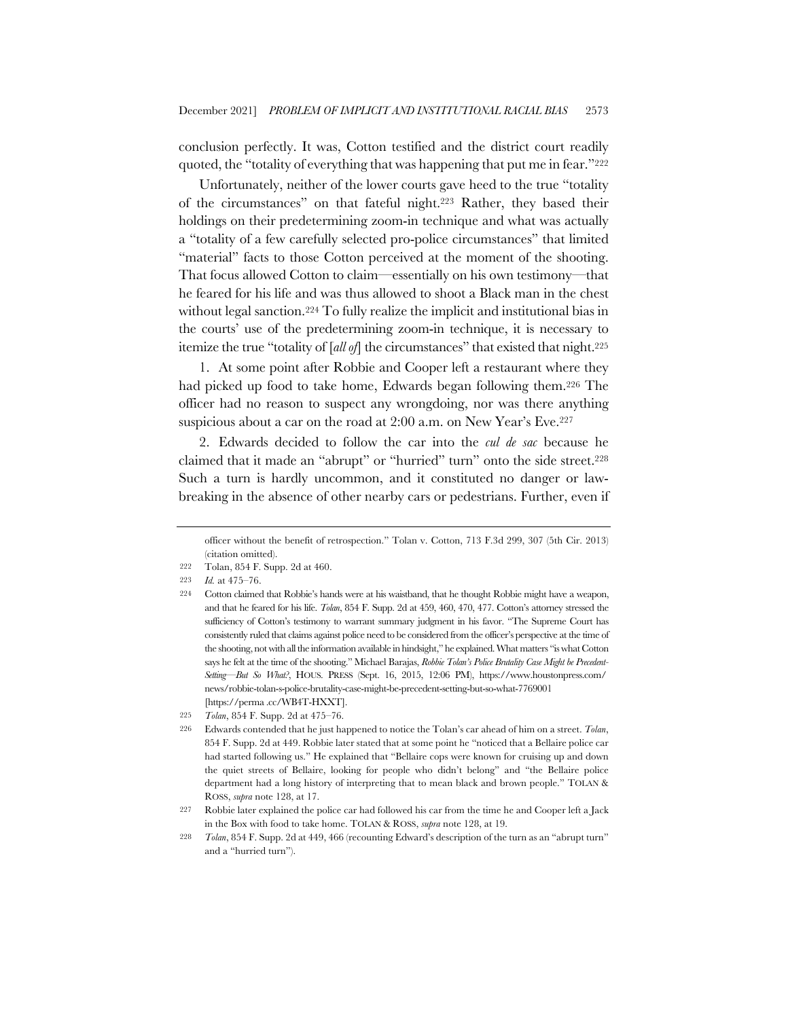conclusion perfectly. It was, Cotton testified and the district court readily quoted, the "totality of everything that was happening that put me in fear."222

Unfortunately, neither of the lower courts gave heed to the true "totality of the circumstances" on that fateful night.223 Rather, they based their holdings on their predetermining zoom-in technique and what was actually a "totality of a few carefully selected pro-police circumstances" that limited "material" facts to those Cotton perceived at the moment of the shooting. That focus allowed Cotton to claim—essentially on his own testimony—that he feared for his life and was thus allowed to shoot a Black man in the chest without legal sanction.224 To fully realize the implicit and institutional bias in the courts' use of the predetermining zoom-in technique, it is necessary to itemize the true "totality of [*all of*] the circumstances" that existed that night.225

1. At some point after Robbie and Cooper left a restaurant where they had picked up food to take home, Edwards began following them.226 The officer had no reason to suspect any wrongdoing, nor was there anything suspicious about a car on the road at 2:00 a.m. on New Year's Eve.227

2. Edwards decided to follow the car into the *cul de sac* because he claimed that it made an "abrupt" or "hurried" turn" onto the side street.228 Such a turn is hardly uncommon, and it constituted no danger or lawbreaking in the absence of other nearby cars or pedestrians. Further, even if

officer without the benefit of retrospection." Tolan v. Cotton, 713 F.3d 299, 307 (5th Cir. 2013) (citation omitted).

<sup>222</sup> Tolan, 854 F. Supp. 2d at 460.

<sup>223</sup> *Id.* at 475–76.

<sup>224</sup> Cotton claimed that Robbie's hands were at his waistband, that he thought Robbie might have a weapon, and that he feared for his life. *Tolan*, 854 F. Supp. 2d at 459, 460, 470, 477. Cotton's attorney stressed the sufficiency of Cotton's testimony to warrant summary judgment in his favor. "The Supreme Court has consistently ruled that claims against police need to be considered from the officer's perspective at the time of the shooting, not with all the information available in hindsight," he explained. What matters "is what Cotton says he felt at the time of the shooting." Michael Barajas, *Robbie Tolan's Police Brutality Case Might be Precedent-Setting—But So What?*, HOUS. PRESS (Sept. 16, 2015, 12:06 PM), https://www.houstonpress.com/ news/robbie-tolan-s-police-brutality-case-might-be-precedent-setting-but-so-what-7769001 [https://perma .cc/WB4T-HXXT].

<sup>225</sup> *Tolan*, 854 F. Supp. 2d at 475–76.

<sup>226</sup> Edwards contended that he just happened to notice the Tolan's car ahead of him on a street. *Tolan*, 854 F. Supp. 2d at 449. Robbie later stated that at some point he "noticed that a Bellaire police car had started following us." He explained that "Bellaire cops were known for cruising up and down the quiet streets of Bellaire, looking for people who didn't belong" and "the Bellaire police department had a long history of interpreting that to mean black and brown people." TOLAN & ROSS, *supra* note 128, at 17.

<sup>227</sup> Robbie later explained the police car had followed his car from the time he and Cooper left a Jack in the Box with food to take home. TOLAN & ROSS, *supra* note 128, at 19.

<sup>228</sup> *Tolan*, 854 F. Supp. 2d at 449, 466 (recounting Edward's description of the turn as an "abrupt turn" and a "hurried turn").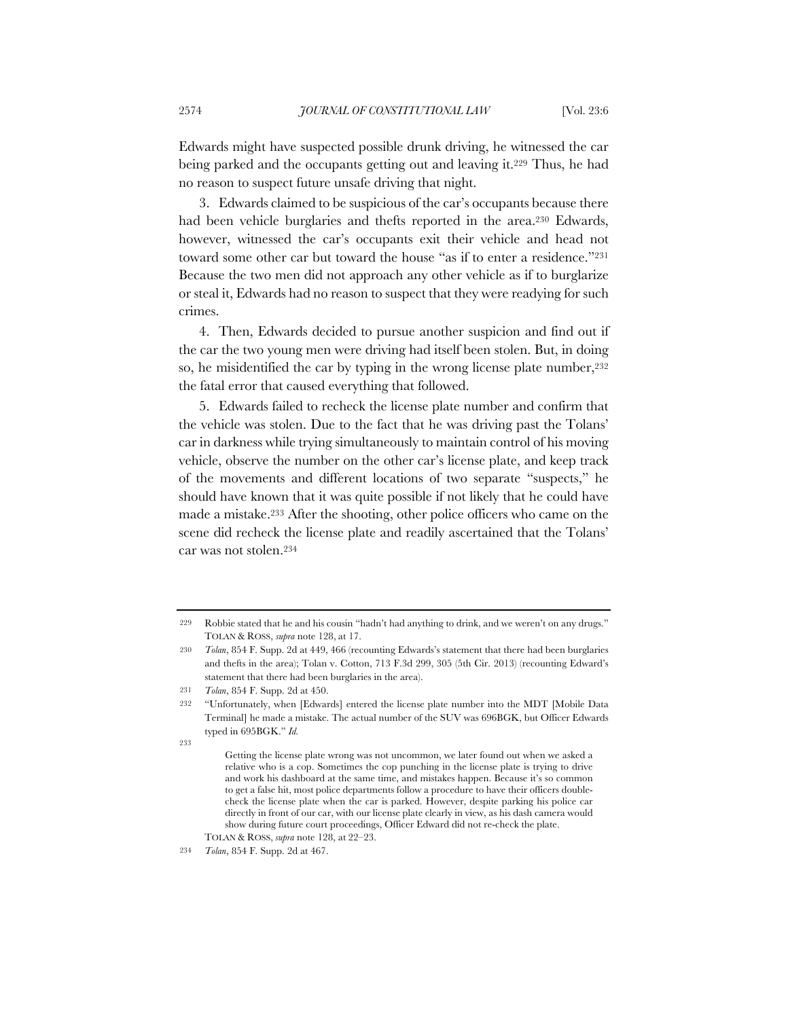Edwards might have suspected possible drunk driving, he witnessed the car being parked and the occupants getting out and leaving it.229 Thus, he had no reason to suspect future unsafe driving that night.

3. Edwards claimed to be suspicious of the car's occupants because there had been vehicle burglaries and thefts reported in the area.230 Edwards, however, witnessed the car's occupants exit their vehicle and head not toward some other car but toward the house "as if to enter a residence."<sup>231</sup> Because the two men did not approach any other vehicle as if to burglarize or steal it, Edwards had no reason to suspect that they were readying for such crimes.

4. Then, Edwards decided to pursue another suspicion and find out if the car the two young men were driving had itself been stolen. But, in doing so, he misidentified the car by typing in the wrong license plate number,  $232$ the fatal error that caused everything that followed.

5. Edwards failed to recheck the license plate number and confirm that the vehicle was stolen. Due to the fact that he was driving past the Tolans' car in darkness while trying simultaneously to maintain control of his moving vehicle, observe the number on the other car's license plate, and keep track of the movements and different locations of two separate "suspects," he should have known that it was quite possible if not likely that he could have made a mistake.233 After the shooting, other police officers who came on the scene did recheck the license plate and readily ascertained that the Tolans' car was not stolen.234

<sup>229</sup> Robbie stated that he and his cousin "hadn't had anything to drink, and we weren't on any drugs." TOLAN & ROSS, *supra* note 128, at 17.

<sup>230</sup> *Tolan*, 854 F. Supp. 2d at 449, 466 (recounting Edwards's statement that there had been burglaries and thefts in the area); Tolan v. Cotton, 713 F.3d 299, 305 (5th Cir. 2013) (recounting Edward's statement that there had been burglaries in the area).

<sup>231</sup> *Tolan*, 854 F. Supp. 2d at 450.

<sup>232</sup> "Unfortunately, when [Edwards] entered the license plate number into the MDT [Mobile Data Terminal] he made a mistake. The actual number of the SUV was 696BGK, but Officer Edwards typed in 695BGK." *Id.*

<sup>933</sup> 

Getting the license plate wrong was not uncommon, we later found out when we asked a relative who is a cop. Sometimes the cop punching in the license plate is trying to drive and work his dashboard at the same time, and mistakes happen. Because it's so common to get a false hit, most police departments follow a procedure to have their officers doublecheck the license plate when the car is parked. However, despite parking his police car directly in front of our car, with our license plate clearly in view, as his dash camera would show during future court proceedings, Officer Edward did not re-check the plate. TOLAN & ROSS, *supra* note 128, at 22–23.

<sup>234</sup> *Tolan*, 854 F. Supp. 2d at 467.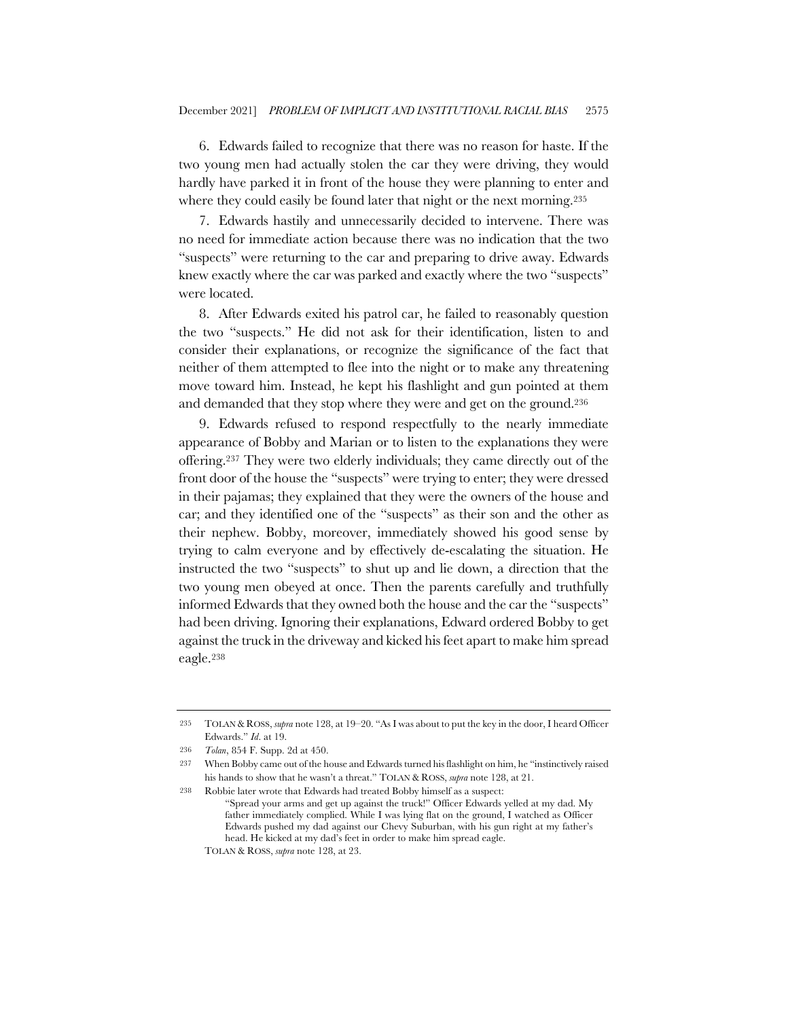6. Edwards failed to recognize that there was no reason for haste. If the two young men had actually stolen the car they were driving, they would hardly have parked it in front of the house they were planning to enter and where they could easily be found later that night or the next morning.<sup>235</sup>

7. Edwards hastily and unnecessarily decided to intervene. There was no need for immediate action because there was no indication that the two "suspects" were returning to the car and preparing to drive away. Edwards knew exactly where the car was parked and exactly where the two "suspects" were located.

8. After Edwards exited his patrol car, he failed to reasonably question the two "suspects." He did not ask for their identification, listen to and consider their explanations, or recognize the significance of the fact that neither of them attempted to flee into the night or to make any threatening move toward him. Instead, he kept his flashlight and gun pointed at them and demanded that they stop where they were and get on the ground.236

9. Edwards refused to respond respectfully to the nearly immediate appearance of Bobby and Marian or to listen to the explanations they were offering.237 They were two elderly individuals; they came directly out of the front door of the house the "suspects" were trying to enter; they were dressed in their pajamas; they explained that they were the owners of the house and car; and they identified one of the "suspects" as their son and the other as their nephew. Bobby, moreover, immediately showed his good sense by trying to calm everyone and by effectively de-escalating the situation. He instructed the two "suspects" to shut up and lie down, a direction that the two young men obeyed at once. Then the parents carefully and truthfully informed Edwards that they owned both the house and the car the "suspects" had been driving. Ignoring their explanations, Edward ordered Bobby to get against the truck in the driveway and kicked his feet apart to make him spread eagle.238

<sup>235</sup> TOLAN & ROSS, *supra* note 128, at 19–20. "As I was about to put the key in the door, I heard Officer Edwards." *Id*. at 19.

<sup>236</sup> *Tolan*, 854 F. Supp. 2d at 450.

<sup>237</sup> When Bobby came out of the house and Edwards turned his flashlight on him, he "instinctively raised his hands to show that he wasn't a threat." TOLAN & ROSS, *supra* note 128, at 21.

<sup>238</sup> Robbie later wrote that Edwards had treated Bobby himself as a suspect: "Spread your arms and get up against the truck!" Officer Edwards yelled at my dad. My father immediately complied. While I was lying flat on the ground, I watched as Officer Edwards pushed my dad against our Chevy Suburban, with his gun right at my father's head. He kicked at my dad's feet in order to make him spread eagle.

TOLAN & ROSS, *supra* note 128, at 23.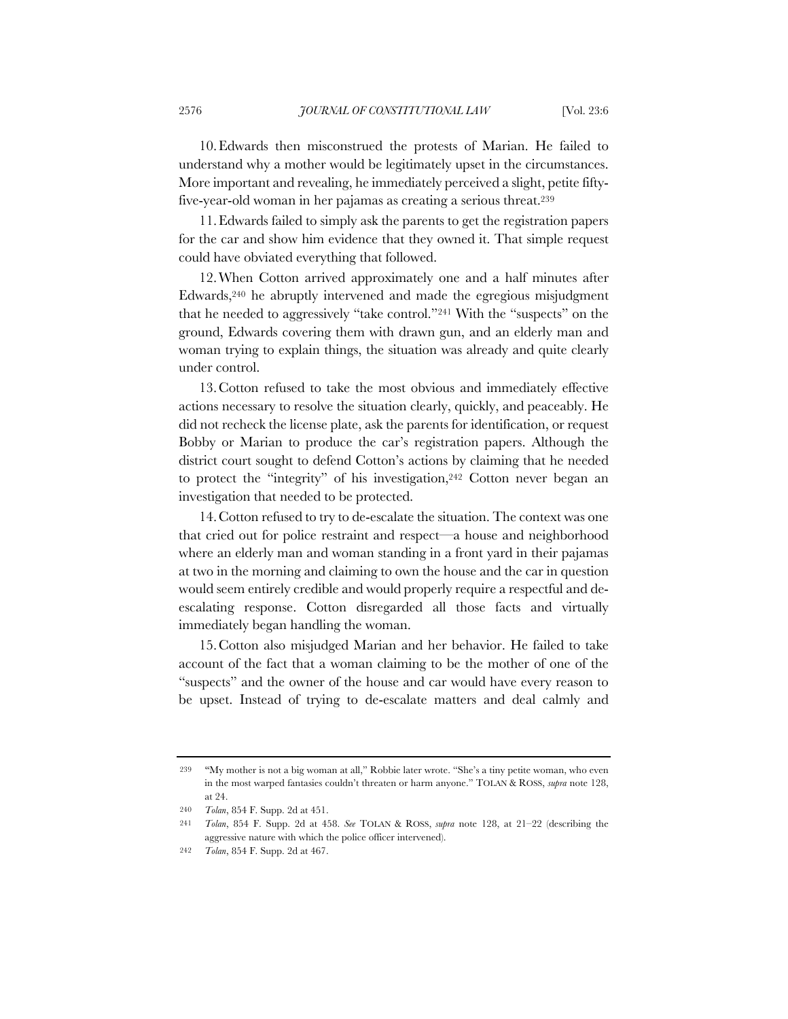10.Edwards then misconstrued the protests of Marian. He failed to understand why a mother would be legitimately upset in the circumstances. More important and revealing, he immediately perceived a slight, petite fiftyfive-year-old woman in her pajamas as creating a serious threat.239

11.Edwards failed to simply ask the parents to get the registration papers for the car and show him evidence that they owned it. That simple request could have obviated everything that followed.

12.When Cotton arrived approximately one and a half minutes after Edwards,240 he abruptly intervened and made the egregious misjudgment that he needed to aggressively "take control."241 With the "suspects" on the ground, Edwards covering them with drawn gun, and an elderly man and woman trying to explain things, the situation was already and quite clearly under control.

13.Cotton refused to take the most obvious and immediately effective actions necessary to resolve the situation clearly, quickly, and peaceably. He did not recheck the license plate, ask the parents for identification, or request Bobby or Marian to produce the car's registration papers. Although the district court sought to defend Cotton's actions by claiming that he needed to protect the "integrity" of his investigation,<sup>242</sup> Cotton never began an investigation that needed to be protected.

14.Cotton refused to try to de-escalate the situation. The context was one that cried out for police restraint and respect—a house and neighborhood where an elderly man and woman standing in a front yard in their pajamas at two in the morning and claiming to own the house and the car in question would seem entirely credible and would properly require a respectful and deescalating response. Cotton disregarded all those facts and virtually immediately began handling the woman.

15.Cotton also misjudged Marian and her behavior. He failed to take account of the fact that a woman claiming to be the mother of one of the "suspects" and the owner of the house and car would have every reason to be upset. Instead of trying to de-escalate matters and deal calmly and

<sup>239</sup> "My mother is not a big woman at all," Robbie later wrote. "She's a tiny petite woman, who even in the most warped fantasies couldn't threaten or harm anyone." TOLAN & ROSS, *supra* note 128, at 24.

<sup>240</sup> *Tolan*, 854 F. Supp. 2d at 451.

<sup>241</sup> *Tolan*, 854 F. Supp. 2d at 458. *See* TOLAN & ROSS, *supra* note 128, at 21–22 (describing the aggressive nature with which the police officer intervened).

<sup>242</sup> *Tolan*, 854 F. Supp. 2d at 467.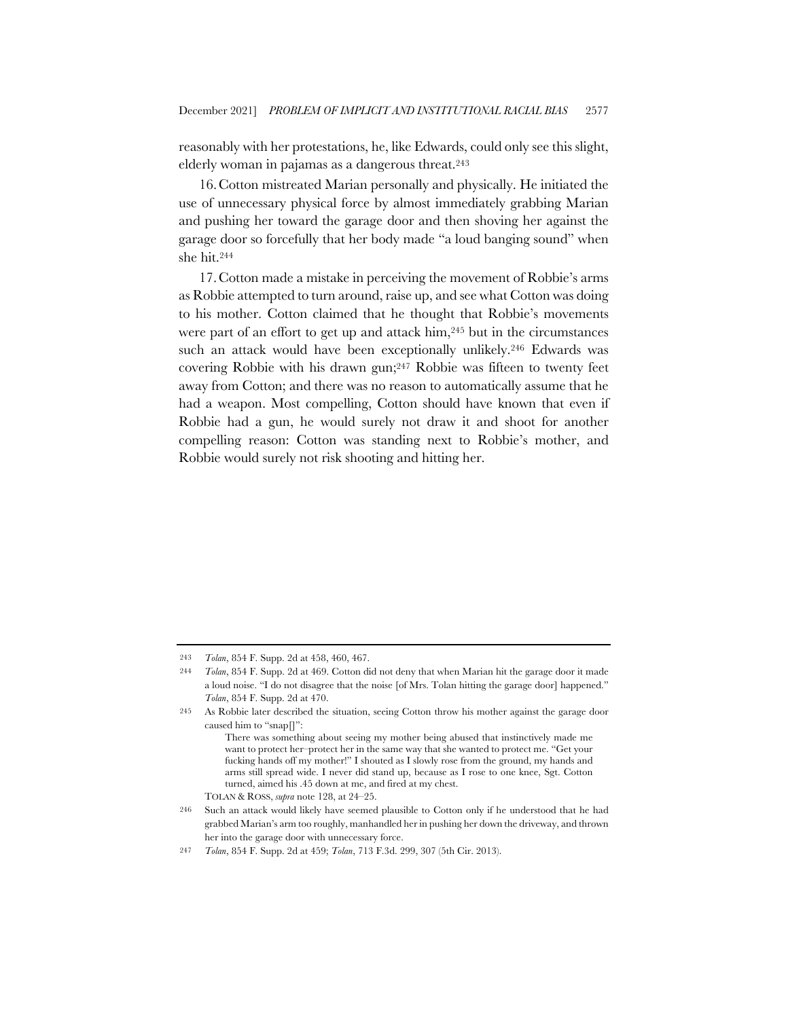reasonably with her protestations, he, like Edwards, could only see this slight, elderly woman in pajamas as a dangerous threat.243

16.Cotton mistreated Marian personally and physically. He initiated the use of unnecessary physical force by almost immediately grabbing Marian and pushing her toward the garage door and then shoving her against the garage door so forcefully that her body made "a loud banging sound" when she hit.244

17.Cotton made a mistake in perceiving the movement of Robbie's arms as Robbie attempted to turn around, raise up, and see what Cotton was doing to his mother. Cotton claimed that he thought that Robbie's movements were part of an effort to get up and attack him,245 but in the circumstances such an attack would have been exceptionally unlikely.<sup>246</sup> Edwards was covering Robbie with his drawn gun;247 Robbie was fifteen to twenty feet away from Cotton; and there was no reason to automatically assume that he had a weapon. Most compelling, Cotton should have known that even if Robbie had a gun, he would surely not draw it and shoot for another compelling reason: Cotton was standing next to Robbie's mother, and Robbie would surely not risk shooting and hitting her.

TOLAN & ROSS, *supra* note 128, at 24–25.

<sup>243</sup> *Tolan*, 854 F. Supp. 2d at 458, 460, 467.

<sup>244</sup> *Tolan*, 854 F. Supp. 2d at 469. Cotton did not deny that when Marian hit the garage door it made a loud noise. "I do not disagree that the noise [of Mrs. Tolan hitting the garage door] happened." *Tolan*, 854 F. Supp. 2d at 470.

<sup>245</sup> As Robbie later described the situation, seeing Cotton throw his mother against the garage door caused him to "snap $\Pi$ ":

There was something about seeing my mother being abused that instinctively made me want to protect her–protect her in the same way that she wanted to protect me. "Get your fucking hands off my mother!" I shouted as I slowly rose from the ground, my hands and arms still spread wide. I never did stand up, because as I rose to one knee, Sgt. Cotton turned, aimed his .45 down at me, and fired at my chest.

<sup>246</sup> Such an attack would likely have seemed plausible to Cotton only if he understood that he had grabbed Marian's arm too roughly, manhandled her in pushing her down the driveway, and thrown her into the garage door with unnecessary force.

<sup>247</sup> *Tolan*, 854 F. Supp. 2d at 459; *Tolan*, 713 F.3d. 299, 307 (5th Cir. 2013).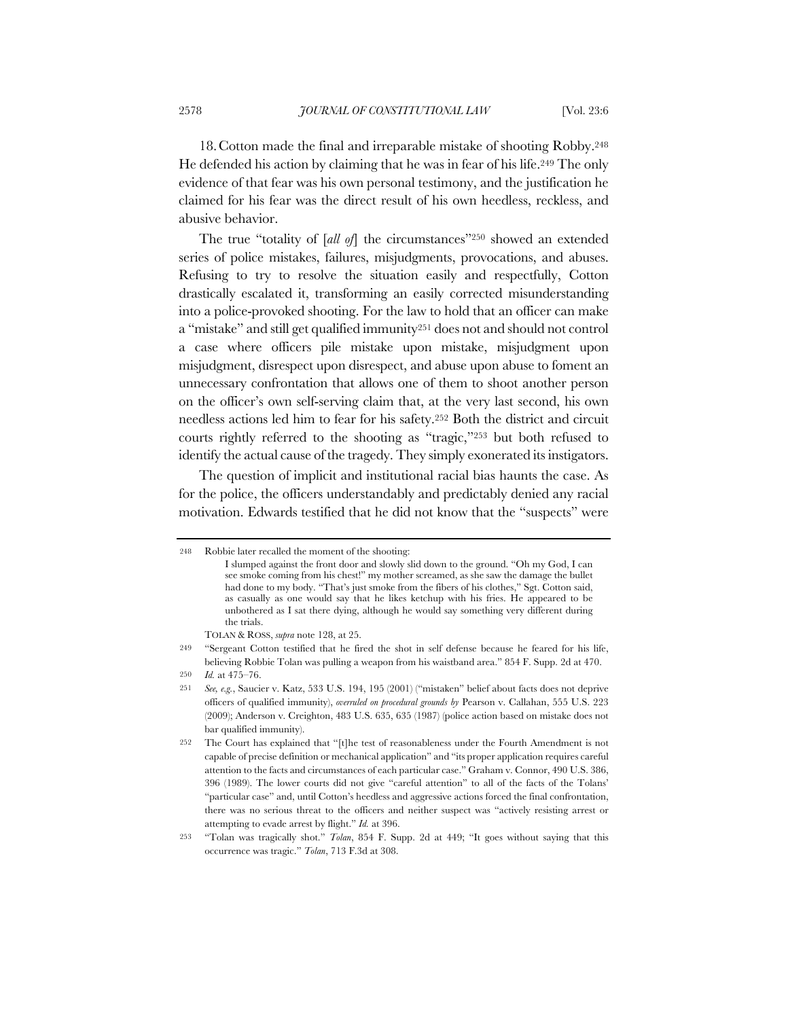18.Cotton made the final and irreparable mistake of shooting Robby.248 He defended his action by claiming that he was in fear of his life.249 The only evidence of that fear was his own personal testimony, and the justification he claimed for his fear was the direct result of his own heedless, reckless, and abusive behavior.

The true "totality of [*all of*] the circumstances"250 showed an extended series of police mistakes, failures, misjudgments, provocations, and abuses. Refusing to try to resolve the situation easily and respectfully, Cotton drastically escalated it, transforming an easily corrected misunderstanding into a police-provoked shooting. For the law to hold that an officer can make a "mistake" and still get qualified immunity251 does not and should not control a case where officers pile mistake upon mistake, misjudgment upon misjudgment, disrespect upon disrespect, and abuse upon abuse to foment an unnecessary confrontation that allows one of them to shoot another person on the officer's own self-serving claim that, at the very last second, his own needless actions led him to fear for his safety.252 Both the district and circuit courts rightly referred to the shooting as "tragic,"253 but both refused to identify the actual cause of the tragedy. They simply exonerated its instigators.

The question of implicit and institutional racial bias haunts the case. As for the police, the officers understandably and predictably denied any racial motivation. Edwards testified that he did not know that the "suspects" were

<sup>248</sup> Robbie later recalled the moment of the shooting:

I slumped against the front door and slowly slid down to the ground. "Oh my God, I can see smoke coming from his chest!" my mother screamed, as she saw the damage the bullet had done to my body. "That's just smoke from the fibers of his clothes," Sgt. Cotton said, as casually as one would say that he likes ketchup with his fries. He appeared to be unbothered as I sat there dying, although he would say something very different during the trials.

TOLAN & ROSS, *supra* note 128, at 25.

<sup>249</sup> "Sergeant Cotton testified that he fired the shot in self defense because he feared for his life, believing Robbie Tolan was pulling a weapon from his waistband area." 854 F. Supp. 2d at 470.

<sup>250</sup> *Id.* at 475–76.

<sup>251</sup> *See, e.g.*, Saucier v. Katz, 533 U.S. 194, 195 (2001) ("mistaken" belief about facts does not deprive officers of qualified immunity), *overruled on procedural grounds by* Pearson v. Callahan, 555 U.S. 223 (2009); Anderson v. Creighton, 483 U.S. 635, 635 (1987) (police action based on mistake does not bar qualified immunity).

<sup>252</sup> The Court has explained that "[t]he test of reasonableness under the Fourth Amendment is not capable of precise definition or mechanical application" and "its proper application requires careful attention to the facts and circumstances of each particular case." Graham v. Connor, 490 U.S. 386, 396 (1989). The lower courts did not give "careful attention" to all of the facts of the Tolans' "particular case" and, until Cotton's heedless and aggressive actions forced the final confrontation, there was no serious threat to the officers and neither suspect was "actively resisting arrest or attempting to evade arrest by flight." *Id.* at 396.

<sup>253</sup> "Tolan was tragically shot." *Tolan*, 854 F. Supp. 2d at 449; "It goes without saying that this occurrence was tragic." *Tolan*, 713 F.3d at 308.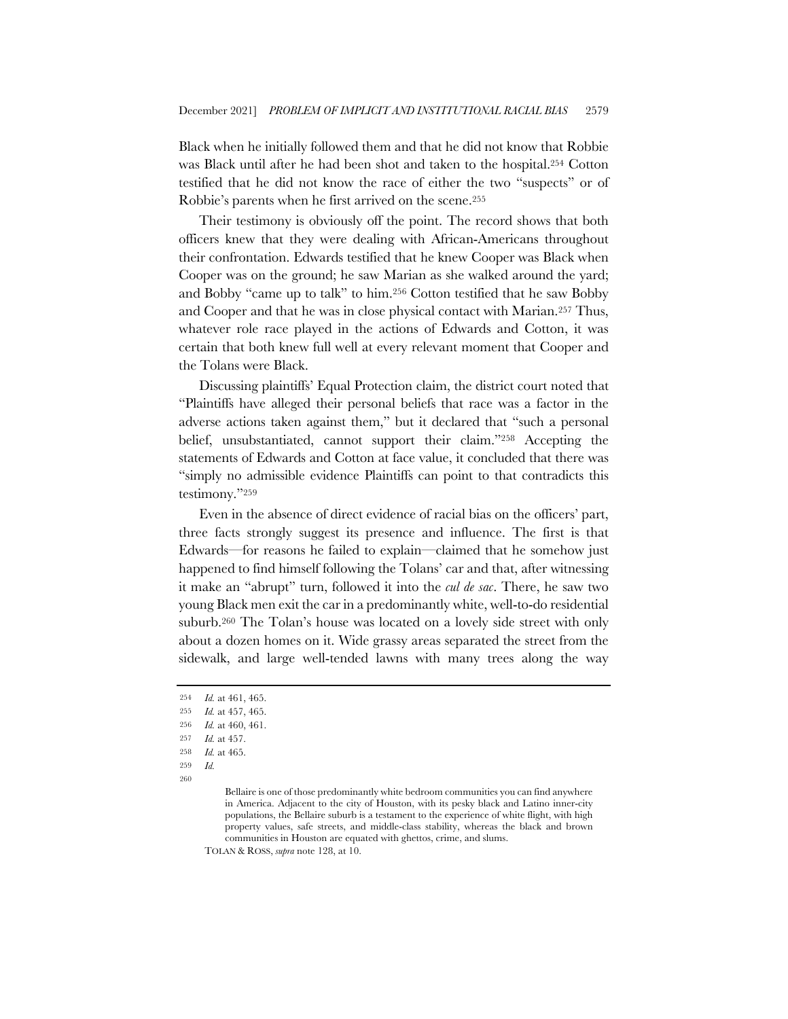Black when he initially followed them and that he did not know that Robbie was Black until after he had been shot and taken to the hospital.254 Cotton testified that he did not know the race of either the two "suspects" or of Robbie's parents when he first arrived on the scene.255

Their testimony is obviously off the point. The record shows that both officers knew that they were dealing with African-Americans throughout their confrontation. Edwards testified that he knew Cooper was Black when Cooper was on the ground; he saw Marian as she walked around the yard; and Bobby "came up to talk" to him.256 Cotton testified that he saw Bobby and Cooper and that he was in close physical contact with Marian.257 Thus, whatever role race played in the actions of Edwards and Cotton, it was certain that both knew full well at every relevant moment that Cooper and the Tolans were Black.

Discussing plaintiffs' Equal Protection claim, the district court noted that "Plaintiffs have alleged their personal beliefs that race was a factor in the adverse actions taken against them," but it declared that "such a personal belief, unsubstantiated, cannot support their claim."258 Accepting the statements of Edwards and Cotton at face value, it concluded that there was "simply no admissible evidence Plaintiffs can point to that contradicts this testimony."259

Even in the absence of direct evidence of racial bias on the officers' part, three facts strongly suggest its presence and influence. The first is that Edwards—for reasons he failed to explain—claimed that he somehow just happened to find himself following the Tolans' car and that, after witnessing it make an "abrupt" turn, followed it into the *cul de sac*. There, he saw two young Black men exit the car in a predominantly white, well-to-do residential suburb.260 The Tolan's house was located on a lovely side street with only about a dozen homes on it. Wide grassy areas separated the street from the sidewalk, and large well-tended lawns with many trees along the way

TOLAN & ROSS, *supra* note 128, at 10.

<sup>254</sup> *Id.* at 461, 465.

<sup>255</sup> *Id.* at 457, 465.

<sup>256</sup> *Id.* at 460, 461.

<sup>257</sup> *Id.* at 457.

<sup>258</sup> *Id.* at 465.

<sup>259</sup> *Id.*

<sup>260</sup>

Bellaire is one of those predominantly white bedroom communities you can find anywhere in America. Adjacent to the city of Houston, with its pesky black and Latino inner-city populations, the Bellaire suburb is a testament to the experience of white flight, with high property values, safe streets, and middle-class stability, whereas the black and brown communities in Houston are equated with ghettos, crime, and slums.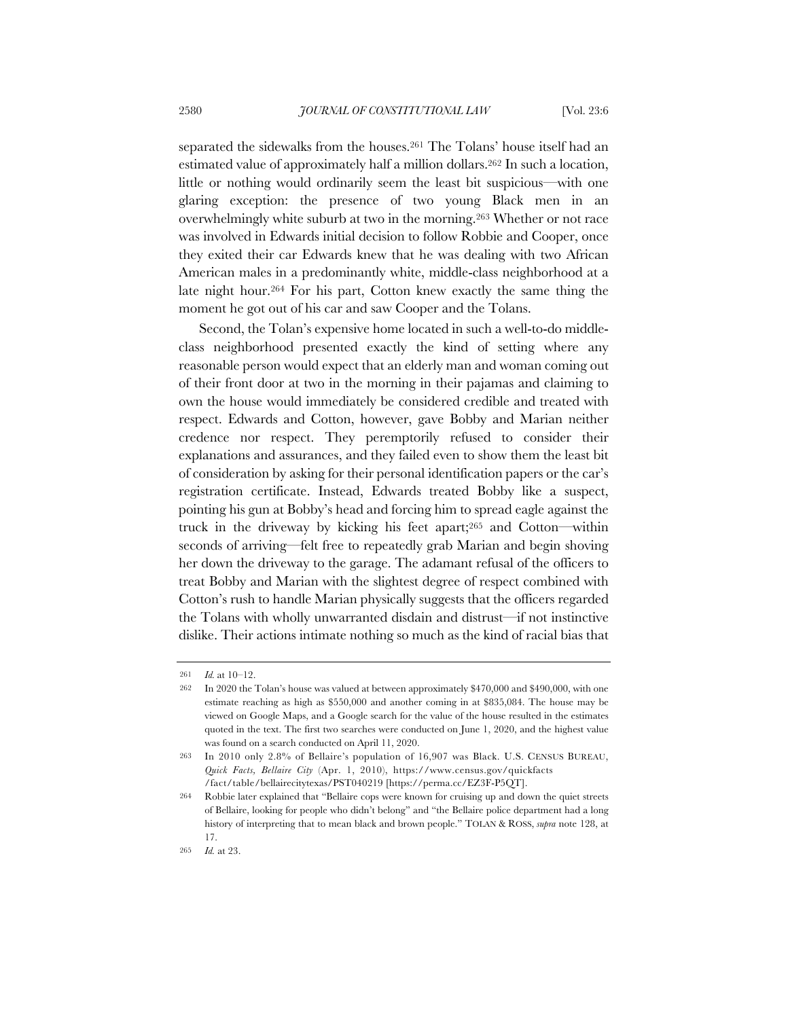separated the sidewalks from the houses.261 The Tolans' house itself had an estimated value of approximately half a million dollars.262 In such a location, little or nothing would ordinarily seem the least bit suspicious—with one glaring exception: the presence of two young Black men in an overwhelmingly white suburb at two in the morning.263 Whether or not race was involved in Edwards initial decision to follow Robbie and Cooper, once they exited their car Edwards knew that he was dealing with two African American males in a predominantly white, middle-class neighborhood at a late night hour.264 For his part, Cotton knew exactly the same thing the moment he got out of his car and saw Cooper and the Tolans.

Second, the Tolan's expensive home located in such a well-to-do middleclass neighborhood presented exactly the kind of setting where any reasonable person would expect that an elderly man and woman coming out of their front door at two in the morning in their pajamas and claiming to own the house would immediately be considered credible and treated with respect. Edwards and Cotton, however, gave Bobby and Marian neither credence nor respect. They peremptorily refused to consider their explanations and assurances, and they failed even to show them the least bit of consideration by asking for their personal identification papers or the car's registration certificate. Instead, Edwards treated Bobby like a suspect, pointing his gun at Bobby's head and forcing him to spread eagle against the truck in the driveway by kicking his feet apart;265 and Cotton—within seconds of arriving—felt free to repeatedly grab Marian and begin shoving her down the driveway to the garage. The adamant refusal of the officers to treat Bobby and Marian with the slightest degree of respect combined with Cotton's rush to handle Marian physically suggests that the officers regarded the Tolans with wholly unwarranted disdain and distrust—if not instinctive dislike. Their actions intimate nothing so much as the kind of racial bias that

<sup>261</sup> *Id.* at 10–12.

<sup>262</sup> In 2020 the Tolan's house was valued at between approximately \$470,000 and \$490,000, with one estimate reaching as high as \$550,000 and another coming in at \$835,084. The house may be viewed on Google Maps, and a Google search for the value of the house resulted in the estimates quoted in the text. The first two searches were conducted on June 1, 2020, and the highest value was found on a search conducted on April 11, 2020.

<sup>263</sup> In 2010 only 2.8% of Bellaire's population of 16,907 was Black. U.S. CENSUS BUREAU, *Quick Facts, Bellaire City* (Apr. 1, 2010), https://www.census.gov/quickfacts /fact/table/bellairecitytexas/PST040219 [https://perma.cc/EZ3F-P5QT].

<sup>264</sup> Robbie later explained that "Bellaire cops were known for cruising up and down the quiet streets of Bellaire, looking for people who didn't belong" and "the Bellaire police department had a long history of interpreting that to mean black and brown people." TOLAN & ROSS, *supra* note 128, at 17.

<sup>265</sup> *Id.* at 23.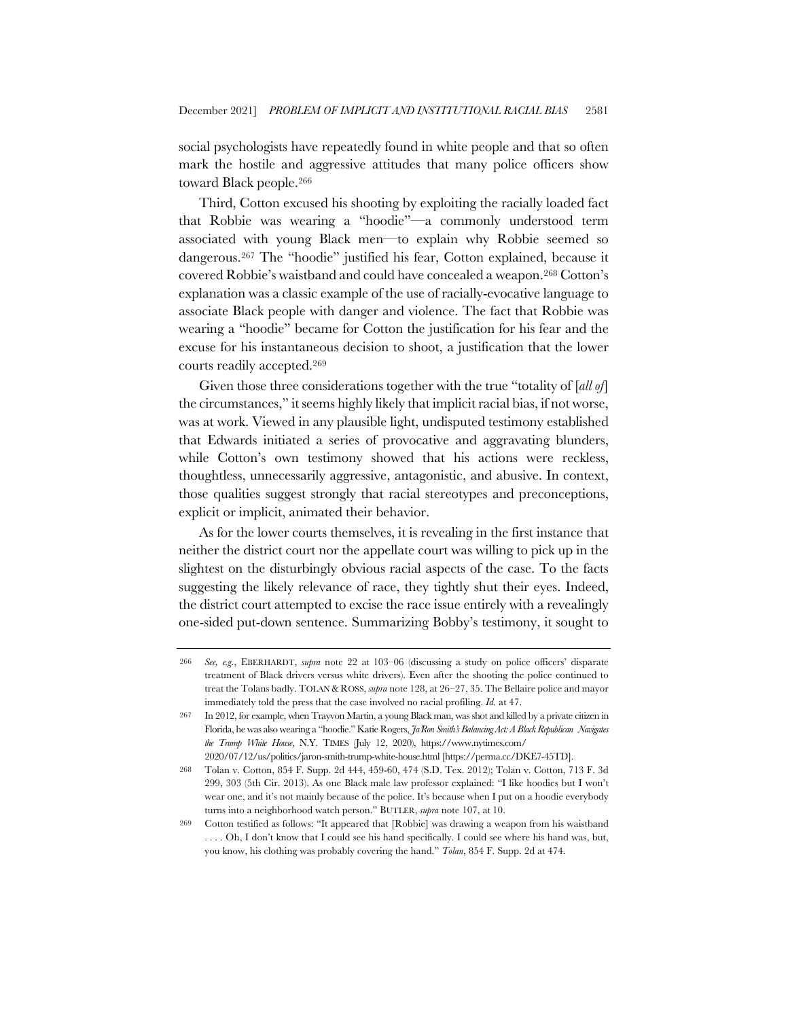social psychologists have repeatedly found in white people and that so often mark the hostile and aggressive attitudes that many police officers show toward Black people.266

Third, Cotton excused his shooting by exploiting the racially loaded fact that Robbie was wearing a "hoodie"—a commonly understood term associated with young Black men—to explain why Robbie seemed so dangerous.267 The "hoodie" justified his fear, Cotton explained, because it covered Robbie's waistband and could have concealed a weapon.268 Cotton's explanation was a classic example of the use of racially-evocative language to associate Black people with danger and violence. The fact that Robbie was wearing a "hoodie" became for Cotton the justification for his fear and the excuse for his instantaneous decision to shoot, a justification that the lower courts readily accepted.269

Given those three considerations together with the true "totality of [*all of*] the circumstances," it seems highly likely that implicit racial bias, if not worse, was at work. Viewed in any plausible light, undisputed testimony established that Edwards initiated a series of provocative and aggravating blunders, while Cotton's own testimony showed that his actions were reckless, thoughtless, unnecessarily aggressive, antagonistic, and abusive. In context, those qualities suggest strongly that racial stereotypes and preconceptions, explicit or implicit, animated their behavior.

As for the lower courts themselves, it is revealing in the first instance that neither the district court nor the appellate court was willing to pick up in the slightest on the disturbingly obvious racial aspects of the case. To the facts suggesting the likely relevance of race, they tightly shut their eyes. Indeed, the district court attempted to excise the race issue entirely with a revealingly one-sided put-down sentence. Summarizing Bobby's testimony, it sought to

<sup>266</sup> *See, e.g.*, EBERHARDT, *supra* note 22 at 103–06 (discussing a study on police officers' disparate treatment of Black drivers versus white drivers). Even after the shooting the police continued to treat the Tolans badly. TOLAN & ROSS, *supra* note 128, at 26–27, 35. The Bellaire police and mayor immediately told the press that the case involved no racial profiling. *Id.* at 47.

<sup>267</sup> In 2012, for example, when Trayvon Martin, a young Black man, was shot and killed by a private citizen in Florida, he was also wearing a "hoodie." Katie Rogers, *Ja'Ron Smith's Balancing Act: A Black Republican Navigates the Trump White House*, N.Y. TIMES (July 12, 2020), https://www.nytimes.com/ 2020/07/12/us/politics/jaron-smith-trump-white-house.html [https://perma.cc/DKE7-45TD].

<sup>268</sup> Tolan v. Cotton, 854 F. Supp. 2d 444, 459-60, 474 (S.D. Tex. 2012); Tolan v. Cotton, 713 F. 3d 299, 303 (5th Cir. 2013). As one Black male law professor explained: "I like hoodies but I won't wear one, and it's not mainly because of the police. It's because when I put on a hoodie everybody turns into a neighborhood watch person." BUTLER, *supra* note 107, at 10.

<sup>269</sup> Cotton testified as follows: "It appeared that [Robbie] was drawing a weapon from his waistband . . . . Oh, I don't know that I could see his hand specifically. I could see where his hand was, but, you know, his clothing was probably covering the hand." *Tolan*, 854 F. Supp. 2d at 474.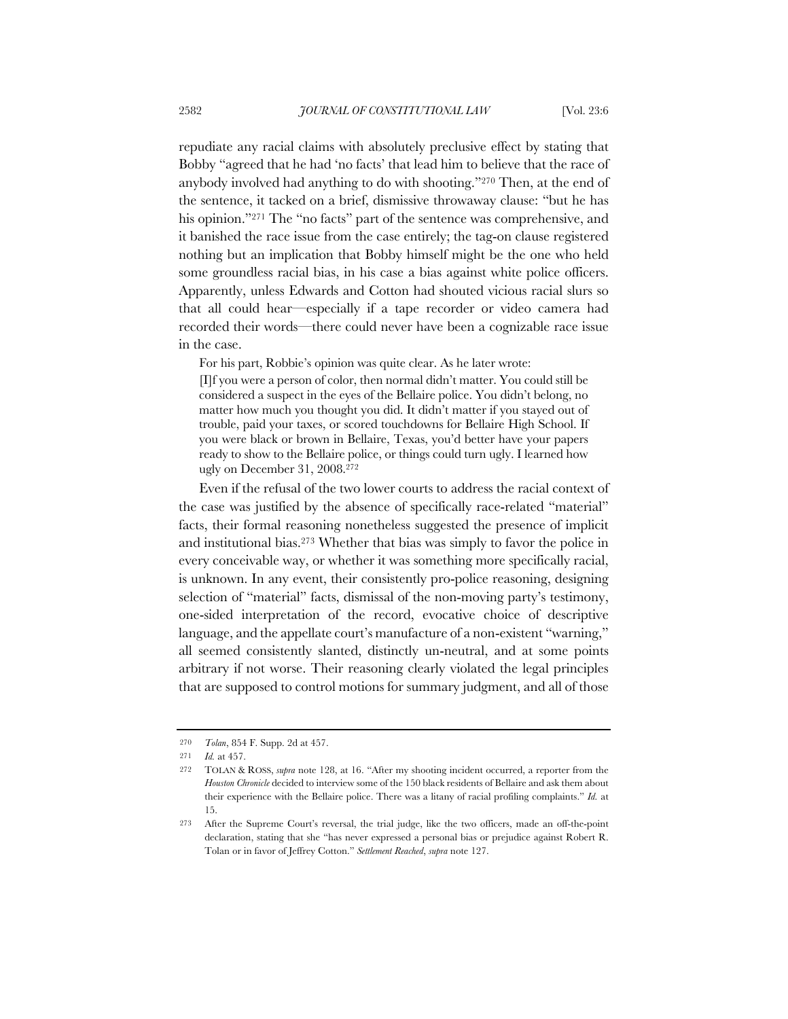repudiate any racial claims with absolutely preclusive effect by stating that Bobby "agreed that he had 'no facts' that lead him to believe that the race of anybody involved had anything to do with shooting."270 Then, at the end of the sentence, it tacked on a brief, dismissive throwaway clause: "but he has his opinion."<sup>271</sup> The "no facts" part of the sentence was comprehensive, and it banished the race issue from the case entirely; the tag-on clause registered nothing but an implication that Bobby himself might be the one who held some groundless racial bias, in his case a bias against white police officers. Apparently, unless Edwards and Cotton had shouted vicious racial slurs so that all could hear—especially if a tape recorder or video camera had recorded their words—there could never have been a cognizable race issue in the case.

For his part, Robbie's opinion was quite clear. As he later wrote:

[I]f you were a person of color, then normal didn't matter. You could still be considered a suspect in the eyes of the Bellaire police. You didn't belong, no matter how much you thought you did. It didn't matter if you stayed out of trouble, paid your taxes, or scored touchdowns for Bellaire High School. If you were black or brown in Bellaire, Texas, you'd better have your papers ready to show to the Bellaire police, or things could turn ugly. I learned how ugly on December 31, 2008.272

Even if the refusal of the two lower courts to address the racial context of the case was justified by the absence of specifically race-related "material" facts, their formal reasoning nonetheless suggested the presence of implicit and institutional bias.273 Whether that bias was simply to favor the police in every conceivable way, or whether it was something more specifically racial, is unknown. In any event, their consistently pro-police reasoning, designing selection of "material" facts, dismissal of the non-moving party's testimony, one-sided interpretation of the record, evocative choice of descriptive language, and the appellate court's manufacture of a non-existent "warning," all seemed consistently slanted, distinctly un-neutral, and at some points arbitrary if not worse. Their reasoning clearly violated the legal principles that are supposed to control motions for summary judgment, and all of those

<sup>270</sup> *Tolan*, 854 F. Supp. 2d at 457.

<sup>271</sup> *Id.* at 457.

<sup>272</sup> TOLAN & ROSS, *supra* note 128, at 16. "After my shooting incident occurred, a reporter from the *Houston Chronicle* decided to interview some of the 150 black residents of Bellaire and ask them about their experience with the Bellaire police. There was a litany of racial profiling complaints." *Id.* at 15.

<sup>273</sup> After the Supreme Court's reversal, the trial judge, like the two officers, made an off-the-point declaration, stating that she "has never expressed a personal bias or prejudice against Robert R. Tolan or in favor of Jeffrey Cotton." *Settlement Reached*, *supra* note 127.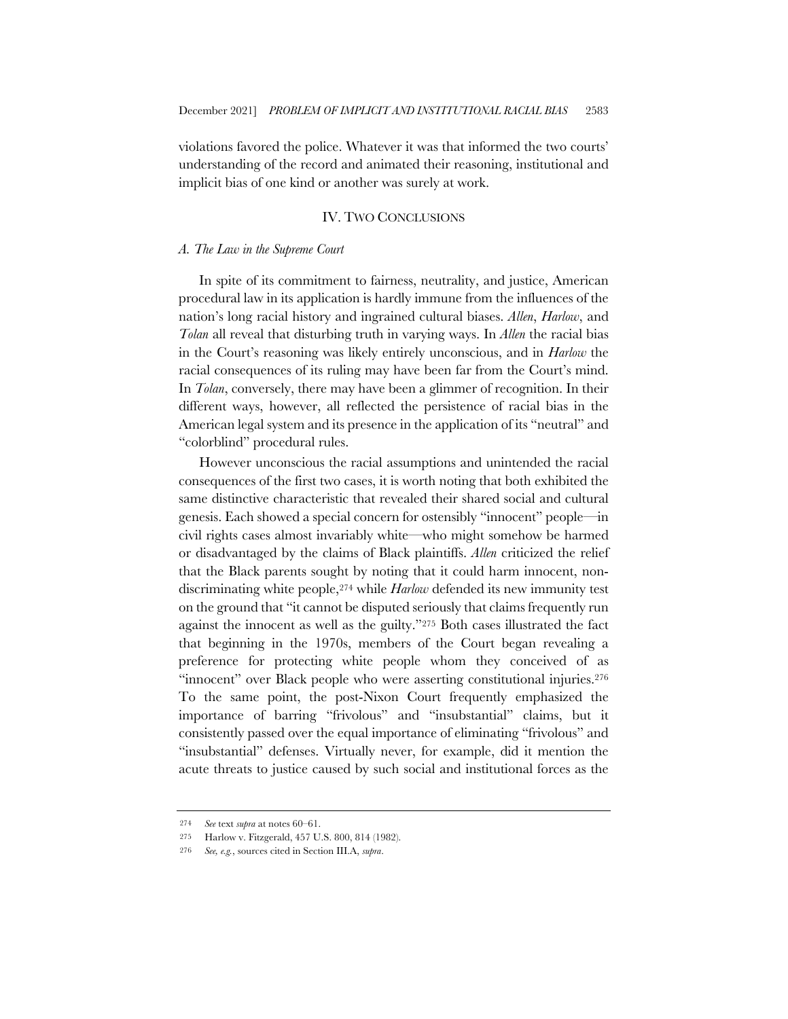violations favored the police. Whatever it was that informed the two courts' understanding of the record and animated their reasoning, institutional and implicit bias of one kind or another was surely at work.

### IV. TWO CONCLUSIONS

#### *A. The Law in the Supreme Court*

In spite of its commitment to fairness, neutrality, and justice, American procedural law in its application is hardly immune from the influences of the nation's long racial history and ingrained cultural biases. *Allen*, *Harlow*, and *Tolan* all reveal that disturbing truth in varying ways. In *Allen* the racial bias in the Court's reasoning was likely entirely unconscious, and in *Harlow* the racial consequences of its ruling may have been far from the Court's mind. In *Tolan*, conversely, there may have been a glimmer of recognition. In their different ways, however, all reflected the persistence of racial bias in the American legal system and its presence in the application of its "neutral" and "colorblind" procedural rules.

However unconscious the racial assumptions and unintended the racial consequences of the first two cases, it is worth noting that both exhibited the same distinctive characteristic that revealed their shared social and cultural genesis. Each showed a special concern for ostensibly "innocent" people—in civil rights cases almost invariably white—who might somehow be harmed or disadvantaged by the claims of Black plaintiffs. *Allen* criticized the relief that the Black parents sought by noting that it could harm innocent, nondiscriminating white people,274 while *Harlow* defended its new immunity test on the ground that "it cannot be disputed seriously that claims frequently run against the innocent as well as the guilty."275 Both cases illustrated the fact that beginning in the 1970s, members of the Court began revealing a preference for protecting white people whom they conceived of as "innocent" over Black people who were asserting constitutional injuries.<sup>276</sup> To the same point, the post-Nixon Court frequently emphasized the importance of barring "frivolous" and "insubstantial" claims, but it consistently passed over the equal importance of eliminating "frivolous" and "insubstantial" defenses. Virtually never, for example, did it mention the acute threats to justice caused by such social and institutional forces as the

<sup>274</sup> *See* text *supra* at notes 60–61.

<sup>275</sup> Harlow v. Fitzgerald, 457 U.S. 800, 814 (1982).

<sup>276</sup> *See, e.g.*, sources cited in Section III.A, *supra*.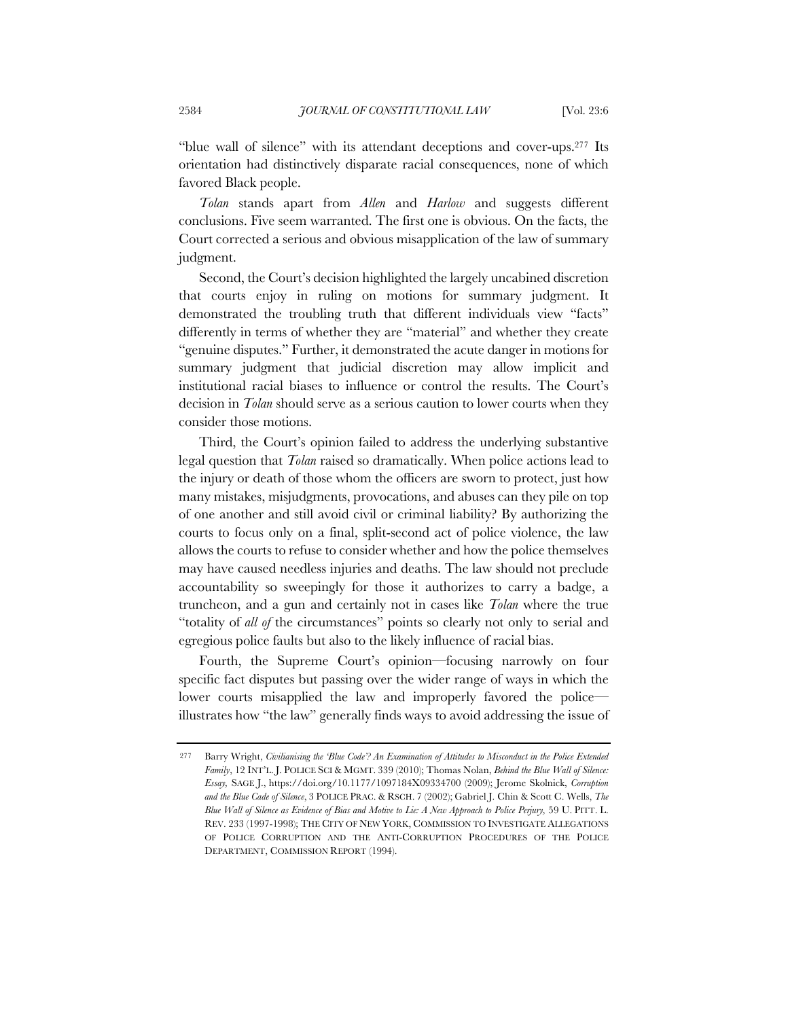"blue wall of silence" with its attendant deceptions and cover-ups.277 Its orientation had distinctively disparate racial consequences, none of which favored Black people.

*Tolan* stands apart from *Allen* and *Harlow* and suggests different conclusions. Five seem warranted. The first one is obvious. On the facts, the Court corrected a serious and obvious misapplication of the law of summary judgment.

Second, the Court's decision highlighted the largely uncabined discretion that courts enjoy in ruling on motions for summary judgment. It demonstrated the troubling truth that different individuals view "facts" differently in terms of whether they are "material" and whether they create "genuine disputes." Further, it demonstrated the acute danger in motions for summary judgment that judicial discretion may allow implicit and institutional racial biases to influence or control the results. The Court's decision in *Tolan* should serve as a serious caution to lower courts when they consider those motions.

Third, the Court's opinion failed to address the underlying substantive legal question that *Tolan* raised so dramatically. When police actions lead to the injury or death of those whom the officers are sworn to protect, just how many mistakes, misjudgments, provocations, and abuses can they pile on top of one another and still avoid civil or criminal liability? By authorizing the courts to focus only on a final, split-second act of police violence, the law allows the courts to refuse to consider whether and how the police themselves may have caused needless injuries and deaths. The law should not preclude accountability so sweepingly for those it authorizes to carry a badge, a truncheon, and a gun and certainly not in cases like *Tolan* where the true "totality of *all of* the circumstances" points so clearly not only to serial and egregious police faults but also to the likely influence of racial bias.

Fourth, the Supreme Court's opinion—focusing narrowly on four specific fact disputes but passing over the wider range of ways in which the lower courts misapplied the law and improperly favored the police illustrates how "the law" generally finds ways to avoid addressing the issue of

<sup>277</sup> Barry Wright, *Civilianising the 'Blue Code'? An Examination of Attitudes to Misconduct in the Police Extended Family*, 12 INT'L. J. POLICE SCI & MGMT. 339 (2010); Thomas Nolan, *Behind the Blue Wall of Silence: Essay,* SAGE J., https://doi.org/10.1177/1097184X09334700 (2009); Jerome Skolnick, *Corruption and the Blue Cade of Silence*, 3 POLICE PRAC. & RSCH. 7 (2002); Gabriel J. Chin & Scott C. Wells, *The Blue Wall of Silence as Evidence of Bias and Motive to Lie: A New Approach to Police Perjury,* 59 U. PITT. L. REV. 233 (1997-1998); THE CITY OF NEW YORK, COMMISSION TO INVESTIGATE ALLEGATIONS OF POLICE CORRUPTION AND THE ANTI-CORRUPTION PROCEDURES OF THE POLICE DEPARTMENT, COMMISSION REPORT (1994).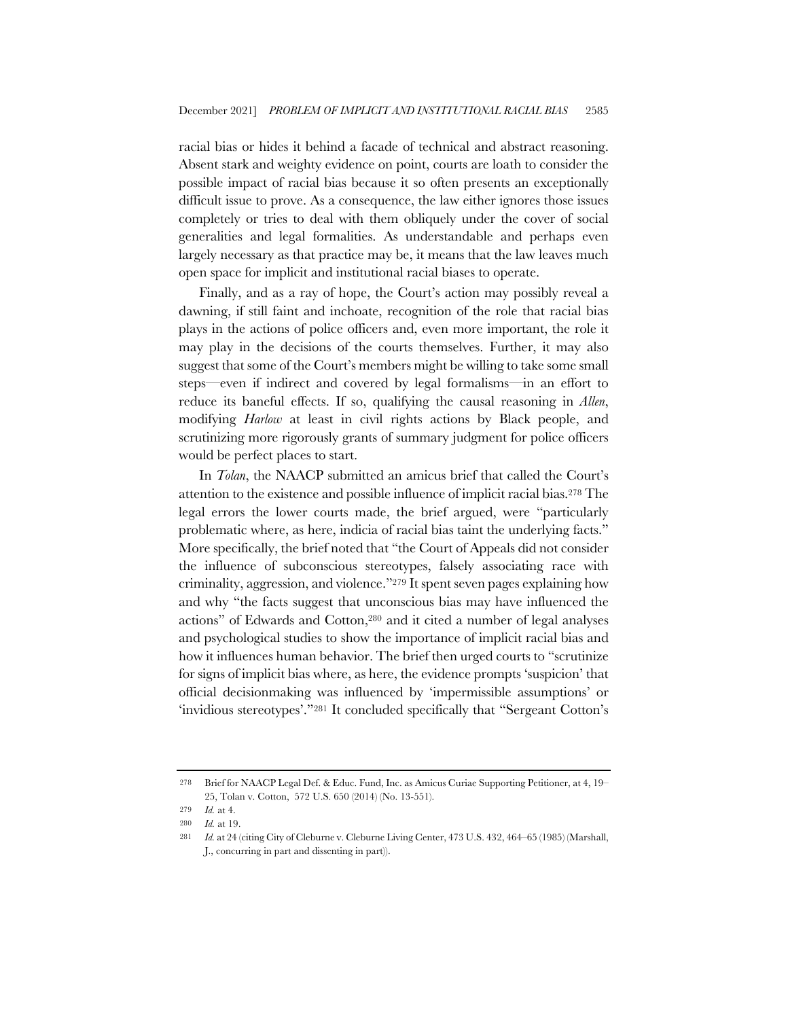racial bias or hides it behind a facade of technical and abstract reasoning. Absent stark and weighty evidence on point, courts are loath to consider the possible impact of racial bias because it so often presents an exceptionally difficult issue to prove. As a consequence, the law either ignores those issues completely or tries to deal with them obliquely under the cover of social generalities and legal formalities. As understandable and perhaps even largely necessary as that practice may be, it means that the law leaves much open space for implicit and institutional racial biases to operate.

Finally, and as a ray of hope, the Court's action may possibly reveal a dawning, if still faint and inchoate, recognition of the role that racial bias plays in the actions of police officers and, even more important, the role it may play in the decisions of the courts themselves. Further, it may also suggest that some of the Court's members might be willing to take some small steps—even if indirect and covered by legal formalisms—in an effort to reduce its baneful effects. If so, qualifying the causal reasoning in *Allen*, modifying *Harlow* at least in civil rights actions by Black people, and scrutinizing more rigorously grants of summary judgment for police officers would be perfect places to start.

In *Tolan*, the NAACP submitted an amicus brief that called the Court's attention to the existence and possible influence of implicit racial bias.278 The legal errors the lower courts made, the brief argued, were "particularly problematic where, as here, indicia of racial bias taint the underlying facts." More specifically, the brief noted that "the Court of Appeals did not consider the influence of subconscious stereotypes, falsely associating race with criminality, aggression, and violence."279 It spent seven pages explaining how and why "the facts suggest that unconscious bias may have influenced the actions" of Edwards and Cotton,280 and it cited a number of legal analyses and psychological studies to show the importance of implicit racial bias and how it influences human behavior. The brief then urged courts to "scrutinize for signs of implicit bias where, as here, the evidence prompts 'suspicion' that official decisionmaking was influenced by 'impermissible assumptions' or 'invidious stereotypes'."281 It concluded specifically that "Sergeant Cotton's

<sup>278</sup> Brief for NAACP Legal Def. & Educ. Fund, Inc. as Amicus Curiae Supporting Petitioner, at 4, 19– 25, Tolan v. Cotton, 572 U.S. 650 (2014) (No. 13-551).

<sup>279</sup> *Id.* at 4.

<sup>280</sup> *Id.* at 19.

<sup>281</sup> *Id.* at 24 (citing City of Cleburne v. Cleburne Living Center, 473 U.S. 432, 464–65 (1985) (Marshall, J., concurring in part and dissenting in part)).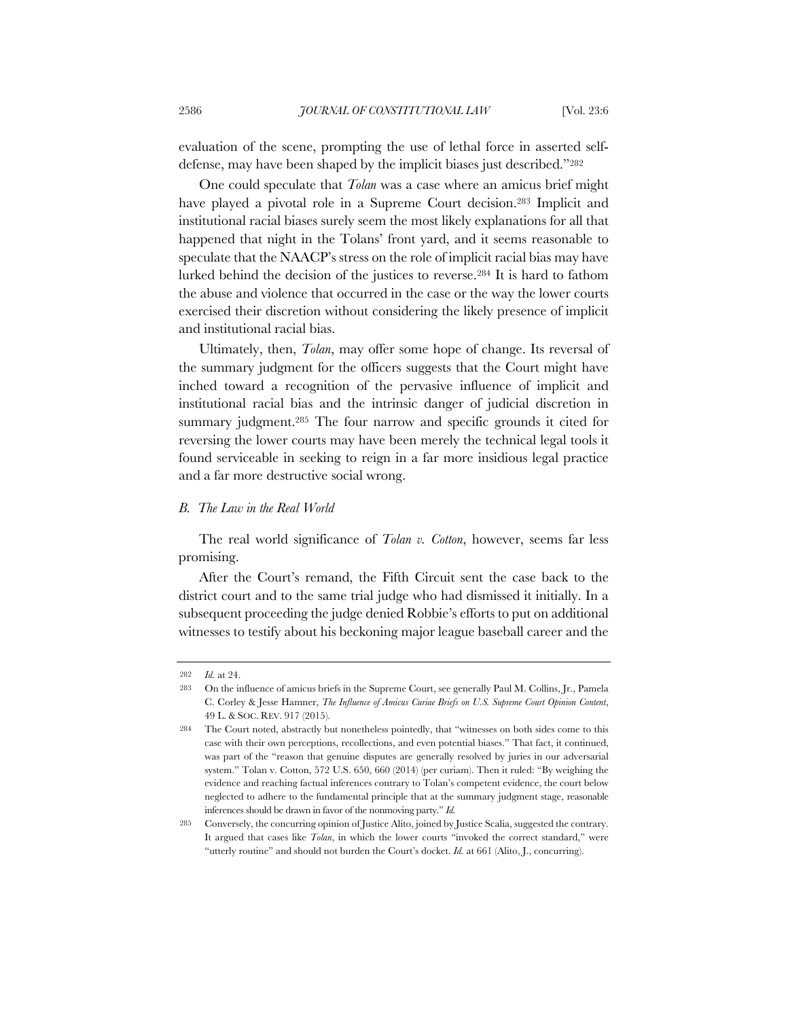evaluation of the scene, prompting the use of lethal force in asserted selfdefense, may have been shaped by the implicit biases just described."282

One could speculate that *Tolan* was a case where an amicus brief might have played a pivotal role in a Supreme Court decision.283 Implicit and institutional racial biases surely seem the most likely explanations for all that happened that night in the Tolans' front yard, and it seems reasonable to speculate that the NAACP's stress on the role of implicit racial bias may have lurked behind the decision of the justices to reverse.284 It is hard to fathom the abuse and violence that occurred in the case or the way the lower courts exercised their discretion without considering the likely presence of implicit and institutional racial bias.

Ultimately, then, *Tolan*, may offer some hope of change. Its reversal of the summary judgment for the officers suggests that the Court might have inched toward a recognition of the pervasive influence of implicit and institutional racial bias and the intrinsic danger of judicial discretion in summary judgment.285 The four narrow and specific grounds it cited for reversing the lower courts may have been merely the technical legal tools it found serviceable in seeking to reign in a far more insidious legal practice and a far more destructive social wrong.

## *B. The Law in the Real World*

The real world significance of *Tolan v. Cotton*, however, seems far less promising.

After the Court's remand, the Fifth Circuit sent the case back to the district court and to the same trial judge who had dismissed it initially. In a subsequent proceeding the judge denied Robbie's efforts to put on additional witnesses to testify about his beckoning major league baseball career and the

<sup>282</sup> *Id.* at 24.

<sup>283</sup> On the influence of amicus briefs in the Supreme Court, see generally Paul M. Collins, Jr., Pamela C. Corley & Jesse Hamner, *The Influence of Amicus Curiae Briefs on U.S. Supreme Court Opinion Content*, 49 L. & SOC. REV. 917 (2015).

<sup>284</sup> The Court noted, abstractly but nonetheless pointedly, that "witnesses on both sides come to this case with their own perceptions, recollections, and even potential biases." That fact, it continued, was part of the "reason that genuine disputes are generally resolved by juries in our adversarial system." Tolan v. Cotton, 572 U.S. 650, 660 (2014) (per curiam). Then it ruled: "By weighing the evidence and reaching factual inferences contrary to Tolan's competent evidence, the court below neglected to adhere to the fundamental principle that at the summary judgment stage, reasonable inferences should be drawn in favor of the nonmoving party." *Id.*

<sup>285</sup> Conversely, the concurring opinion of Justice Alito, joined by Justice Scalia, suggested the contrary. It argued that cases like *Tolan*, in which the lower courts "invoked the correct standard," were "utterly routine" and should not burden the Court's docket. *Id.* at 661 (Alito, J., concurring).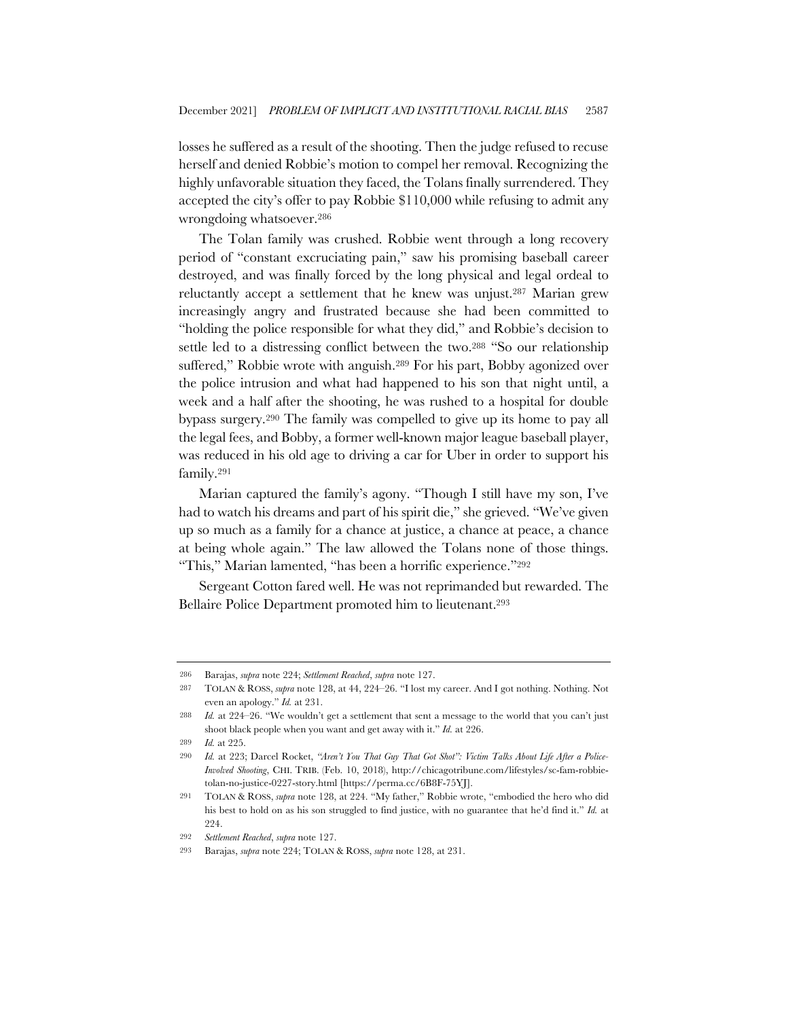losses he suffered as a result of the shooting. Then the judge refused to recuse herself and denied Robbie's motion to compel her removal. Recognizing the highly unfavorable situation they faced, the Tolans finally surrendered. They accepted the city's offer to pay Robbie \$110,000 while refusing to admit any wrongdoing whatsoever.286

The Tolan family was crushed. Robbie went through a long recovery period of "constant excruciating pain," saw his promising baseball career destroyed, and was finally forced by the long physical and legal ordeal to reluctantly accept a settlement that he knew was unjust.287 Marian grew increasingly angry and frustrated because she had been committed to "holding the police responsible for what they did," and Robbie's decision to settle led to a distressing conflict between the two.288 "So our relationship suffered," Robbie wrote with anguish.<sup>289</sup> For his part, Bobby agonized over the police intrusion and what had happened to his son that night until, a week and a half after the shooting, he was rushed to a hospital for double bypass surgery.290 The family was compelled to give up its home to pay all the legal fees, and Bobby, a former well-known major league baseball player, was reduced in his old age to driving a car for Uber in order to support his family.291

Marian captured the family's agony. "Though I still have my son, I've had to watch his dreams and part of his spirit die," she grieved. "We've given up so much as a family for a chance at justice, a chance at peace, a chance at being whole again." The law allowed the Tolans none of those things. "This," Marian lamented, "has been a horrific experience."292

Sergeant Cotton fared well. He was not reprimanded but rewarded. The Bellaire Police Department promoted him to lieutenant.293

<sup>286</sup> Barajas, *supra* note 224; *Settlement Reached*, *supra* note 127.

<sup>287</sup> TOLAN & ROSS, *supra* note 128, at 44, 224–26. "I lost my career. And I got nothing. Nothing. Not even an apology." *Id.* at 231.

<sup>288</sup> *Id.* at 224–26. "We wouldn't get a settlement that sent a message to the world that you can't just shoot black people when you want and get away with it." *Id.* at 226.

<sup>289</sup> *Id.* at 225.

<sup>290</sup> *Id.* at 223; Darcel Rocket, *"Aren't You That Guy That Got Shot": Victim Talks About Life After a Police-Involved Shooting*, CHI. TRIB. (Feb. 10, 2018), http://chicagotribune.com/lifestyles/sc-fam-robbietolan-no-justice-0227-story.html [https://perma.cc/6B8F-75YJ].

<sup>291</sup> TOLAN & ROSS, *supra* note 128, at 224. "My father," Robbie wrote, "embodied the hero who did his best to hold on as his son struggled to find justice, with no guarantee that he'd find it." *Id.* at 224

<sup>292</sup> *Settlement Reached*, *supra* note 127.

<sup>293</sup> Barajas, *supra* note 224; TOLAN & ROSS, *supra* note 128, at 231.